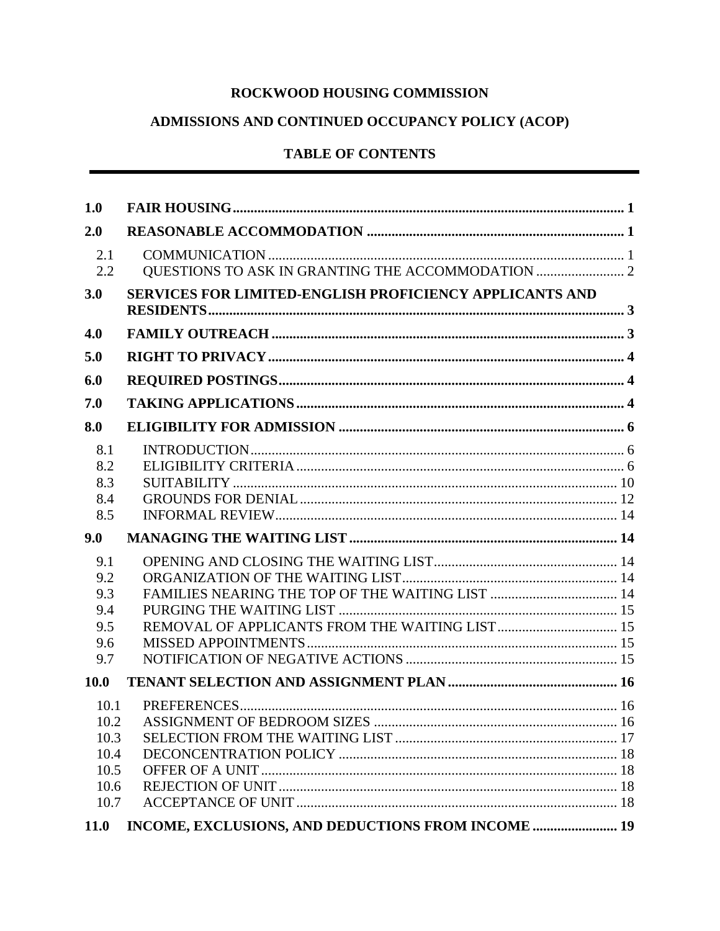# ROCKWOOD HOUSING COMMISSION

# ADMISSIONS AND CONTINUED OCCUPANCY POLICY (ACOP)

# **TABLE OF CONTENTS**

| 2.0<br>2.1<br>2.2<br>SERVICES FOR LIMITED-ENGLISH PROFICIENCY APPLICANTS AND<br>3.0<br>4.0<br>5.0<br>6.0<br>7.0<br>8.0<br>8.1<br>8.2<br>8.3<br>8.4<br>8.5<br>9.0<br>9.1<br>9.2<br>9.3<br>9.4<br>9.5<br>9.6<br>9.7<br>10.0<br>10.1<br>10.3<br>10.4<br>10.5<br>10.6<br>10.7 | 1.0         |                                                    |  |
|---------------------------------------------------------------------------------------------------------------------------------------------------------------------------------------------------------------------------------------------------------------------------|-------------|----------------------------------------------------|--|
|                                                                                                                                                                                                                                                                           |             |                                                    |  |
|                                                                                                                                                                                                                                                                           |             |                                                    |  |
|                                                                                                                                                                                                                                                                           |             |                                                    |  |
|                                                                                                                                                                                                                                                                           |             |                                                    |  |
|                                                                                                                                                                                                                                                                           |             |                                                    |  |
|                                                                                                                                                                                                                                                                           |             |                                                    |  |
|                                                                                                                                                                                                                                                                           |             |                                                    |  |
|                                                                                                                                                                                                                                                                           |             |                                                    |  |
|                                                                                                                                                                                                                                                                           |             |                                                    |  |
|                                                                                                                                                                                                                                                                           |             |                                                    |  |
|                                                                                                                                                                                                                                                                           |             |                                                    |  |
|                                                                                                                                                                                                                                                                           |             |                                                    |  |
|                                                                                                                                                                                                                                                                           |             |                                                    |  |
|                                                                                                                                                                                                                                                                           | <b>11.0</b> | INCOME, EXCLUSIONS, AND DEDUCTIONS FROM INCOME  19 |  |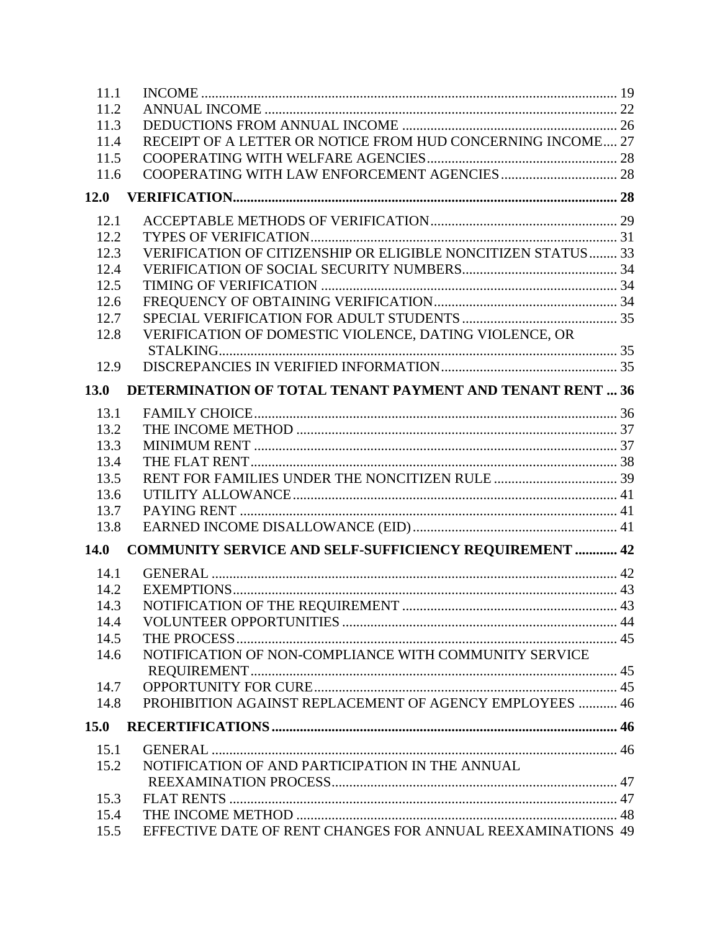| 11.1 |                                                                  |  |
|------|------------------------------------------------------------------|--|
| 11.2 |                                                                  |  |
| 11.3 |                                                                  |  |
| 11.4 | RECEIPT OF A LETTER OR NOTICE FROM HUD CONCERNING INCOME 27      |  |
| 11.5 |                                                                  |  |
| 11.6 |                                                                  |  |
| 12.0 |                                                                  |  |
| 12.1 |                                                                  |  |
| 12.2 |                                                                  |  |
| 12.3 | VERIFICATION OF CITIZENSHIP OR ELIGIBLE NONCITIZEN STATUS 33     |  |
| 12.4 |                                                                  |  |
| 12.5 |                                                                  |  |
| 12.6 |                                                                  |  |
| 12.7 |                                                                  |  |
| 12.8 | VERIFICATION OF DOMESTIC VIOLENCE, DATING VIOLENCE, OR           |  |
|      |                                                                  |  |
| 12.9 |                                                                  |  |
| 13.0 | <b>DETERMINATION OF TOTAL TENANT PAYMENT AND TENANT RENT  36</b> |  |
| 13.1 |                                                                  |  |
| 13.2 |                                                                  |  |
| 13.3 |                                                                  |  |
| 13.4 |                                                                  |  |
| 13.5 |                                                                  |  |
| 13.6 |                                                                  |  |
| 13.7 |                                                                  |  |
| 13.8 |                                                                  |  |
| 14.0 | <b>COMMUNITY SERVICE AND SELF-SUFFICIENCY REQUIREMENT  42</b>    |  |
| 14.1 |                                                                  |  |
| 14.2 |                                                                  |  |
| 14.3 |                                                                  |  |
| 14.4 |                                                                  |  |
| 14.5 |                                                                  |  |
| 14.6 | NOTIFICATION OF NON-COMPLIANCE WITH COMMUNITY SERVICE            |  |
|      |                                                                  |  |
| 14.7 |                                                                  |  |
| 14.8 | PROHIBITION AGAINST REPLACEMENT OF AGENCY EMPLOYEES  46          |  |
| 15.0 |                                                                  |  |
| 15.1 |                                                                  |  |
| 15.2 | NOTIFICATION OF AND PARTICIPATION IN THE ANNUAL                  |  |
|      |                                                                  |  |
| 15.3 |                                                                  |  |
| 15.4 |                                                                  |  |
| 15.5 | EFFECTIVE DATE OF RENT CHANGES FOR ANNUAL REEXAMINATIONS 49      |  |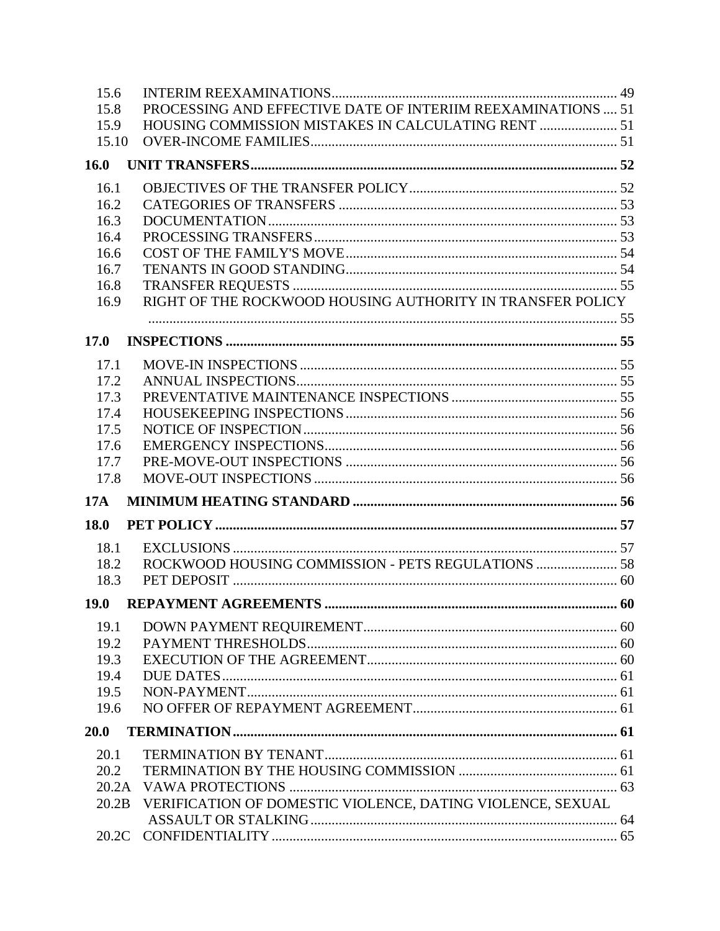| 15.6        |                                                              |  |
|-------------|--------------------------------------------------------------|--|
| 15.8        | PROCESSING AND EFFECTIVE DATE OF INTERIIM REEXAMINATIONS  51 |  |
| 15.9        | HOUSING COMMISSION MISTAKES IN CALCULATING RENT  51          |  |
| 15.10       |                                                              |  |
| 16.0        |                                                              |  |
| 16.1        |                                                              |  |
| 16.2        |                                                              |  |
| 16.3        |                                                              |  |
| 16.4        |                                                              |  |
| 16.6        |                                                              |  |
| 16.7        |                                                              |  |
| 16.8        |                                                              |  |
| 16.9        | RIGHT OF THE ROCKWOOD HOUSING AUTHORITY IN TRANSFER POLICY   |  |
|             |                                                              |  |
| 17.0        |                                                              |  |
| 17.1        |                                                              |  |
| 17.2        |                                                              |  |
| 17.3        |                                                              |  |
| 17.4        |                                                              |  |
| 17.5        |                                                              |  |
| 17.6        |                                                              |  |
| 17.7        |                                                              |  |
| 17.8        |                                                              |  |
| <b>17A</b>  |                                                              |  |
| <b>18.0</b> |                                                              |  |
| 18.1        |                                                              |  |
| 18.2        |                                                              |  |
| 18.3        |                                                              |  |
| <b>19.0</b> |                                                              |  |
| 19.1        |                                                              |  |
| 19.2        |                                                              |  |
| 19.3        |                                                              |  |
| 19.4        |                                                              |  |
| 19.5        |                                                              |  |
| 19.6        |                                                              |  |
|             |                                                              |  |
| 20.0        |                                                              |  |
| 20.1        |                                                              |  |
| 20.2        |                                                              |  |
| 20.2A       |                                                              |  |
| 20.2B       | VERIFICATION OF DOMESTIC VIOLENCE, DATING VIOLENCE, SEXUAL   |  |
|             |                                                              |  |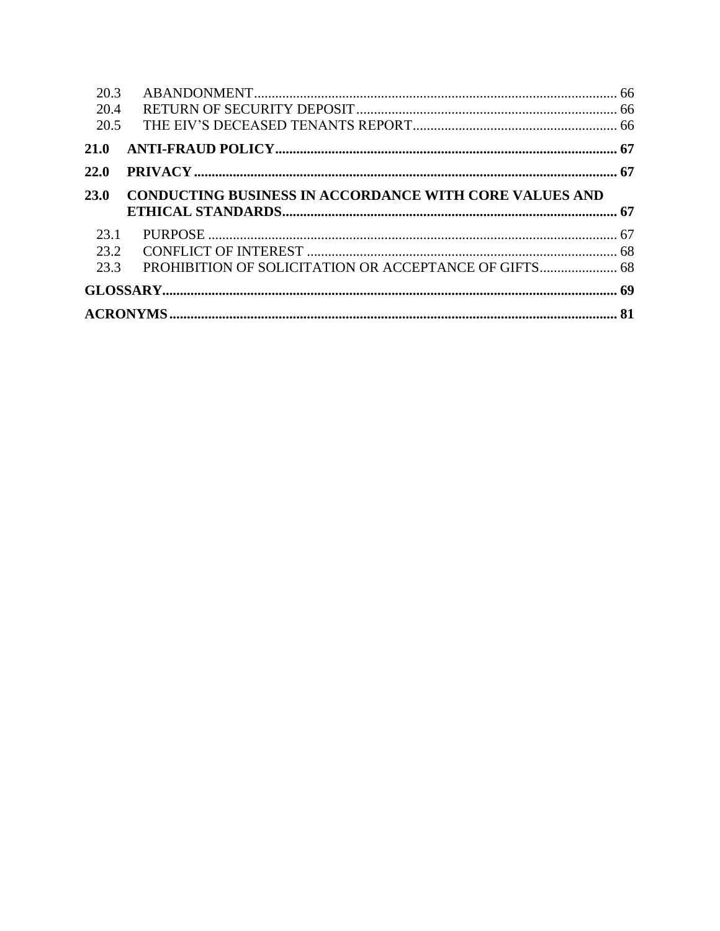| 20.3<br>20.4<br>20.5 |                                                               |  |
|----------------------|---------------------------------------------------------------|--|
| 21.0                 |                                                               |  |
| 22.0                 |                                                               |  |
| <b>23.0</b>          | <b>CONDUCTING BUSINESS IN ACCORDANCE WITH CORE VALUES AND</b> |  |
| 23.1<br>23.2<br>23.3 |                                                               |  |
|                      |                                                               |  |
|                      |                                                               |  |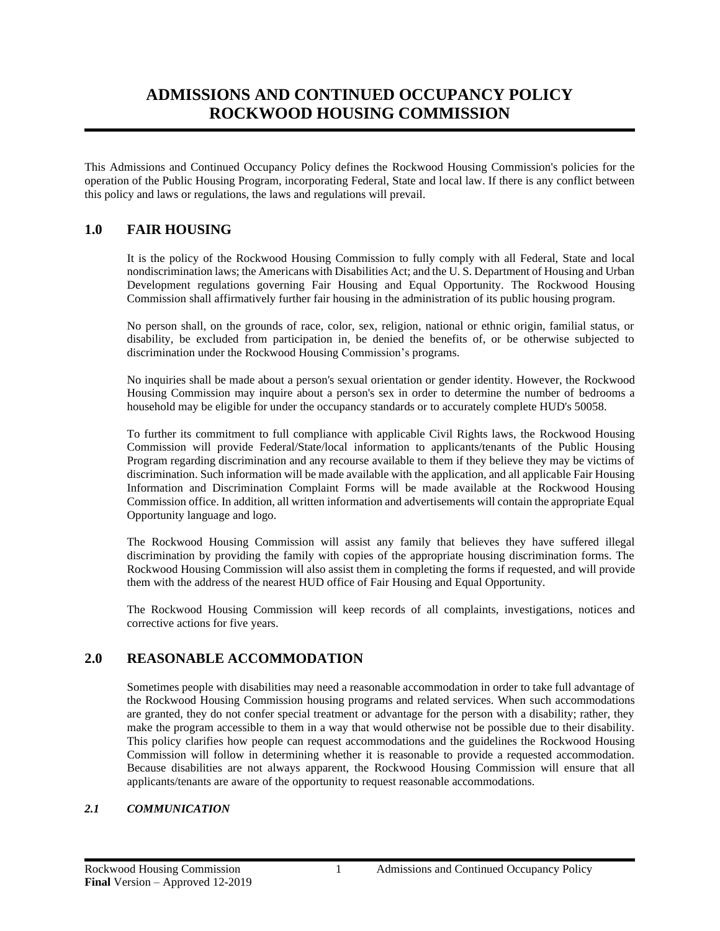# **ADMISSIONS AND CONTINUED OCCUPANCY POLICY ROCKWOOD HOUSING COMMISSION**

This Admissions and Continued Occupancy Policy defines the Rockwood Housing Commission's policies for the operation of the Public Housing Program, incorporating Federal, State and local law. If there is any conflict between this policy and laws or regulations, the laws and regulations will prevail.

## <span id="page-4-0"></span>**1.0 FAIR HOUSING**

It is the policy of the Rockwood Housing Commission to fully comply with all Federal, State and local nondiscrimination laws; the Americans with Disabilities Act; and the U. S. Department of Housing and Urban Development regulations governing Fair Housing and Equal Opportunity. The Rockwood Housing Commission shall affirmatively further fair housing in the administration of its public housing program.

No person shall, on the grounds of race, color, sex, religion, national or ethnic origin, familial status, or disability, be excluded from participation in, be denied the benefits of, or be otherwise subjected to discrimination under the Rockwood Housing Commission's programs.

No inquiries shall be made about a person's sexual orientation or gender identity. However, the Rockwood Housing Commission may inquire about a person's sex in order to determine the number of bedrooms a household may be eligible for under the occupancy standards or to accurately complete HUD's 50058.

To further its commitment to full compliance with applicable Civil Rights laws, the Rockwood Housing Commission will provide Federal/State/local information to applicants/tenants of the Public Housing Program regarding discrimination and any recourse available to them if they believe they may be victims of discrimination. Such information will be made available with the application, and all applicable Fair Housing Information and Discrimination Complaint Forms will be made available at the Rockwood Housing Commission office. In addition, all written information and advertisements will contain the appropriate Equal Opportunity language and logo.

The Rockwood Housing Commission will assist any family that believes they have suffered illegal discrimination by providing the family with copies of the appropriate housing discrimination forms. The Rockwood Housing Commission will also assist them in completing the forms if requested, and will provide them with the address of the nearest HUD office of Fair Housing and Equal Opportunity.

The Rockwood Housing Commission will keep records of all complaints, investigations, notices and corrective actions for five years.

## <span id="page-4-1"></span>**2.0 REASONABLE ACCOMMODATION**

Sometimes people with disabilities may need a reasonable accommodation in order to take full advantage of the Rockwood Housing Commission housing programs and related services. When such accommodations are granted, they do not confer special treatment or advantage for the person with a disability; rather, they make the program accessible to them in a way that would otherwise not be possible due to their disability. This policy clarifies how people can request accommodations and the guidelines the Rockwood Housing Commission will follow in determining whether it is reasonable to provide a requested accommodation. Because disabilities are not always apparent, the Rockwood Housing Commission will ensure that all applicants/tenants are aware of the opportunity to request reasonable accommodations.

## <span id="page-4-2"></span>*2.1 COMMUNICATION*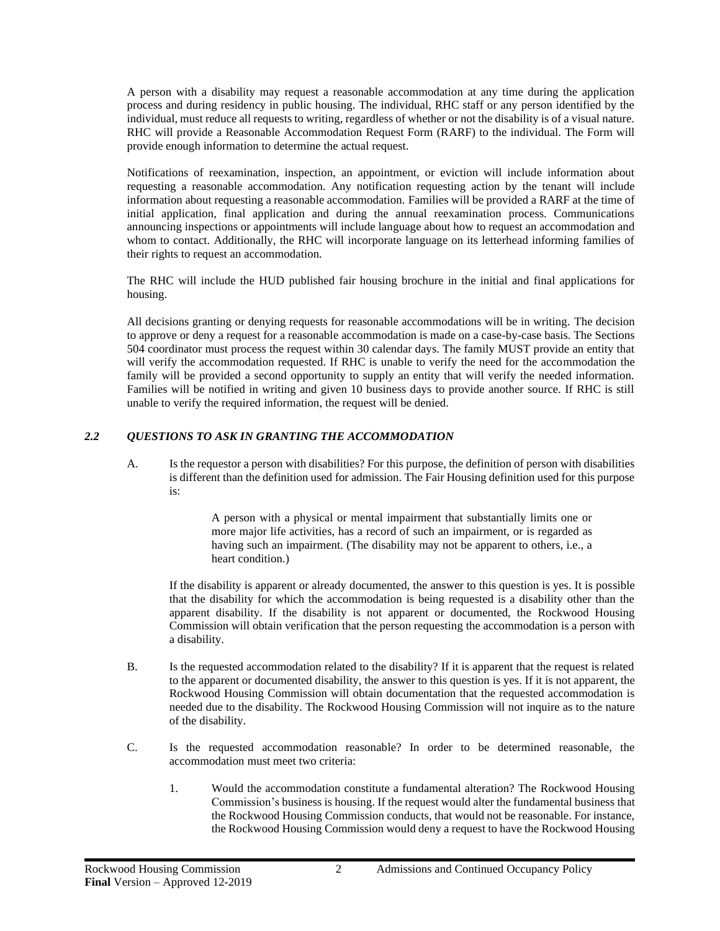A person with a disability may request a reasonable accommodation at any time during the application process and during residency in public housing. The individual, RHC staff or any person identified by the individual, must reduce all requests to writing, regardless of whether or not the disability is of a visual nature. RHC will provide a Reasonable Accommodation Request Form (RARF) to the individual. The Form will provide enough information to determine the actual request.

Notifications of reexamination, inspection, an appointment, or eviction will include information about requesting a reasonable accommodation. Any notification requesting action by the tenant will include information about requesting a reasonable accommodation. Families will be provided a RARF at the time of initial application, final application and during the annual reexamination process. Communications announcing inspections or appointments will include language about how to request an accommodation and whom to contact. Additionally, the RHC will incorporate language on its letterhead informing families of their rights to request an accommodation.

The RHC will include the HUD published fair housing brochure in the initial and final applications for housing.

All decisions granting or denying requests for reasonable accommodations will be in writing. The decision to approve or deny a request for a reasonable accommodation is made on a case-by-case basis. The Sections 504 coordinator must process the request within 30 calendar days. The family MUST provide an entity that will verify the accommodation requested. If RHC is unable to verify the need for the accommodation the family will be provided a second opportunity to supply an entity that will verify the needed information. Families will be notified in writing and given 10 business days to provide another source. If RHC is still unable to verify the required information, the request will be denied.

## <span id="page-5-0"></span>*2.2 QUESTIONS TO ASK IN GRANTING THE ACCOMMODATION*

A. Is the requestor a person with disabilities? For this purpose, the definition of person with disabilities is different than the definition used for admission. The Fair Housing definition used for this purpose is:

> A person with a physical or mental impairment that substantially limits one or more major life activities, has a record of such an impairment, or is regarded as having such an impairment. (The disability may not be apparent to others, i.e., a heart condition.)

If the disability is apparent or already documented, the answer to this question is yes. It is possible that the disability for which the accommodation is being requested is a disability other than the apparent disability. If the disability is not apparent or documented, the Rockwood Housing Commission will obtain verification that the person requesting the accommodation is a person with a disability.

- B. Is the requested accommodation related to the disability? If it is apparent that the request is related to the apparent or documented disability, the answer to this question is yes. If it is not apparent, the Rockwood Housing Commission will obtain documentation that the requested accommodation is needed due to the disability. The Rockwood Housing Commission will not inquire as to the nature of the disability.
- C. Is the requested accommodation reasonable? In order to be determined reasonable, the accommodation must meet two criteria:
	- 1. Would the accommodation constitute a fundamental alteration? The Rockwood Housing Commission's business is housing. If the request would alter the fundamental business that the Rockwood Housing Commission conducts, that would not be reasonable. For instance, the Rockwood Housing Commission would deny a request to have the Rockwood Housing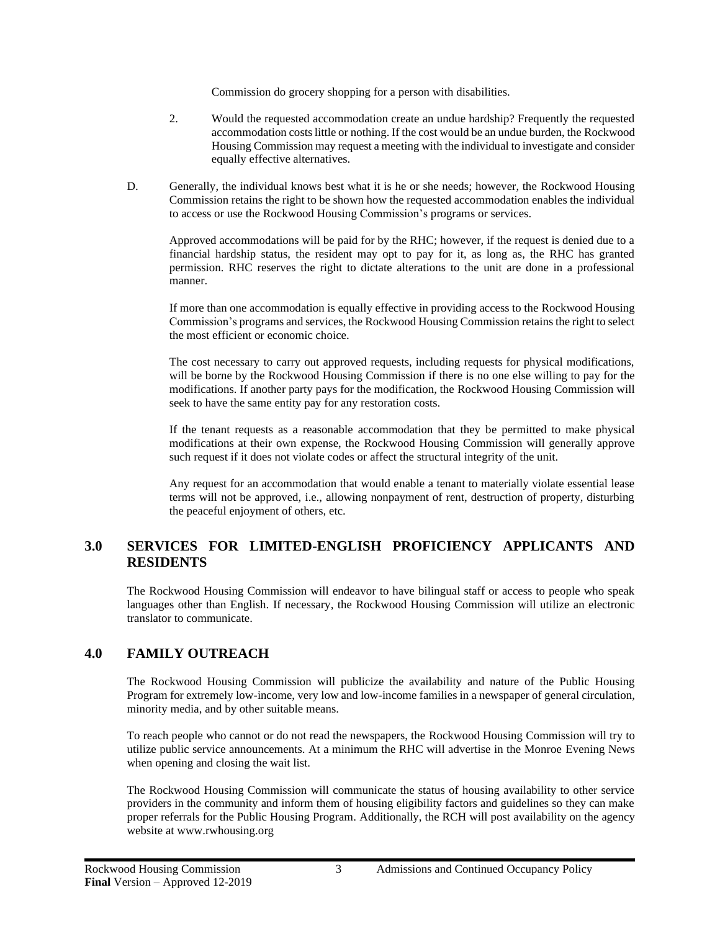Commission do grocery shopping for a person with disabilities.

- 2. Would the requested accommodation create an undue hardship? Frequently the requested accommodation costs little or nothing. If the cost would be an undue burden, the Rockwood Housing Commission may request a meeting with the individual to investigate and consider equally effective alternatives.
- D. Generally, the individual knows best what it is he or she needs; however, the Rockwood Housing Commission retains the right to be shown how the requested accommodation enables the individual to access or use the Rockwood Housing Commission's programs or services.

Approved accommodations will be paid for by the RHC; however, if the request is denied due to a financial hardship status, the resident may opt to pay for it, as long as, the RHC has granted permission. RHC reserves the right to dictate alterations to the unit are done in a professional manner.

If more than one accommodation is equally effective in providing access to the Rockwood Housing Commission's programs and services, the Rockwood Housing Commission retains the right to select the most efficient or economic choice.

The cost necessary to carry out approved requests, including requests for physical modifications, will be borne by the Rockwood Housing Commission if there is no one else willing to pay for the modifications. If another party pays for the modification, the Rockwood Housing Commission will seek to have the same entity pay for any restoration costs.

If the tenant requests as a reasonable accommodation that they be permitted to make physical modifications at their own expense, the Rockwood Housing Commission will generally approve such request if it does not violate codes or affect the structural integrity of the unit.

Any request for an accommodation that would enable a tenant to materially violate essential lease terms will not be approved, i.e., allowing nonpayment of rent, destruction of property, disturbing the peaceful enjoyment of others, etc.

## <span id="page-6-0"></span>**3.0 SERVICES FOR LIMITED-ENGLISH PROFICIENCY APPLICANTS AND RESIDENTS**

The Rockwood Housing Commission will endeavor to have bilingual staff or access to people who speak languages other than English. If necessary, the Rockwood Housing Commission will utilize an electronic translator to communicate.

## <span id="page-6-1"></span>**4.0 FAMILY OUTREACH**

The Rockwood Housing Commission will publicize the availability and nature of the Public Housing Program for extremely low-income, very low and low-income families in a newspaper of general circulation, minority media, and by other suitable means.

To reach people who cannot or do not read the newspapers, the Rockwood Housing Commission will try to utilize public service announcements. At a minimum the RHC will advertise in the Monroe Evening News when opening and closing the wait list.

The Rockwood Housing Commission will communicate the status of housing availability to other service providers in the community and inform them of housing eligibility factors and guidelines so they can make proper referrals for the Public Housing Program. Additionally, the RCH will post availability on the agency website at www.rwhousing.org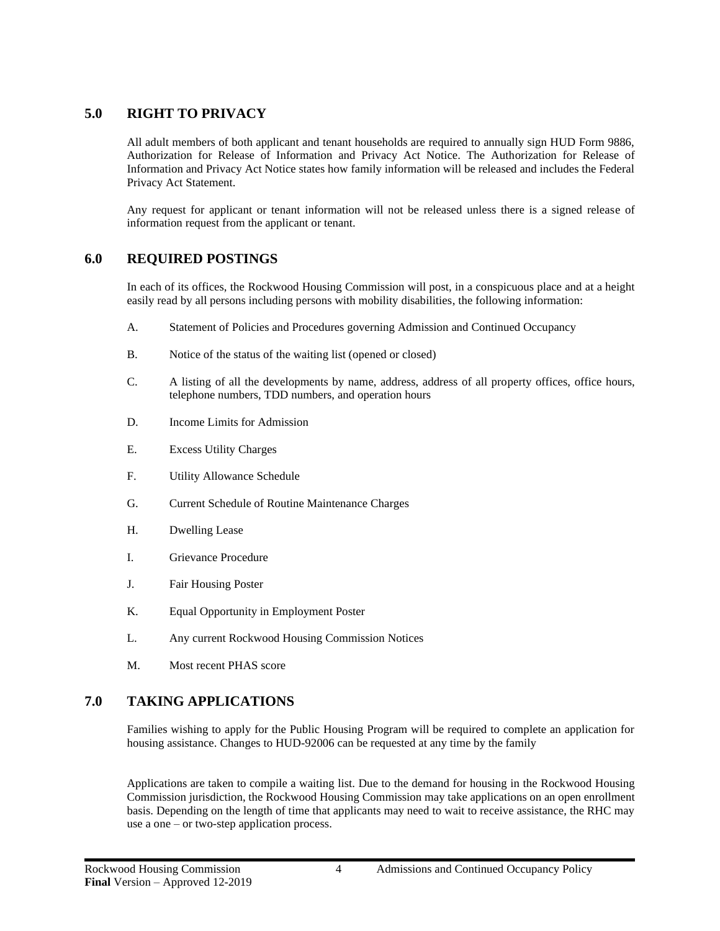## <span id="page-7-0"></span>**5.0 RIGHT TO PRIVACY**

All adult members of both applicant and tenant households are required to annually sign HUD Form 9886, Authorization for Release of Information and Privacy Act Notice. The Authorization for Release of Information and Privacy Act Notice states how family information will be released and includes the Federal Privacy Act Statement.

Any request for applicant or tenant information will not be released unless there is a signed release of information request from the applicant or tenant.

## <span id="page-7-1"></span>**6.0 REQUIRED POSTINGS**

In each of its offices, the Rockwood Housing Commission will post, in a conspicuous place and at a height easily read by all persons including persons with mobility disabilities, the following information:

- A. Statement of Policies and Procedures governing Admission and Continued Occupancy
- B. Notice of the status of the waiting list (opened or closed)
- C. A listing of all the developments by name, address, address of all property offices, office hours, telephone numbers, TDD numbers, and operation hours
- D. Income Limits for Admission
- E. Excess Utility Charges
- F. Utility Allowance Schedule
- G. Current Schedule of Routine Maintenance Charges
- H. Dwelling Lease
- I. Grievance Procedure
- J. Fair Housing Poster
- K. Equal Opportunity in Employment Poster
- L. Any current Rockwood Housing Commission Notices
- M. Most recent PHAS score

## <span id="page-7-2"></span>**7.0 TAKING APPLICATIONS**

Families wishing to apply for the Public Housing Program will be required to complete an application for housing assistance. Changes to HUD-92006 can be requested at any time by the family

Applications are taken to compile a waiting list. Due to the demand for housing in the Rockwood Housing Commission jurisdiction, the Rockwood Housing Commission may take applications on an open enrollment basis. Depending on the length of time that applicants may need to wait to receive assistance, the RHC may use a one – or two-step application process.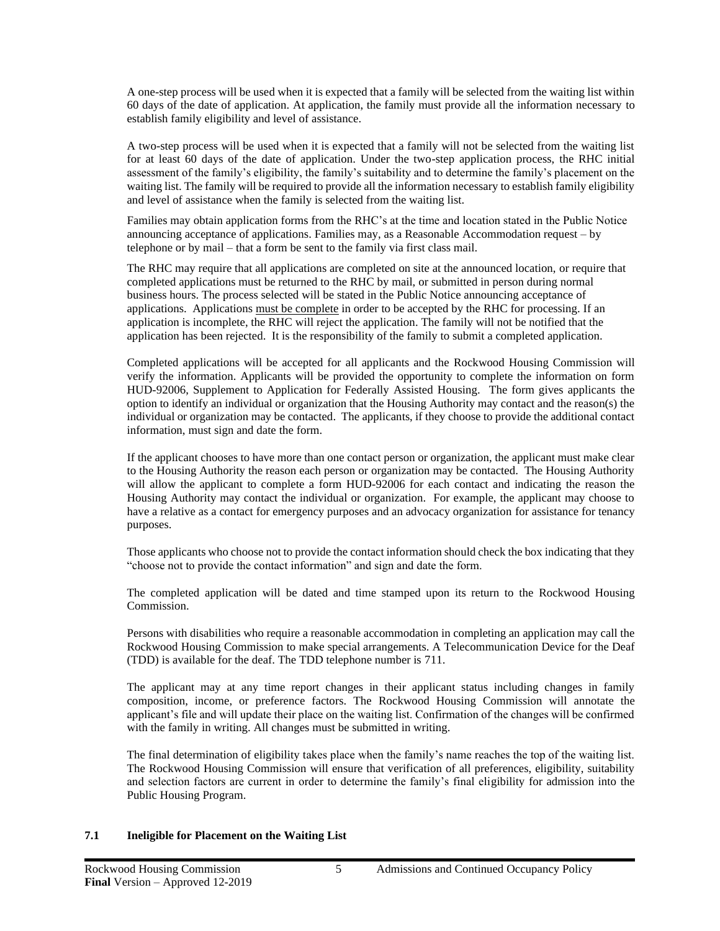A one-step process will be used when it is expected that a family will be selected from the waiting list within 60 days of the date of application. At application, the family must provide all the information necessary to establish family eligibility and level of assistance.

A two-step process will be used when it is expected that a family will not be selected from the waiting list for at least 60 days of the date of application. Under the two-step application process, the RHC initial assessment of the family's eligibility, the family's suitability and to determine the family's placement on the waiting list. The family will be required to provide all the information necessary to establish family eligibility and level of assistance when the family is selected from the waiting list.

Families may obtain application forms from the RHC's at the time and location stated in the Public Notice announcing acceptance of applications. Families may, as a Reasonable Accommodation request – by telephone or by mail – that a form be sent to the family via first class mail.

The RHC may require that all applications are completed on site at the announced location, or require that completed applications must be returned to the RHC by mail, or submitted in person during normal business hours. The process selected will be stated in the Public Notice announcing acceptance of applications. Applications must be complete in order to be accepted by the RHC for processing. If an application is incomplete, the RHC will reject the application. The family will not be notified that the application has been rejected. It is the responsibility of the family to submit a completed application.

Completed applications will be accepted for all applicants and the Rockwood Housing Commission will verify the information. Applicants will be provided the opportunity to complete the information on form HUD-92006, Supplement to Application for Federally Assisted Housing. The form gives applicants the option to identify an individual or organization that the Housing Authority may contact and the reason(s) the individual or organization may be contacted. The applicants, if they choose to provide the additional contact information, must sign and date the form.

If the applicant chooses to have more than one contact person or organization, the applicant must make clear to the Housing Authority the reason each person or organization may be contacted. The Housing Authority will allow the applicant to complete a form HUD-92006 for each contact and indicating the reason the Housing Authority may contact the individual or organization. For example, the applicant may choose to have a relative as a contact for emergency purposes and an advocacy organization for assistance for tenancy purposes.

Those applicants who choose not to provide the contact information should check the box indicating that they "choose not to provide the contact information" and sign and date the form.

The completed application will be dated and time stamped upon its return to the Rockwood Housing Commission.

Persons with disabilities who require a reasonable accommodation in completing an application may call the Rockwood Housing Commission to make special arrangements. A Telecommunication Device for the Deaf (TDD) is available for the deaf. The TDD telephone number is 711.

The applicant may at any time report changes in their applicant status including changes in family composition, income, or preference factors. The Rockwood Housing Commission will annotate the applicant's file and will update their place on the waiting list. Confirmation of the changes will be confirmed with the family in writing. All changes must be submitted in writing.

The final determination of eligibility takes place when the family's name reaches the top of the waiting list. The Rockwood Housing Commission will ensure that verification of all preferences, eligibility, suitability and selection factors are current in order to determine the family's final eligibility for admission into the Public Housing Program.

#### **7.1 Ineligible for Placement on the Waiting List**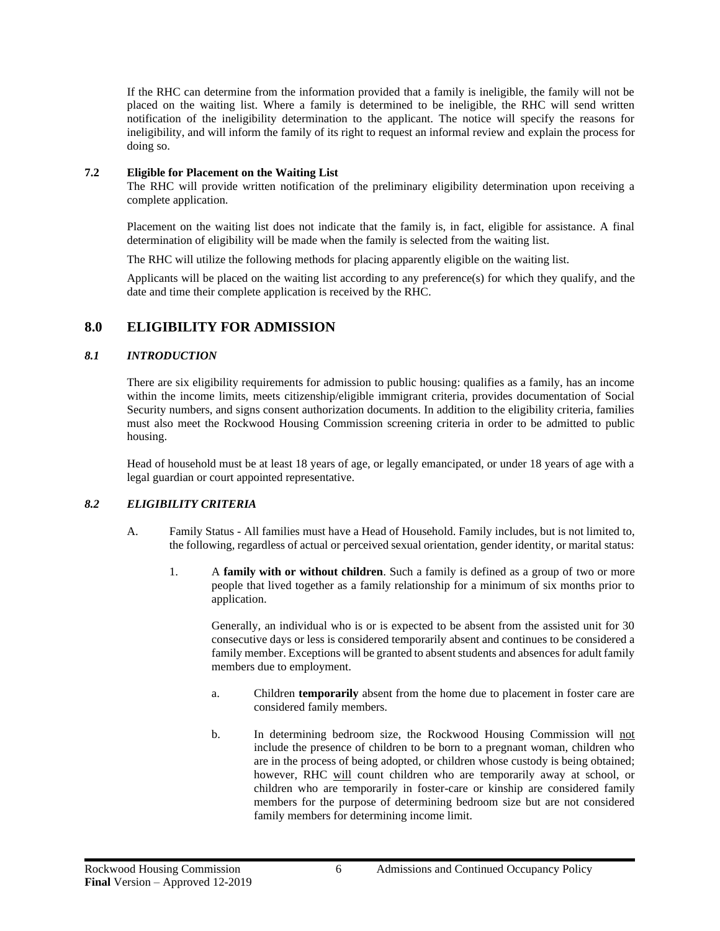If the RHC can determine from the information provided that a family is ineligible, the family will not be placed on the waiting list. Where a family is determined to be ineligible, the RHC will send written notification of the ineligibility determination to the applicant. The notice will specify the reasons for ineligibility, and will inform the family of its right to request an informal review and explain the process for doing so.

#### **7.2 Eligible for Placement on the Waiting List**

The RHC will provide written notification of the preliminary eligibility determination upon receiving a complete application.

Placement on the waiting list does not indicate that the family is, in fact, eligible for assistance. A final determination of eligibility will be made when the family is selected from the waiting list.

The RHC will utilize the following methods for placing apparently eligible on the waiting list.

Applicants will be placed on the waiting list according to any preference(s) for which they qualify, and the date and time their complete application is received by the RHC.

## <span id="page-9-0"></span>**8.0 ELIGIBILITY FOR ADMISSION**

## <span id="page-9-1"></span>*8.1 INTRODUCTION*

There are six eligibility requirements for admission to public housing: qualifies as a family, has an income within the income limits, meets citizenship/eligible immigrant criteria, provides documentation of Social Security numbers, and signs consent authorization documents. In addition to the eligibility criteria, families must also meet the Rockwood Housing Commission screening criteria in order to be admitted to public housing.

Head of household must be at least 18 years of age, or legally emancipated, or under 18 years of age with a legal guardian or court appointed representative.

## <span id="page-9-2"></span>*8.2 ELIGIBILITY CRITERIA*

- A. Family Status All families must have a Head of Household. Family includes, but is not limited to, the following, regardless of actual or perceived sexual orientation, gender identity, or marital status:
	- 1. A **family with or without children**. Such a family is defined as a group of two or more people that lived together as a family relationship for a minimum of six months prior to application.

Generally, an individual who is or is expected to be absent from the assisted unit for 30 consecutive days or less is considered temporarily absent and continues to be considered a family member. Exceptions will be granted to absent students and absences for adult family members due to employment.

- a. Children **temporarily** absent from the home due to placement in foster care are considered family members.
- b. In determining bedroom size, the Rockwood Housing Commission will not include the presence of children to be born to a pregnant woman, children who are in the process of being adopted, or children whose custody is being obtained; however, RHC will count children who are temporarily away at school, or children who are temporarily in foster-care or kinship are considered family members for the purpose of determining bedroom size but are not considered family members for determining income limit.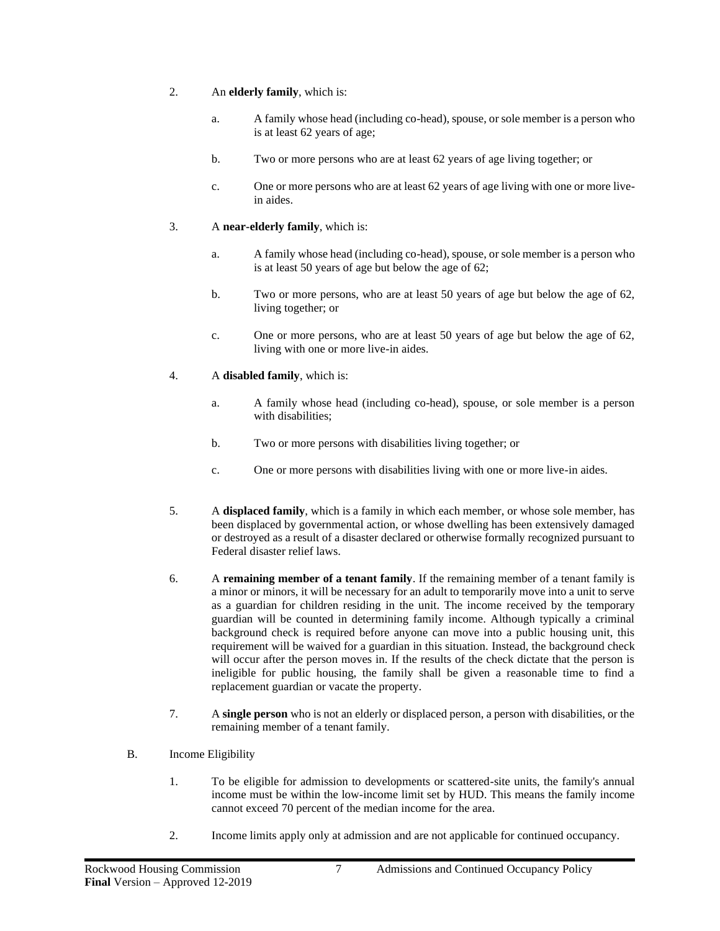- 2. An **elderly family**, which is:
	- a. A family whose head (including co-head), spouse, or sole member is a person who is at least 62 years of age;
	- b. Two or more persons who are at least 62 years of age living together; or
	- c. One or more persons who are at least 62 years of age living with one or more livein aides.

## 3. A **near-elderly family**, which is:

- a. A family whose head (including co-head), spouse, or sole member is a person who is at least 50 years of age but below the age of 62;
- b. Two or more persons, who are at least 50 years of age but below the age of 62, living together; or
- c. One or more persons, who are at least 50 years of age but below the age of 62, living with one or more live-in aides.
- 4. A **disabled family**, which is:
	- a. A family whose head (including co-head), spouse, or sole member is a person with disabilities;
	- b. Two or more persons with disabilities living together; or
	- c. One or more persons with disabilities living with one or more live-in aides.
- 5. A **displaced family**, which is a family in which each member, or whose sole member, has been displaced by governmental action, or whose dwelling has been extensively damaged or destroyed as a result of a disaster declared or otherwise formally recognized pursuant to Federal disaster relief laws.
- 6. A **remaining member of a tenant family**. If the remaining member of a tenant family is a minor or minors, it will be necessary for an adult to temporarily move into a unit to serve as a guardian for children residing in the unit. The income received by the temporary guardian will be counted in determining family income. Although typically a criminal background check is required before anyone can move into a public housing unit, this requirement will be waived for a guardian in this situation. Instead, the background check will occur after the person moves in. If the results of the check dictate that the person is ineligible for public housing, the family shall be given a reasonable time to find a replacement guardian or vacate the property.
- 7. A **single person** who is not an elderly or displaced person, a person with disabilities, or the remaining member of a tenant family.
- B. Income Eligibility
	- 1. To be eligible for admission to developments or scattered-site units, the family's annual income must be within the low-income limit set by HUD. This means the family income cannot exceed 70 percent of the median income for the area.
	- 2. Income limits apply only at admission and are not applicable for continued occupancy.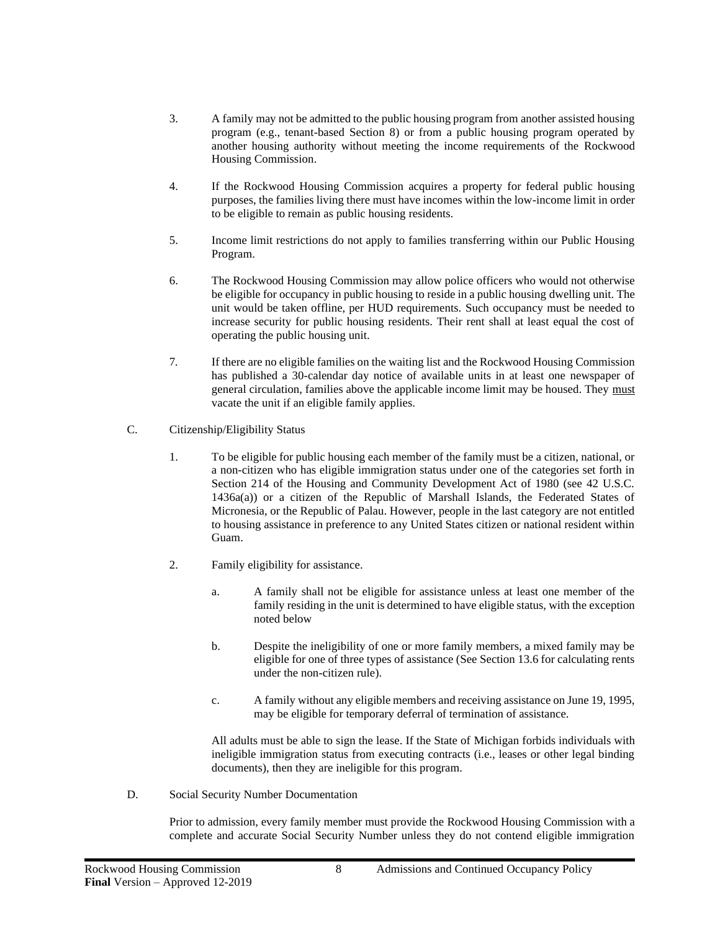- 3. A family may not be admitted to the public housing program from another assisted housing program (e.g., tenant-based Section 8) or from a public housing program operated by another housing authority without meeting the income requirements of the Rockwood Housing Commission.
- 4. If the Rockwood Housing Commission acquires a property for federal public housing purposes, the families living there must have incomes within the low-income limit in order to be eligible to remain as public housing residents.
- 5. Income limit restrictions do not apply to families transferring within our Public Housing Program.
- 6. The Rockwood Housing Commission may allow police officers who would not otherwise be eligible for occupancy in public housing to reside in a public housing dwelling unit. The unit would be taken offline, per HUD requirements. Such occupancy must be needed to increase security for public housing residents. Their rent shall at least equal the cost of operating the public housing unit.
- 7*.* If there are no eligible families on the waiting list and the Rockwood Housing Commission has published a 30-calendar day notice of available units in at least one newspaper of general circulation, families above the applicable income limit may be housed. They must vacate the unit if an eligible family applies.
- C. Citizenship/Eligibility Status
	- 1. To be eligible for public housing each member of the family must be a citizen, national, or a non-citizen who has eligible immigration status under one of the categories set forth in Section 214 of the Housing and Community Development Act of 1980 (see 42 U.S.C. 1436a(a)) or a citizen of the Republic of Marshall Islands, the Federated States of Micronesia, or the Republic of Palau. However, people in the last category are not entitled to housing assistance in preference to any United States citizen or national resident within Guam.
	- 2. Family eligibility for assistance.
		- a. A family shall not be eligible for assistance unless at least one member of the family residing in the unit is determined to have eligible status, with the exception noted below
		- b. Despite the ineligibility of one or more family members, a mixed family may be eligible for one of three types of assistance (See Section 13.6 for calculating rents under the non-citizen rule).
		- c. A family without any eligible members and receiving assistance on June 19, 1995, may be eligible for temporary deferral of termination of assistance.

All adults must be able to sign the lease. If the State of Michigan forbids individuals with ineligible immigration status from executing contracts (i.e., leases or other legal binding documents), then they are ineligible for this program.

D. Social Security Number Documentation

Prior to admission, every family member must provide the Rockwood Housing Commission with a complete and accurate Social Security Number unless they do not contend eligible immigration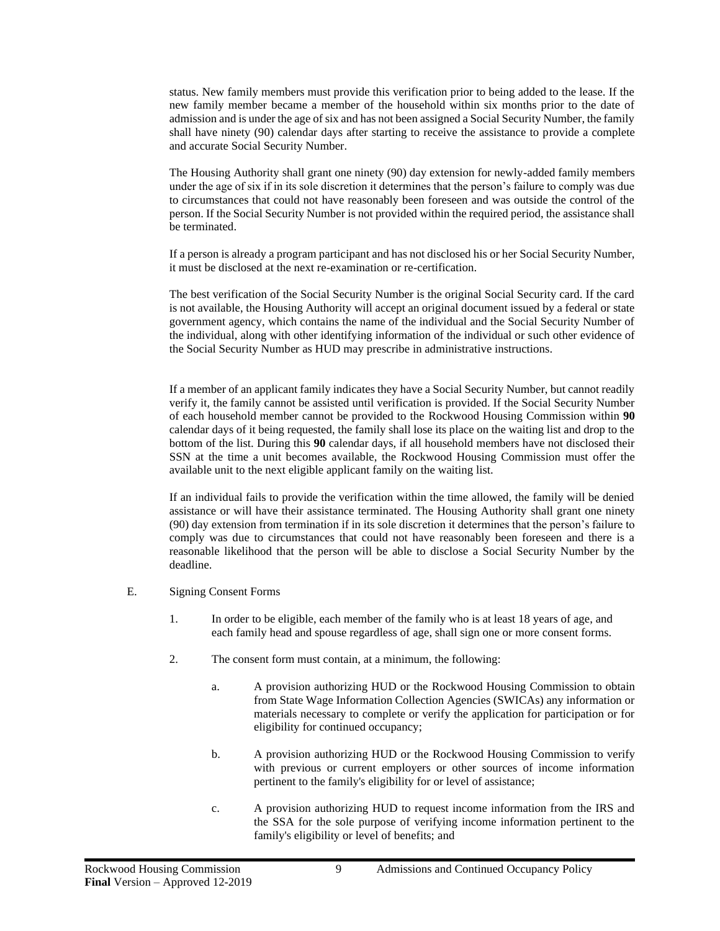status. New family members must provide this verification prior to being added to the lease. If the new family member became a member of the household within six months prior to the date of admission and is under the age of six and has not been assigned a Social Security Number, the family shall have ninety (90) calendar days after starting to receive the assistance to provide a complete and accurate Social Security Number.

The Housing Authority shall grant one ninety (90) day extension for newly-added family members under the age of six if in its sole discretion it determines that the person's failure to comply was due to circumstances that could not have reasonably been foreseen and was outside the control of the person. If the Social Security Number is not provided within the required period, the assistance shall be terminated.

If a person is already a program participant and has not disclosed his or her Social Security Number, it must be disclosed at the next re-examination or re-certification.

The best verification of the Social Security Number is the original Social Security card. If the card is not available, the Housing Authority will accept an original document issued by a federal or state government agency, which contains the name of the individual and the Social Security Number of the individual, along with other identifying information of the individual or such other evidence of the Social Security Number as HUD may prescribe in administrative instructions.

If a member of an applicant family indicates they have a Social Security Number, but cannot readily verify it, the family cannot be assisted until verification is provided. If the Social Security Number of each household member cannot be provided to the Rockwood Housing Commission within **90** calendar days of it being requested, the family shall lose its place on the waiting list and drop to the bottom of the list. During this **90** calendar days, if all household members have not disclosed their SSN at the time a unit becomes available, the Rockwood Housing Commission must offer the available unit to the next eligible applicant family on the waiting list.

If an individual fails to provide the verification within the time allowed, the family will be denied assistance or will have their assistance terminated. The Housing Authority shall grant one ninety (90) day extension from termination if in its sole discretion it determines that the person's failure to comply was due to circumstances that could not have reasonably been foreseen and there is a reasonable likelihood that the person will be able to disclose a Social Security Number by the deadline.

- E. Signing Consent Forms
	- 1. In order to be eligible, each member of the family who is at least 18 years of age, and each family head and spouse regardless of age, shall sign one or more consent forms.
	- 2. The consent form must contain, at a minimum, the following:
		- a. A provision authorizing HUD or the Rockwood Housing Commission to obtain from State Wage Information Collection Agencies (SWICAs) any information or materials necessary to complete or verify the application for participation or for eligibility for continued occupancy;
		- b. A provision authorizing HUD or the Rockwood Housing Commission to verify with previous or current employers or other sources of income information pertinent to the family's eligibility for or level of assistance;
		- c. A provision authorizing HUD to request income information from the IRS and the SSA for the sole purpose of verifying income information pertinent to the family's eligibility or level of benefits; and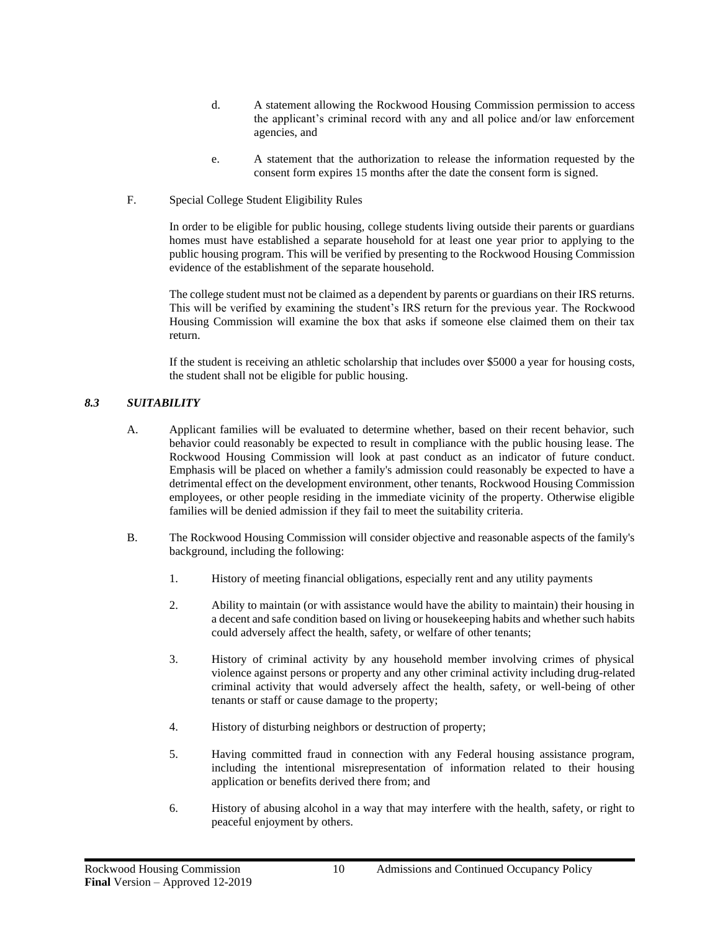- d. A statement allowing the Rockwood Housing Commission permission to access the applicant's criminal record with any and all police and/or law enforcement agencies, and
- e. A statement that the authorization to release the information requested by the consent form expires 15 months after the date the consent form is signed.
- F. Special College Student Eligibility Rules

In order to be eligible for public housing, college students living outside their parents or guardians homes must have established a separate household for at least one year prior to applying to the public housing program. This will be verified by presenting to the Rockwood Housing Commission evidence of the establishment of the separate household.

The college student must not be claimed as a dependent by parents or guardians on their IRS returns. This will be verified by examining the student's IRS return for the previous year. The Rockwood Housing Commission will examine the box that asks if someone else claimed them on their tax return.

If the student is receiving an athletic scholarship that includes over \$5000 a year for housing costs, the student shall not be eligible for public housing.

## <span id="page-13-0"></span>*8.3 SUITABILITY*

- A. Applicant families will be evaluated to determine whether, based on their recent behavior, such behavior could reasonably be expected to result in compliance with the public housing lease. The Rockwood Housing Commission will look at past conduct as an indicator of future conduct. Emphasis will be placed on whether a family's admission could reasonably be expected to have a detrimental effect on the development environment, other tenants, Rockwood Housing Commission employees, or other people residing in the immediate vicinity of the property. Otherwise eligible families will be denied admission if they fail to meet the suitability criteria.
- B. The Rockwood Housing Commission will consider objective and reasonable aspects of the family's background, including the following:
	- 1. History of meeting financial obligations, especially rent and any utility payments
	- 2. Ability to maintain (or with assistance would have the ability to maintain) their housing in a decent and safe condition based on living or housekeeping habits and whether such habits could adversely affect the health, safety, or welfare of other tenants;
	- 3. History of criminal activity by any household member involving crimes of physical violence against persons or property and any other criminal activity including drug-related criminal activity that would adversely affect the health, safety, or well-being of other tenants or staff or cause damage to the property;
	- 4. History of disturbing neighbors or destruction of property;
	- 5. Having committed fraud in connection with any Federal housing assistance program, including the intentional misrepresentation of information related to their housing application or benefits derived there from; and
	- 6. History of abusing alcohol in a way that may interfere with the health, safety, or right to peaceful enjoyment by others.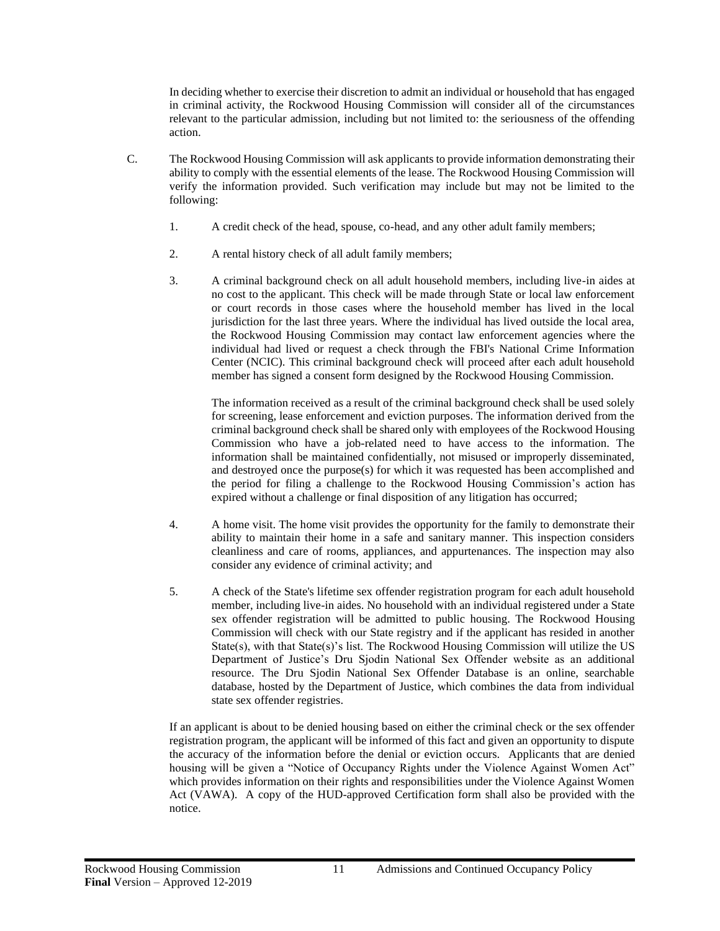In deciding whether to exercise their discretion to admit an individual or household that has engaged in criminal activity, the Rockwood Housing Commission will consider all of the circumstances relevant to the particular admission, including but not limited to: the seriousness of the offending action.

- C. The Rockwood Housing Commission will ask applicants to provide information demonstrating their ability to comply with the essential elements of the lease. The Rockwood Housing Commission will verify the information provided. Such verification may include but may not be limited to the following:
	- 1. A credit check of the head, spouse, co-head, and any other adult family members;
	- 2. A rental history check of all adult family members;
	- 3. A criminal background check on all adult household members, including live-in aides at no cost to the applicant. This check will be made through State or local law enforcement or court records in those cases where the household member has lived in the local jurisdiction for the last three years. Where the individual has lived outside the local area, the Rockwood Housing Commission may contact law enforcement agencies where the individual had lived or request a check through the FBI's National Crime Information Center (NCIC). This criminal background check will proceed after each adult household member has signed a consent form designed by the Rockwood Housing Commission.

The information received as a result of the criminal background check shall be used solely for screening, lease enforcement and eviction purposes. The information derived from the criminal background check shall be shared only with employees of the Rockwood Housing Commission who have a job-related need to have access to the information. The information shall be maintained confidentially, not misused or improperly disseminated, and destroyed once the purpose(s) for which it was requested has been accomplished and the period for filing a challenge to the Rockwood Housing Commission's action has expired without a challenge or final disposition of any litigation has occurred;

- 4. A home visit. The home visit provides the opportunity for the family to demonstrate their ability to maintain their home in a safe and sanitary manner. This inspection considers cleanliness and care of rooms, appliances, and appurtenances. The inspection may also consider any evidence of criminal activity; and
- 5. A check of the State's lifetime sex offender registration program for each adult household member, including live-in aides. No household with an individual registered under a State sex offender registration will be admitted to public housing. The Rockwood Housing Commission will check with our State registry and if the applicant has resided in another State(s), with that State(s)'s list. The Rockwood Housing Commission will utilize the US Department of Justice's Dru Sjodin National Sex Offender website as an additional resource. The Dru Sjodin National Sex Offender Database is an online, searchable database, hosted by the Department of Justice, which combines the data from individual state sex offender registries.

If an applicant is about to be denied housing based on either the criminal check or the sex offender registration program, the applicant will be informed of this fact and given an opportunity to dispute the accuracy of the information before the denial or eviction occurs. Applicants that are denied housing will be given a "Notice of Occupancy Rights under the Violence Against Women Act" which provides information on their rights and responsibilities under the Violence Against Women Act (VAWA). A copy of the HUD-approved Certification form shall also be provided with the notice.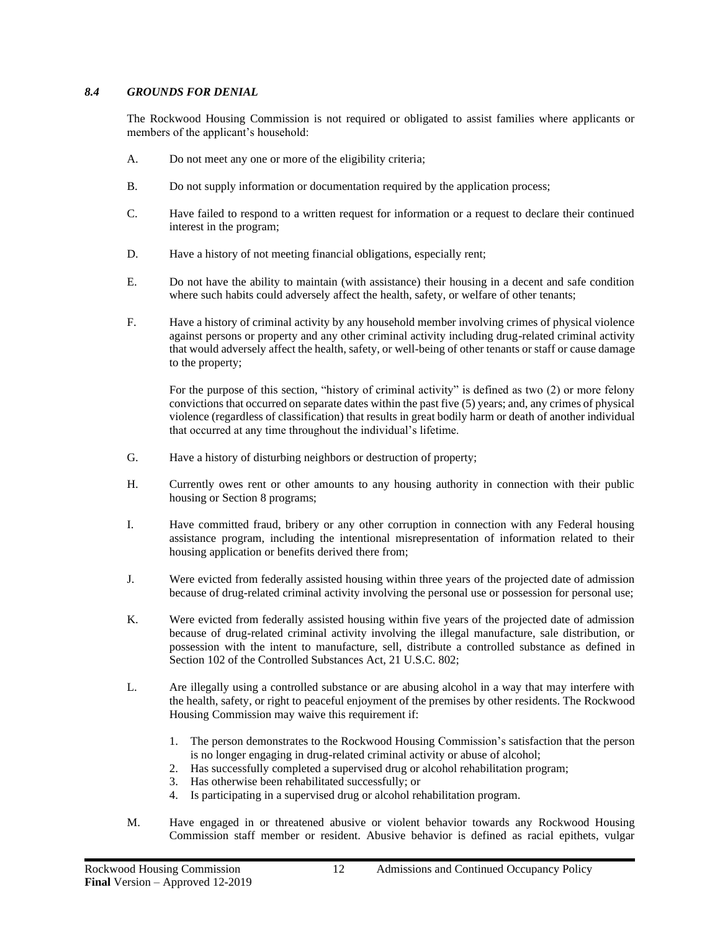#### <span id="page-15-0"></span>*8.4 GROUNDS FOR DENIAL*

The Rockwood Housing Commission is not required or obligated to assist families where applicants or members of the applicant's household:

- A. Do not meet any one or more of the eligibility criteria;
- B. Do not supply information or documentation required by the application process;
- C. Have failed to respond to a written request for information or a request to declare their continued interest in the program;
- D. Have a history of not meeting financial obligations, especially rent;
- E. Do not have the ability to maintain (with assistance) their housing in a decent and safe condition where such habits could adversely affect the health, safety, or welfare of other tenants;
- F. Have a history of criminal activity by any household member involving crimes of physical violence against persons or property and any other criminal activity including drug-related criminal activity that would adversely affect the health, safety, or well-being of other tenants or staff or cause damage to the property;

For the purpose of this section, "history of criminal activity" is defined as two (2) or more felony convictions that occurred on separate dates within the past five (5) years; and, any crimes of physical violence (regardless of classification) that results in great bodily harm or death of another individual that occurred at any time throughout the individual's lifetime.

- G. Have a history of disturbing neighbors or destruction of property;
- H. Currently owes rent or other amounts to any housing authority in connection with their public housing or Section 8 programs;
- I. Have committed fraud, bribery or any other corruption in connection with any Federal housing assistance program, including the intentional misrepresentation of information related to their housing application or benefits derived there from;
- J. Were evicted from federally assisted housing within three years of the projected date of admission because of drug-related criminal activity involving the personal use or possession for personal use;
- K. Were evicted from federally assisted housing within five years of the projected date of admission because of drug-related criminal activity involving the illegal manufacture, sale distribution, or possession with the intent to manufacture, sell, distribute a controlled substance as defined in Section 102 of the Controlled Substances Act, 21 U.S.C. 802;
- L. Are illegally using a controlled substance or are abusing alcohol in a way that may interfere with the health, safety, or right to peaceful enjoyment of the premises by other residents. The Rockwood Housing Commission may waive this requirement if:
	- 1. The person demonstrates to the Rockwood Housing Commission's satisfaction that the person is no longer engaging in drug-related criminal activity or abuse of alcohol;
	- 2. Has successfully completed a supervised drug or alcohol rehabilitation program;
	- 3. Has otherwise been rehabilitated successfully; or
	- 4. Is participating in a supervised drug or alcohol rehabilitation program.
- M. Have engaged in or threatened abusive or violent behavior towards any Rockwood Housing Commission staff member or resident. Abusive behavior is defined as racial epithets, vulgar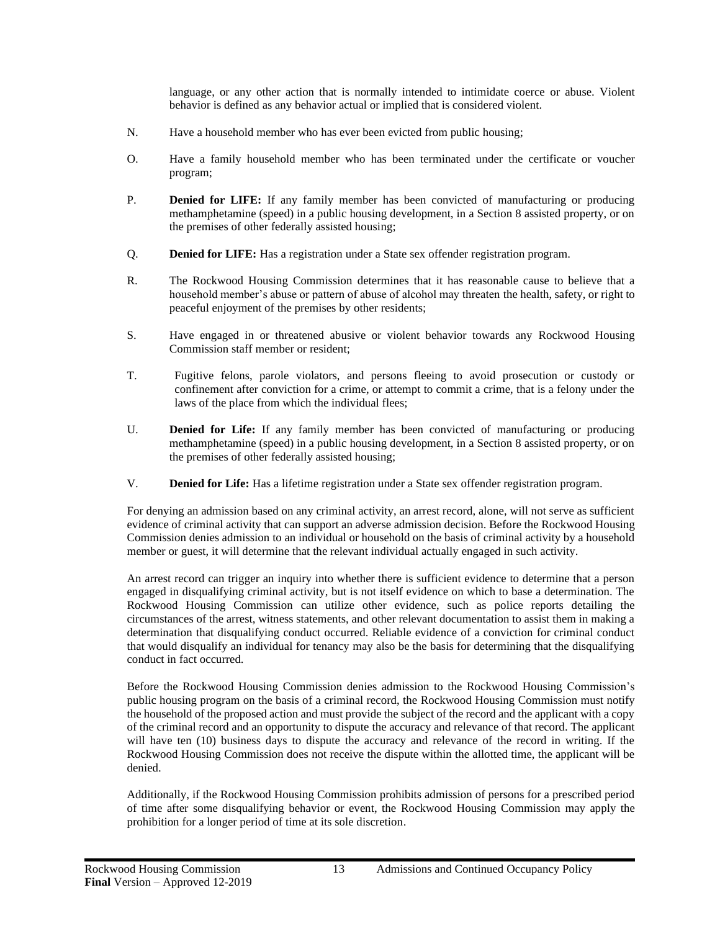language, or any other action that is normally intended to intimidate coerce or abuse. Violent behavior is defined as any behavior actual or implied that is considered violent.

- N. Have a household member who has ever been evicted from public housing;
- O. Have a family household member who has been terminated under the certificate or voucher program;
- P. **Denied for LIFE:** If any family member has been convicted of manufacturing or producing methamphetamine (speed) in a public housing development, in a Section 8 assisted property, or on the premises of other federally assisted housing;
- Q. **Denied for LIFE:** Has a registration under a State sex offender registration program.
- R. The Rockwood Housing Commission determines that it has reasonable cause to believe that a household member's abuse or pattern of abuse of alcohol may threaten the health, safety, or right to peaceful enjoyment of the premises by other residents;
- S. Have engaged in or threatened abusive or violent behavior towards any Rockwood Housing Commission staff member or resident;
- T. Fugitive felons, parole violators, and persons fleeing to avoid prosecution or custody or confinement after conviction for a crime, or attempt to commit a crime, that is a felony under the laws of the place from which the individual flees;
- U. **Denied for Life:** If any family member has been convicted of manufacturing or producing methamphetamine (speed) in a public housing development, in a Section 8 assisted property, or on the premises of other federally assisted housing;
- V. **Denied for Life:** Has a lifetime registration under a State sex offender registration program.

For denying an admission based on any criminal activity, an arrest record, alone, will not serve as sufficient evidence of criminal activity that can support an adverse admission decision. Before the Rockwood Housing Commission denies admission to an individual or household on the basis of criminal activity by a household member or guest, it will determine that the relevant individual actually engaged in such activity.

An arrest record can trigger an inquiry into whether there is sufficient evidence to determine that a person engaged in disqualifying criminal activity, but is not itself evidence on which to base a determination. The Rockwood Housing Commission can utilize other evidence, such as police reports detailing the circumstances of the arrest, witness statements, and other relevant documentation to assist them in making a determination that disqualifying conduct occurred. Reliable evidence of a conviction for criminal conduct that would disqualify an individual for tenancy may also be the basis for determining that the disqualifying conduct in fact occurred.

Before the Rockwood Housing Commission denies admission to the Rockwood Housing Commission's public housing program on the basis of a criminal record, the Rockwood Housing Commission must notify the household of the proposed action and must provide the subject of the record and the applicant with a copy of the criminal record and an opportunity to dispute the accuracy and relevance of that record. The applicant will have ten (10) business days to dispute the accuracy and relevance of the record in writing. If the Rockwood Housing Commission does not receive the dispute within the allotted time, the applicant will be denied.

Additionally, if the Rockwood Housing Commission prohibits admission of persons for a prescribed period of time after some disqualifying behavior or event, the Rockwood Housing Commission may apply the prohibition for a longer period of time at its sole discretion.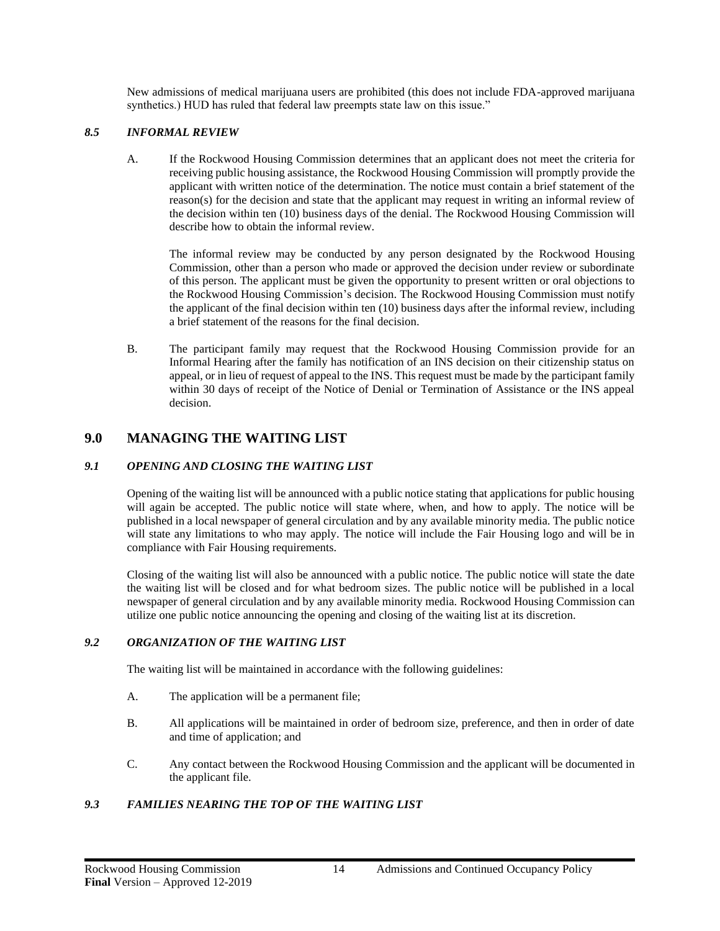New admissions of medical marijuana users are prohibited (this does not include FDA-approved marijuana synthetics.) HUD has ruled that federal law preempts state law on this issue."

#### <span id="page-17-0"></span>*8.5 INFORMAL REVIEW*

A. If the Rockwood Housing Commission determines that an applicant does not meet the criteria for receiving public housing assistance, the Rockwood Housing Commission will promptly provide the applicant with written notice of the determination. The notice must contain a brief statement of the reason(s) for the decision and state that the applicant may request in writing an informal review of the decision within ten (10) business days of the denial. The Rockwood Housing Commission will describe how to obtain the informal review.

The informal review may be conducted by any person designated by the Rockwood Housing Commission, other than a person who made or approved the decision under review or subordinate of this person. The applicant must be given the opportunity to present written or oral objections to the Rockwood Housing Commission's decision. The Rockwood Housing Commission must notify the applicant of the final decision within ten (10) business days after the informal review, including a brief statement of the reasons for the final decision.

B. The participant family may request that the Rockwood Housing Commission provide for an Informal Hearing after the family has notification of an INS decision on their citizenship status on appeal, or in lieu of request of appeal to the INS. This request must be made by the participant family within 30 days of receipt of the Notice of Denial or Termination of Assistance or the INS appeal decision.

## <span id="page-17-1"></span>**9.0 MANAGING THE WAITING LIST**

## <span id="page-17-2"></span>*9.1 OPENING AND CLOSING THE WAITING LIST*

Opening of the waiting list will be announced with a public notice stating that applications for public housing will again be accepted. The public notice will state where, when, and how to apply. The notice will be published in a local newspaper of general circulation and by any available minority media. The public notice will state any limitations to who may apply. The notice will include the Fair Housing logo and will be in compliance with Fair Housing requirements.

Closing of the waiting list will also be announced with a public notice. The public notice will state the date the waiting list will be closed and for what bedroom sizes. The public notice will be published in a local newspaper of general circulation and by any available minority media. Rockwood Housing Commission can utilize one public notice announcing the opening and closing of the waiting list at its discretion.

#### <span id="page-17-3"></span>*9.2 ORGANIZATION OF THE WAITING LIST*

The waiting list will be maintained in accordance with the following guidelines:

- A. The application will be a permanent file;
- B. All applications will be maintained in order of bedroom size, preference, and then in order of date and time of application; and
- C. Any contact between the Rockwood Housing Commission and the applicant will be documented in the applicant file.

## <span id="page-17-4"></span>*9.3 FAMILIES NEARING THE TOP OF THE WAITING LIST*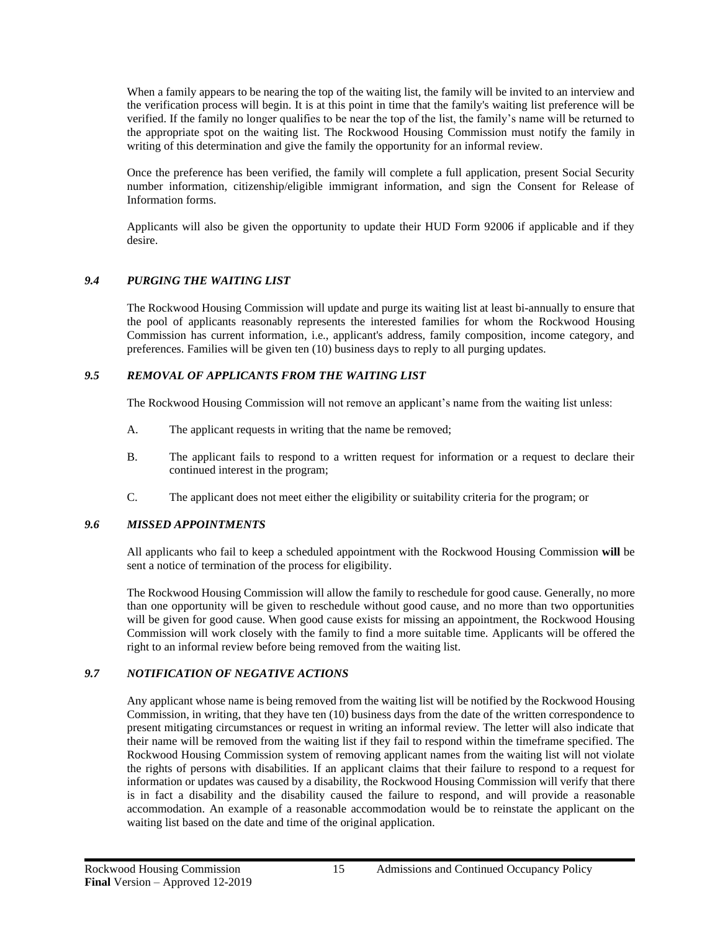When a family appears to be nearing the top of the waiting list, the family will be invited to an interview and the verification process will begin. It is at this point in time that the family's waiting list preference will be verified. If the family no longer qualifies to be near the top of the list, the family's name will be returned to the appropriate spot on the waiting list. The Rockwood Housing Commission must notify the family in writing of this determination and give the family the opportunity for an informal review.

Once the preference has been verified, the family will complete a full application, present Social Security number information, citizenship/eligible immigrant information, and sign the Consent for Release of Information forms.

Applicants will also be given the opportunity to update their HUD Form 92006 if applicable and if they desire.

## <span id="page-18-0"></span>*9.4 PURGING THE WAITING LIST*

The Rockwood Housing Commission will update and purge its waiting list at least bi-annually to ensure that the pool of applicants reasonably represents the interested families for whom the Rockwood Housing Commission has current information, i.e., applicant's address, family composition, income category, and preferences. Families will be given ten (10) business days to reply to all purging updates.

#### <span id="page-18-1"></span>*9.5 REMOVAL OF APPLICANTS FROM THE WAITING LIST*

The Rockwood Housing Commission will not remove an applicant's name from the waiting list unless:

- A. The applicant requests in writing that the name be removed;
- B. The applicant fails to respond to a written request for information or a request to declare their continued interest in the program;
- C. The applicant does not meet either the eligibility or suitability criteria for the program; or

#### <span id="page-18-2"></span>*9.6 MISSED APPOINTMENTS*

All applicants who fail to keep a scheduled appointment with the Rockwood Housing Commission **will** be sent a notice of termination of the process for eligibility.

The Rockwood Housing Commission will allow the family to reschedule for good cause. Generally, no more than one opportunity will be given to reschedule without good cause, and no more than two opportunities will be given for good cause. When good cause exists for missing an appointment, the Rockwood Housing Commission will work closely with the family to find a more suitable time. Applicants will be offered the right to an informal review before being removed from the waiting list.

## <span id="page-18-3"></span>*9.7 NOTIFICATION OF NEGATIVE ACTIONS*

Any applicant whose name is being removed from the waiting list will be notified by the Rockwood Housing Commission, in writing, that they have ten (10) business days from the date of the written correspondence to present mitigating circumstances or request in writing an informal review. The letter will also indicate that their name will be removed from the waiting list if they fail to respond within the timeframe specified. The Rockwood Housing Commission system of removing applicant names from the waiting list will not violate the rights of persons with disabilities. If an applicant claims that their failure to respond to a request for information or updates was caused by a disability, the Rockwood Housing Commission will verify that there is in fact a disability and the disability caused the failure to respond, and will provide a reasonable accommodation. An example of a reasonable accommodation would be to reinstate the applicant on the waiting list based on the date and time of the original application.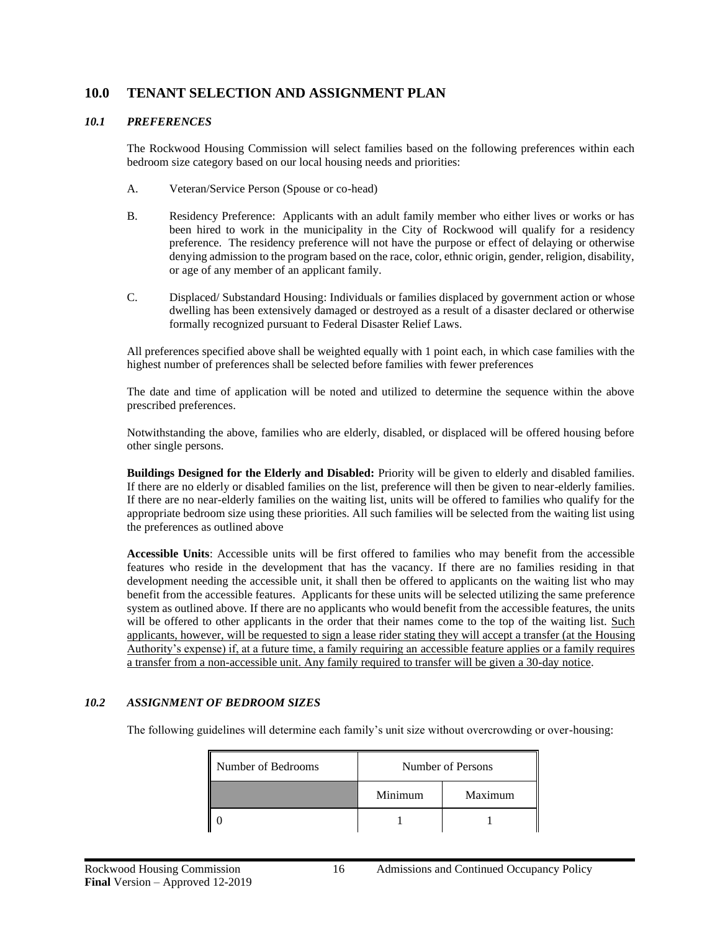## <span id="page-19-0"></span>**10.0 TENANT SELECTION AND ASSIGNMENT PLAN**

#### <span id="page-19-1"></span>*10.1 PREFERENCES*

The Rockwood Housing Commission will select families based on the following preferences within each bedroom size category based on our local housing needs and priorities:

- A. Veteran/Service Person (Spouse or co-head)
- B. Residency Preference: Applicants with an adult family member who either lives or works or has been hired to work in the municipality in the City of Rockwood will qualify for a residency preference. The residency preference will not have the purpose or effect of delaying or otherwise denying admission to the program based on the race, color, ethnic origin, gender, religion, disability, or age of any member of an applicant family.
- C. Displaced/ Substandard Housing: Individuals or families displaced by government action or whose dwelling has been extensively damaged or destroyed as a result of a disaster declared or otherwise formally recognized pursuant to Federal Disaster Relief Laws.

All preferences specified above shall be weighted equally with 1 point each, in which case families with the highest number of preferences shall be selected before families with fewer preferences

The date and time of application will be noted and utilized to determine the sequence within the above prescribed preferences.

Notwithstanding the above, families who are elderly, disabled, or displaced will be offered housing before other single persons.

**Buildings Designed for the Elderly and Disabled:** Priority will be given to elderly and disabled families. If there are no elderly or disabled families on the list, preference will then be given to near-elderly families. If there are no near-elderly families on the waiting list, units will be offered to families who qualify for the appropriate bedroom size using these priorities. All such families will be selected from the waiting list using the preferences as outlined above

**Accessible Units**: Accessible units will be first offered to families who may benefit from the accessible features who reside in the development that has the vacancy. If there are no families residing in that development needing the accessible unit, it shall then be offered to applicants on the waiting list who may benefit from the accessible features. Applicants for these units will be selected utilizing the same preference system as outlined above. If there are no applicants who would benefit from the accessible features, the units will be offered to other applicants in the order that their names come to the top of the waiting list. Such applicants, however, will be requested to sign a lease rider stating they will accept a transfer (at the Housing Authority's expense) if, at a future time, a family requiring an accessible feature applies or a family requires a transfer from a non-accessible unit. Any family required to transfer will be given a 30-day notice.

## <span id="page-19-2"></span>*10.2 ASSIGNMENT OF BEDROOM SIZES*

The following guidelines will determine each family's unit size without overcrowding or over-housing:

| Number of Bedrooms | Number of Persons |         |
|--------------------|-------------------|---------|
|                    | Minimum           | Maximum |
|                    |                   |         |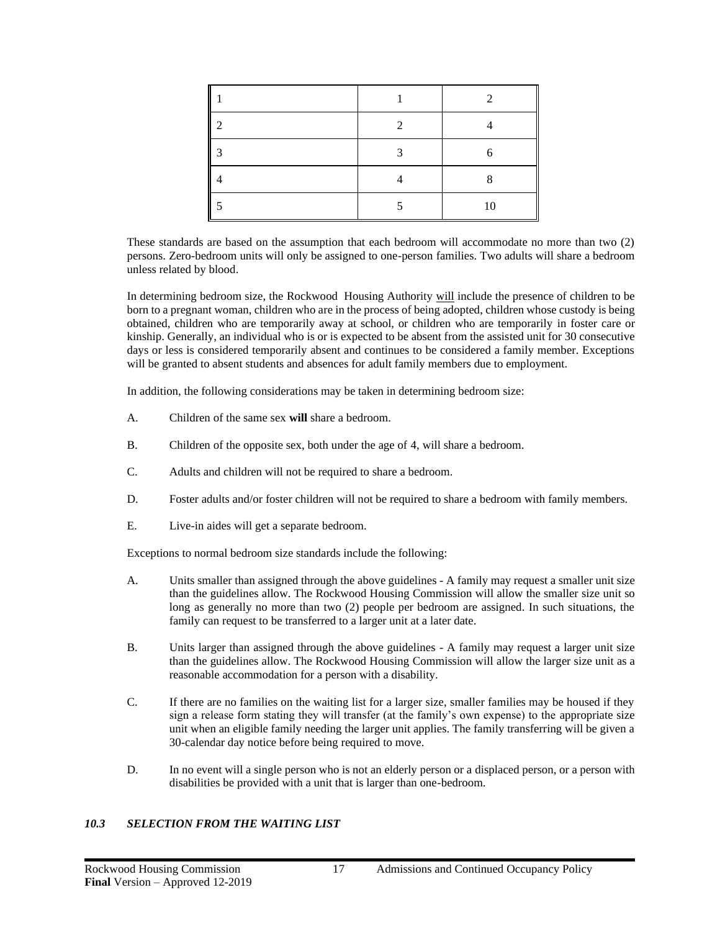| ר |    |
|---|----|
| 2 |    |
|   |    |
|   | 10 |

These standards are based on the assumption that each bedroom will accommodate no more than two (2) persons. Zero-bedroom units will only be assigned to one-person families. Two adults will share a bedroom unless related by blood.

In determining bedroom size, the Rockwood Housing Authority will include the presence of children to be born to a pregnant woman, children who are in the process of being adopted, children whose custody is being obtained, children who are temporarily away at school, or children who are temporarily in foster care or kinship. Generally, an individual who is or is expected to be absent from the assisted unit for 30 consecutive days or less is considered temporarily absent and continues to be considered a family member. Exceptions will be granted to absent students and absences for adult family members due to employment.

In addition, the following considerations may be taken in determining bedroom size:

- A. Children of the same sex **will** share a bedroom.
- B. Children of the opposite sex, both under the age of 4, will share a bedroom.
- C. Adults and children will not be required to share a bedroom.
- D. Foster adults and/or foster children will not be required to share a bedroom with family members.
- E. Live-in aides will get a separate bedroom.

Exceptions to normal bedroom size standards include the following:

- A. Units smaller than assigned through the above guidelines A family may request a smaller unit size than the guidelines allow. The Rockwood Housing Commission will allow the smaller size unit so long as generally no more than two (2) people per bedroom are assigned. In such situations, the family can request to be transferred to a larger unit at a later date.
- B. Units larger than assigned through the above guidelines A family may request a larger unit size than the guidelines allow. The Rockwood Housing Commission will allow the larger size unit as a reasonable accommodation for a person with a disability.
- C. If there are no families on the waiting list for a larger size, smaller families may be housed if they sign a release form stating they will transfer (at the family's own expense) to the appropriate size unit when an eligible family needing the larger unit applies. The family transferring will be given a 30-calendar day notice before being required to move.
- D. In no event will a single person who is not an elderly person or a displaced person, or a person with disabilities be provided with a unit that is larger than one-bedroom.

## <span id="page-20-0"></span>*10.3 SELECTION FROM THE WAITING LIST*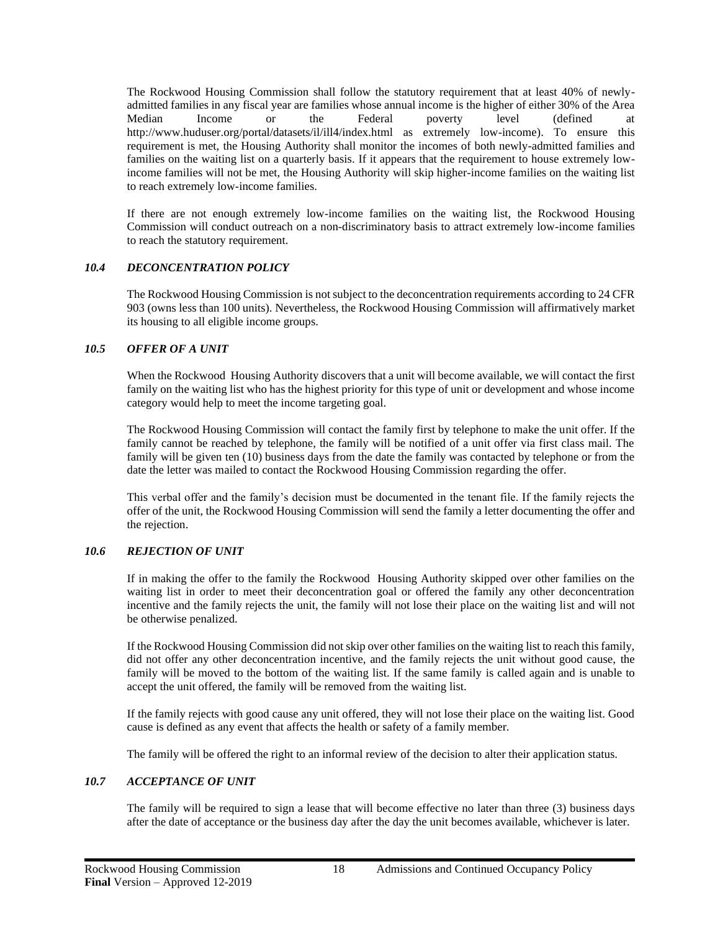The Rockwood Housing Commission shall follow the statutory requirement that at least 40% of newlyadmitted families in any fiscal year are families whose annual income is the higher of either 30% of the Area Median Income or the Federal poverty level (defined at http://www.huduser.org/portal/datasets/il/ill4/index.html as extremely low-income). To ensure this requirement is met, the Housing Authority shall monitor the incomes of both newly-admitted families and families on the waiting list on a quarterly basis. If it appears that the requirement to house extremely lowincome families will not be met, the Housing Authority will skip higher-income families on the waiting list to reach extremely low-income families.

If there are not enough extremely low-income families on the waiting list, the Rockwood Housing Commission will conduct outreach on a non-discriminatory basis to attract extremely low-income families to reach the statutory requirement.

## <span id="page-21-0"></span>*10.4 DECONCENTRATION POLICY*

The Rockwood Housing Commission is not subject to the deconcentration requirements according to 24 CFR 903 (owns less than 100 units). Nevertheless, the Rockwood Housing Commission will affirmatively market its housing to all eligible income groups.

## <span id="page-21-1"></span>*10.5 OFFER OF A UNIT*

When the Rockwood Housing Authority discovers that a unit will become available, we will contact the first family on the waiting list who has the highest priority for this type of unit or development and whose income category would help to meet the income targeting goal.

The Rockwood Housing Commission will contact the family first by telephone to make the unit offer. If the family cannot be reached by telephone, the family will be notified of a unit offer via first class mail. The family will be given ten (10) business days from the date the family was contacted by telephone or from the date the letter was mailed to contact the Rockwood Housing Commission regarding the offer.

This verbal offer and the family's decision must be documented in the tenant file. If the family rejects the offer of the unit, the Rockwood Housing Commission will send the family a letter documenting the offer and the rejection.

## <span id="page-21-2"></span>*10.6 REJECTION OF UNIT*

If in making the offer to the family the Rockwood Housing Authority skipped over other families on the waiting list in order to meet their deconcentration goal or offered the family any other deconcentration incentive and the family rejects the unit, the family will not lose their place on the waiting list and will not be otherwise penalized.

If the Rockwood Housing Commission did not skip over other families on the waiting list to reach this family, did not offer any other deconcentration incentive, and the family rejects the unit without good cause, the family will be moved to the bottom of the waiting list. If the same family is called again and is unable to accept the unit offered, the family will be removed from the waiting list.

If the family rejects with good cause any unit offered, they will not lose their place on the waiting list. Good cause is defined as any event that affects the health or safety of a family member.

The family will be offered the right to an informal review of the decision to alter their application status.

## <span id="page-21-3"></span>*10.7 ACCEPTANCE OF UNIT*

The family will be required to sign a lease that will become effective no later than three (3) business days after the date of acceptance or the business day after the day the unit becomes available, whichever is later.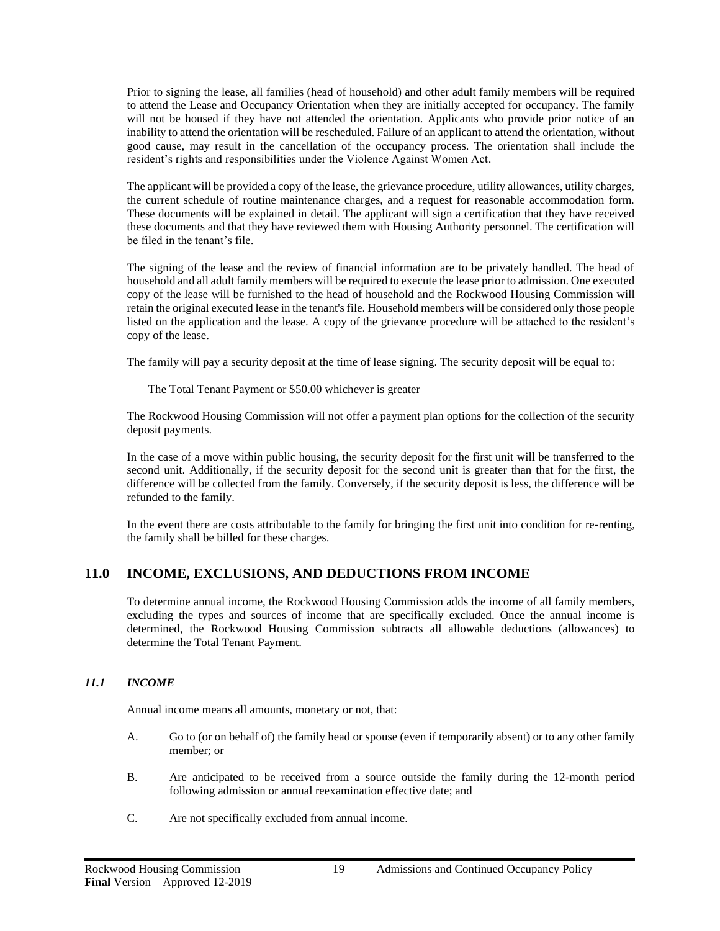Prior to signing the lease, all families (head of household) and other adult family members will be required to attend the Lease and Occupancy Orientation when they are initially accepted for occupancy. The family will not be housed if they have not attended the orientation. Applicants who provide prior notice of an inability to attend the orientation will be rescheduled. Failure of an applicant to attend the orientation, without good cause, may result in the cancellation of the occupancy process. The orientation shall include the resident's rights and responsibilities under the Violence Against Women Act.

The applicant will be provided a copy of the lease, the grievance procedure, utility allowances, utility charges, the current schedule of routine maintenance charges, and a request for reasonable accommodation form. These documents will be explained in detail. The applicant will sign a certification that they have received these documents and that they have reviewed them with Housing Authority personnel. The certification will be filed in the tenant's file.

The signing of the lease and the review of financial information are to be privately handled. The head of household and all adult family members will be required to execute the lease prior to admission. One executed copy of the lease will be furnished to the head of household and the Rockwood Housing Commission will retain the original executed lease in the tenant's file. Household members will be considered only those people listed on the application and the lease. A copy of the grievance procedure will be attached to the resident's copy of the lease.

The family will pay a security deposit at the time of lease signing. The security deposit will be equal to:

The Total Tenant Payment or \$50.00 whichever is greater

The Rockwood Housing Commission will not offer a payment plan options for the collection of the security deposit payments.

In the case of a move within public housing, the security deposit for the first unit will be transferred to the second unit. Additionally, if the security deposit for the second unit is greater than that for the first, the difference will be collected from the family. Conversely, if the security deposit is less, the difference will be refunded to the family.

In the event there are costs attributable to the family for bringing the first unit into condition for re-renting, the family shall be billed for these charges.

## <span id="page-22-0"></span>**11.0 INCOME, EXCLUSIONS, AND DEDUCTIONS FROM INCOME**

To determine annual income, the Rockwood Housing Commission adds the income of all family members, excluding the types and sources of income that are specifically excluded. Once the annual income is determined, the Rockwood Housing Commission subtracts all allowable deductions (allowances) to determine the Total Tenant Payment.

## <span id="page-22-1"></span>*11.1 INCOME*

Annual income means all amounts, monetary or not, that:

- A. Go to (or on behalf of) the family head or spouse (even if temporarily absent) or to any other family member; or
- B. Are anticipated to be received from a source outside the family during the 12-month period following admission or annual reexamination effective date; and
- C. Are not specifically excluded from annual income.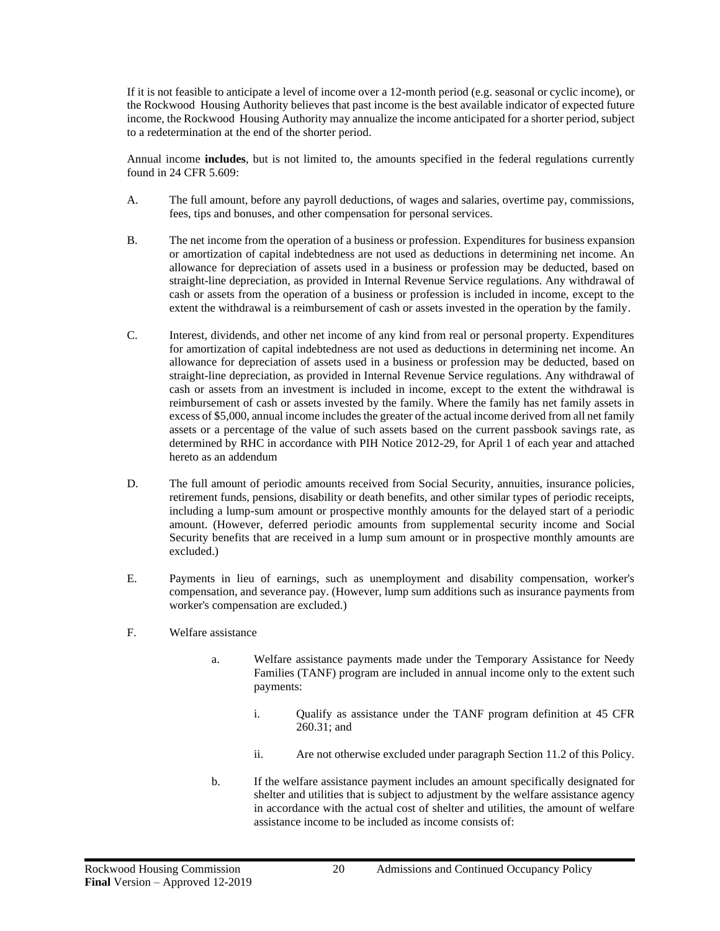If it is not feasible to anticipate a level of income over a 12-month period (e.g. seasonal or cyclic income), or the Rockwood Housing Authority believes that past income is the best available indicator of expected future income, the Rockwood Housing Authority may annualize the income anticipated for a shorter period, subject to a redetermination at the end of the shorter period.

Annual income **includes**, but is not limited to, the amounts specified in the federal regulations currently found in 24 CFR 5.609:

- A. The full amount, before any payroll deductions, of wages and salaries, overtime pay, commissions, fees, tips and bonuses, and other compensation for personal services.
- B. The net income from the operation of a business or profession. Expenditures for business expansion or amortization of capital indebtedness are not used as deductions in determining net income. An allowance for depreciation of assets used in a business or profession may be deducted, based on straight-line depreciation, as provided in Internal Revenue Service regulations. Any withdrawal of cash or assets from the operation of a business or profession is included in income, except to the extent the withdrawal is a reimbursement of cash or assets invested in the operation by the family.
- C. Interest, dividends, and other net income of any kind from real or personal property. Expenditures for amortization of capital indebtedness are not used as deductions in determining net income. An allowance for depreciation of assets used in a business or profession may be deducted, based on straight-line depreciation, as provided in Internal Revenue Service regulations. Any withdrawal of cash or assets from an investment is included in income, except to the extent the withdrawal is reimbursement of cash or assets invested by the family. Where the family has net family assets in excess of \$5,000, annual income includes the greater of the actual income derived from all net family assets or a percentage of the value of such assets based on the current passbook savings rate, as determined by RHC in accordance with PIH Notice 2012-29, for April 1 of each year and attached hereto as an addendum
- D. The full amount of periodic amounts received from Social Security, annuities, insurance policies, retirement funds, pensions, disability or death benefits, and other similar types of periodic receipts, including a lump-sum amount or prospective monthly amounts for the delayed start of a periodic amount. (However, deferred periodic amounts from supplemental security income and Social Security benefits that are received in a lump sum amount or in prospective monthly amounts are excluded.)
- E. Payments in lieu of earnings, such as unemployment and disability compensation, worker's compensation, and severance pay. (However, lump sum additions such as insurance payments from worker's compensation are excluded.)
- F. Welfare assistance
	- a. Welfare assistance payments made under the Temporary Assistance for Needy Families (TANF) program are included in annual income only to the extent such payments:
		- i. Qualify as assistance under the TANF program definition at 45 CFR 260.31; and
		- ii. Are not otherwise excluded under paragraph Section 11.2 of this Policy.
	- b. If the welfare assistance payment includes an amount specifically designated for shelter and utilities that is subject to adjustment by the welfare assistance agency in accordance with the actual cost of shelter and utilities, the amount of welfare assistance income to be included as income consists of: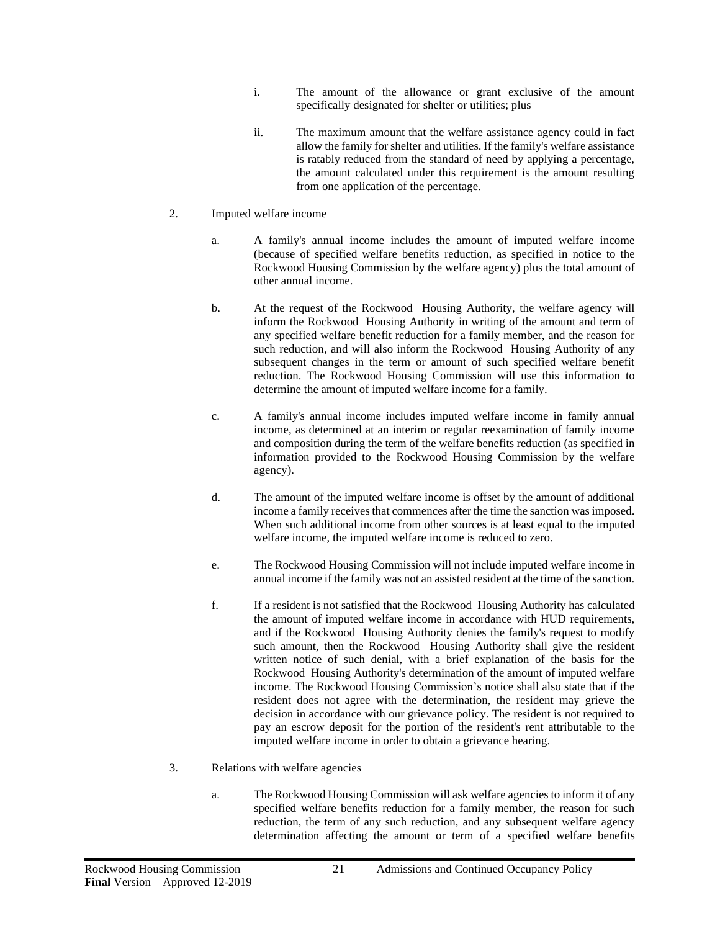- i. The amount of the allowance or grant exclusive of the amount specifically designated for shelter or utilities; plus
- ii. The maximum amount that the welfare assistance agency could in fact allow the family for shelter and utilities. If the family's welfare assistance is ratably reduced from the standard of need by applying a percentage, the amount calculated under this requirement is the amount resulting from one application of the percentage.

## 2. Imputed welfare income

- a. A family's annual income includes the amount of imputed welfare income (because of specified welfare benefits reduction, as specified in notice to the Rockwood Housing Commission by the welfare agency) plus the total amount of other annual income.
- b. At the request of the Rockwood Housing Authority, the welfare agency will inform the Rockwood Housing Authority in writing of the amount and term of any specified welfare benefit reduction for a family member, and the reason for such reduction, and will also inform the Rockwood Housing Authority of any subsequent changes in the term or amount of such specified welfare benefit reduction. The Rockwood Housing Commission will use this information to determine the amount of imputed welfare income for a family.
- c. A family's annual income includes imputed welfare income in family annual income, as determined at an interim or regular reexamination of family income and composition during the term of the welfare benefits reduction (as specified in information provided to the Rockwood Housing Commission by the welfare agency).
- d. The amount of the imputed welfare income is offset by the amount of additional income a family receives that commences after the time the sanction was imposed. When such additional income from other sources is at least equal to the imputed welfare income, the imputed welfare income is reduced to zero.
- e. The Rockwood Housing Commission will not include imputed welfare income in annual income if the family was not an assisted resident at the time of the sanction.
- f. If a resident is not satisfied that the Rockwood Housing Authority has calculated the amount of imputed welfare income in accordance with HUD requirements, and if the Rockwood Housing Authority denies the family's request to modify such amount, then the Rockwood Housing Authority shall give the resident written notice of such denial, with a brief explanation of the basis for the Rockwood Housing Authority's determination of the amount of imputed welfare income. The Rockwood Housing Commission's notice shall also state that if the resident does not agree with the determination, the resident may grieve the decision in accordance with our grievance policy. The resident is not required to pay an escrow deposit for the portion of the resident's rent attributable to the imputed welfare income in order to obtain a grievance hearing.
- 3. Relations with welfare agencies
	- a. The Rockwood Housing Commission will ask welfare agencies to inform it of any specified welfare benefits reduction for a family member, the reason for such reduction, the term of any such reduction, and any subsequent welfare agency determination affecting the amount or term of a specified welfare benefits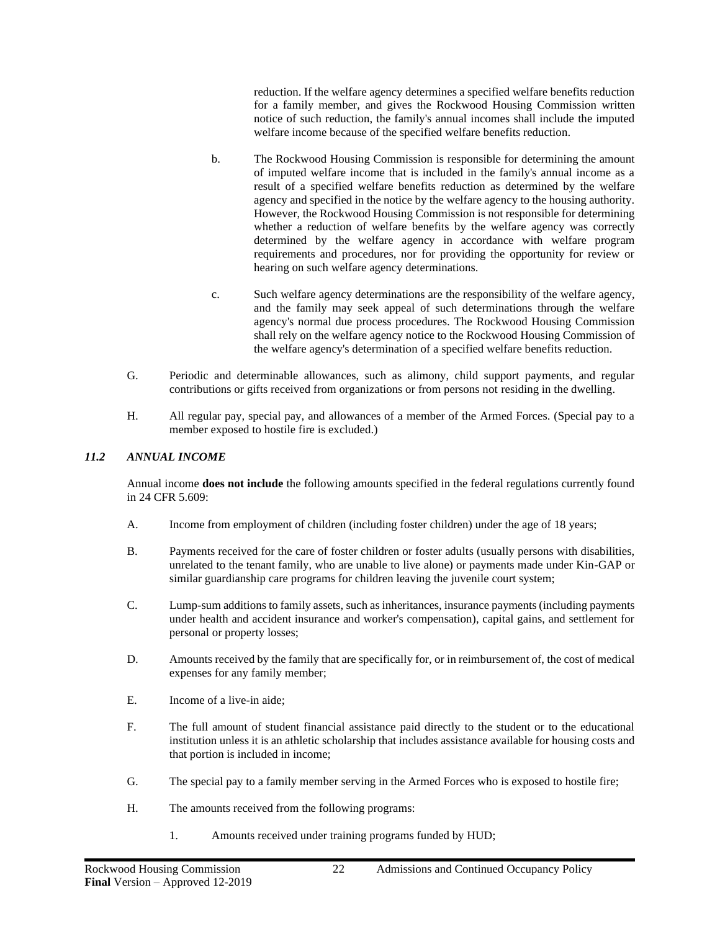reduction. If the welfare agency determines a specified welfare benefits reduction for a family member, and gives the Rockwood Housing Commission written notice of such reduction, the family's annual incomes shall include the imputed welfare income because of the specified welfare benefits reduction.

- b. The Rockwood Housing Commission is responsible for determining the amount of imputed welfare income that is included in the family's annual income as a result of a specified welfare benefits reduction as determined by the welfare agency and specified in the notice by the welfare agency to the housing authority. However, the Rockwood Housing Commission is not responsible for determining whether a reduction of welfare benefits by the welfare agency was correctly determined by the welfare agency in accordance with welfare program requirements and procedures, nor for providing the opportunity for review or hearing on such welfare agency determinations.
- c. Such welfare agency determinations are the responsibility of the welfare agency, and the family may seek appeal of such determinations through the welfare agency's normal due process procedures. The Rockwood Housing Commission shall rely on the welfare agency notice to the Rockwood Housing Commission of the welfare agency's determination of a specified welfare benefits reduction.
- G. Periodic and determinable allowances, such as alimony, child support payments, and regular contributions or gifts received from organizations or from persons not residing in the dwelling.
- H. All regular pay, special pay, and allowances of a member of the Armed Forces. (Special pay to a member exposed to hostile fire is excluded.)

## <span id="page-25-0"></span>*11.2 ANNUAL INCOME*

Annual income **does not include** the following amounts specified in the federal regulations currently found in 24 CFR 5.609:

- A. Income from employment of children (including foster children) under the age of 18 years;
- B. Payments received for the care of foster children or foster adults (usually persons with disabilities, unrelated to the tenant family, who are unable to live alone) or payments made under Kin-GAP or similar guardianship care programs for children leaving the juvenile court system;
- C. Lump-sum additions to family assets, such as inheritances, insurance payments (including payments under health and accident insurance and worker's compensation), capital gains, and settlement for personal or property losses;
- D. Amounts received by the family that are specifically for, or in reimbursement of, the cost of medical expenses for any family member;
- E. Income of a live-in aide;
- F. The full amount of student financial assistance paid directly to the student or to the educational institution unless it is an athletic scholarship that includes assistance available for housing costs and that portion is included in income;
- G. The special pay to a family member serving in the Armed Forces who is exposed to hostile fire;
- H. The amounts received from the following programs:
	- 1. Amounts received under training programs funded by HUD;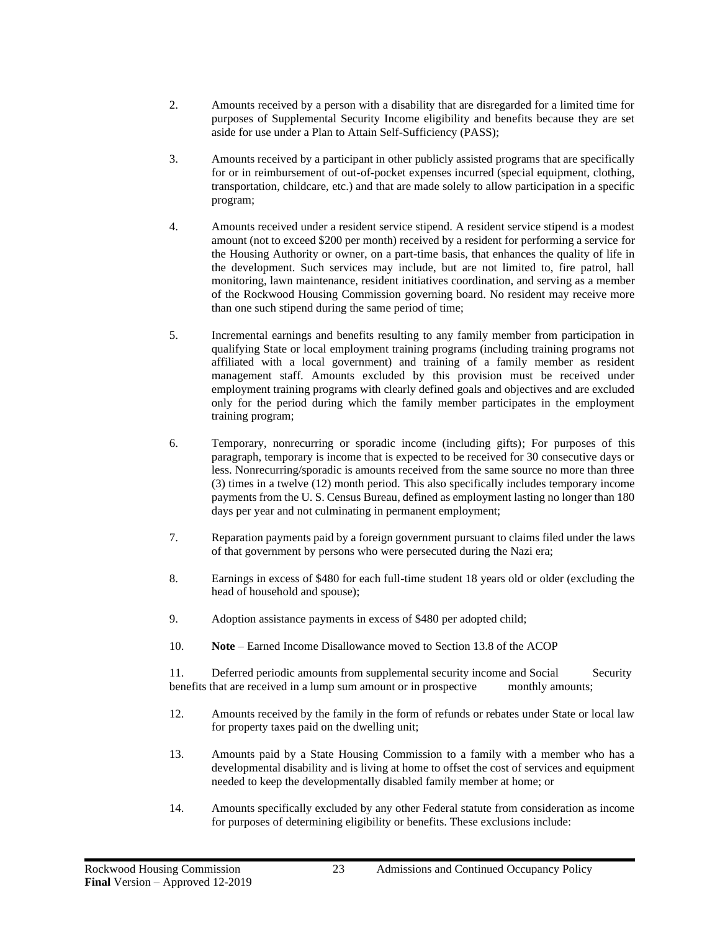- 2. Amounts received by a person with a disability that are disregarded for a limited time for purposes of Supplemental Security Income eligibility and benefits because they are set aside for use under a Plan to Attain Self-Sufficiency (PASS);
- 3. Amounts received by a participant in other publicly assisted programs that are specifically for or in reimbursement of out-of-pocket expenses incurred (special equipment, clothing, transportation, childcare, etc.) and that are made solely to allow participation in a specific program;
- 4. Amounts received under a resident service stipend. A resident service stipend is a modest amount (not to exceed \$200 per month) received by a resident for performing a service for the Housing Authority or owner, on a part-time basis, that enhances the quality of life in the development. Such services may include, but are not limited to, fire patrol, hall monitoring, lawn maintenance, resident initiatives coordination, and serving as a member of the Rockwood Housing Commission governing board. No resident may receive more than one such stipend during the same period of time;
- 5. Incremental earnings and benefits resulting to any family member from participation in qualifying State or local employment training programs (including training programs not affiliated with a local government) and training of a family member as resident management staff. Amounts excluded by this provision must be received under employment training programs with clearly defined goals and objectives and are excluded only for the period during which the family member participates in the employment training program;
- 6. Temporary, nonrecurring or sporadic income (including gifts); For purposes of this paragraph, temporary is income that is expected to be received for 30 consecutive days or less. Nonrecurring/sporadic is amounts received from the same source no more than three (3) times in a twelve (12) month period. This also specifically includes temporary income payments from the U. S. Census Bureau, defined as employment lasting no longer than 180 days per year and not culminating in permanent employment;
- 7. Reparation payments paid by a foreign government pursuant to claims filed under the laws of that government by persons who were persecuted during the Nazi era;
- 8. Earnings in excess of \$480 for each full-time student 18 years old or older (excluding the head of household and spouse);
- 9. Adoption assistance payments in excess of \$480 per adopted child;
- 10. **Note** Earned Income Disallowance moved to Section 13.8 of the ACOP

11. Deferred periodic amounts from supplemental security income and Social Security benefits that are received in a lump sum amount or in prospective monthly amounts;

- 12. Amounts received by the family in the form of refunds or rebates under State or local law for property taxes paid on the dwelling unit;
- 13. Amounts paid by a State Housing Commission to a family with a member who has a developmental disability and is living at home to offset the cost of services and equipment needed to keep the developmentally disabled family member at home; or
- 14. Amounts specifically excluded by any other Federal statute from consideration as income for purposes of determining eligibility or benefits. These exclusions include: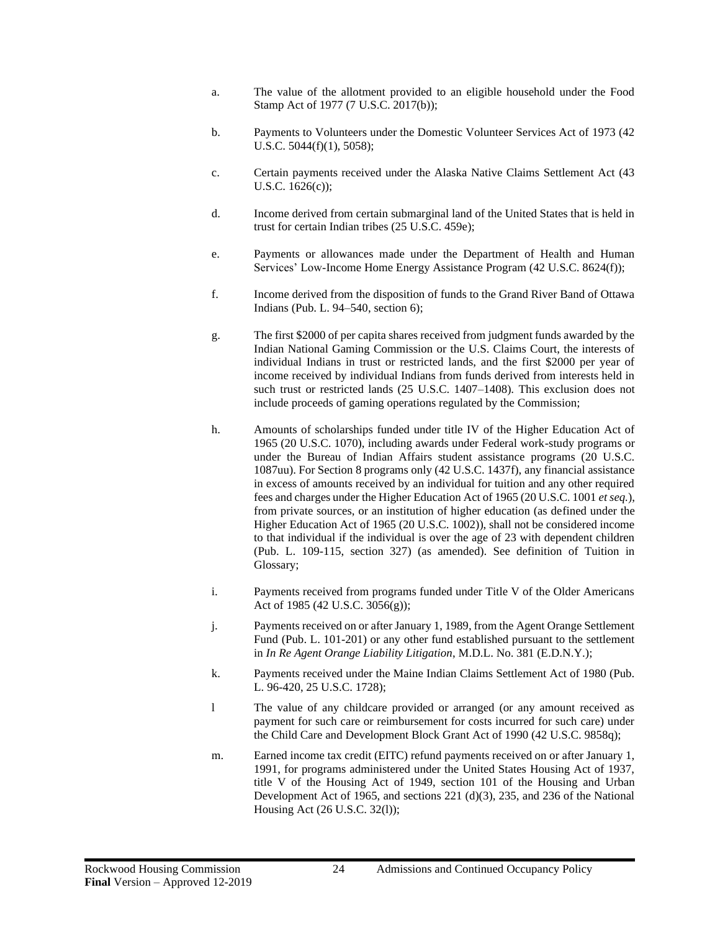- a. The value of the allotment provided to an eligible household under the Food Stamp Act of 1977 (7 U.S.C. 2017(b));
- b. Payments to Volunteers under the Domestic Volunteer Services Act of 1973 (42 U.S.C. 5044(f)(1), 5058);
- c. Certain payments received under the Alaska Native Claims Settlement Act (43 U.S.C. 1626(c));
- d. Income derived from certain submarginal land of the United States that is held in trust for certain Indian tribes (25 U.S.C. 459e);
- e. Payments or allowances made under the Department of Health and Human Services' Low-Income Home Energy Assistance Program (42 U.S.C. 8624(f));
- f. Income derived from the disposition of funds to the Grand River Band of Ottawa Indians (Pub. L. 94–540, section 6);
- g. The first \$2000 of per capita shares received from judgment funds awarded by the Indian National Gaming Commission or the U.S. Claims Court, the interests of individual Indians in trust or restricted lands, and the first \$2000 per year of income received by individual Indians from funds derived from interests held in such trust or restricted lands (25 U.S.C. 1407–1408). This exclusion does not include proceeds of gaming operations regulated by the Commission;
- h. Amounts of scholarships funded under title IV of the Higher Education Act of 1965 (20 U.S.C. 1070), including awards under Federal work-study programs or under the Bureau of Indian Affairs student assistance programs (20 U.S.C. 1087uu). For Section 8 programs only (42 U.S.C. 1437f), any financial assistance in excess of amounts received by an individual for tuition and any other required fees and charges under the Higher Education Act of 1965 (20 U.S.C. 1001 *et seq.*), from private sources, or an institution of higher education (as defined under the Higher Education Act of 1965 (20 U.S.C. 1002)), shall not be considered income to that individual if the individual is over the age of 23 with dependent children (Pub. L. 109-115, section 327) (as amended). See definition of Tuition in Glossary;
- i. Payments received from programs funded under Title V of the Older Americans Act of 1985 (42 U.S.C. 3056(g));
- j. Payments received on or after January 1, 1989, from the Agent Orange Settlement Fund (Pub. L. 101-201) or any other fund established pursuant to the settlement in *In Re Agent Orange Liability Litigation*, M.D.L. No. 381 (E.D.N.Y.);
- k. Payments received under the Maine Indian Claims Settlement Act of 1980 (Pub. L. 96-420, 25 U.S.C. 1728);
- l The value of any childcare provided or arranged (or any amount received as payment for such care or reimbursement for costs incurred for such care) under the Child Care and Development Block Grant Act of 1990 (42 U.S.C. 9858q);
- m. Earned income tax credit (EITC) refund payments received on or after January 1, 1991, for programs administered under the United States Housing Act of 1937, title V of the Housing Act of 1949, section 101 of the Housing and Urban Development Act of 1965, and sections 221 (d)(3), 235, and 236 of the National Housing Act (26 U.S.C. 32(l));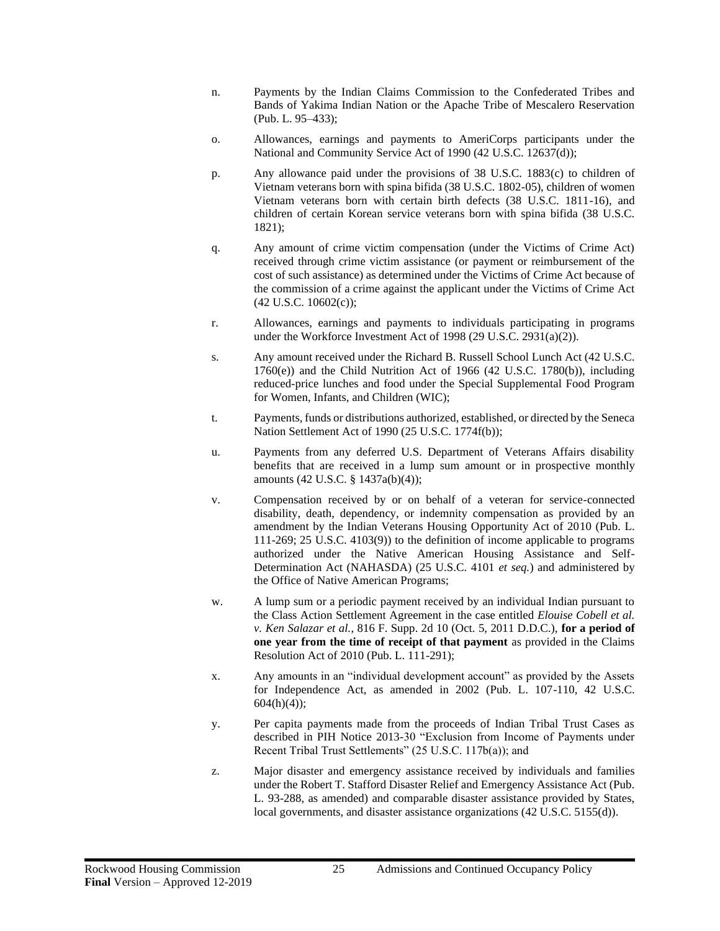- n. Payments by the Indian Claims Commission to the Confederated Tribes and Bands of Yakima Indian Nation or the Apache Tribe of Mescalero Reservation (Pub. L. 95–433);
- o. Allowances, earnings and payments to AmeriCorps participants under the National and Community Service Act of 1990 (42 U.S.C. 12637(d));
- p. Any allowance paid under the provisions of 38 U.S.C. 1883(c) to children of Vietnam veterans born with spina bifida (38 U.S.C. 1802-05), children of women Vietnam veterans born with certain birth defects (38 U.S.C. 1811-16), and children of certain Korean service veterans born with spina bifida (38 U.S.C. 1821);
- q. Any amount of crime victim compensation (under the Victims of Crime Act) received through crime victim assistance (or payment or reimbursement of the cost of such assistance) as determined under the Victims of Crime Act because of the commission of a crime against the applicant under the Victims of Crime Act (42 U.S.C. 10602(c));
- r. Allowances, earnings and payments to individuals participating in programs under the Workforce Investment Act of 1998 (29 U.S.C. 2931(a)(2)).
- s. Any amount received under the Richard B. Russell School Lunch Act (42 U.S.C.  $1760(e)$ ) and the Child Nutrition Act of 1966 (42 U.S.C. 1780(b)), including reduced-price lunches and food under the Special Supplemental Food Program for Women, Infants, and Children (WIC);
- t. Payments, funds or distributions authorized, established, or directed by the Seneca Nation Settlement Act of 1990 (25 U.S.C. 1774f(b));
- u. Payments from any deferred U.S. Department of Veterans Affairs disability benefits that are received in a lump sum amount or in prospective monthly amounts (42 U.S.C. § 1437a(b)(4));
- v. Compensation received by or on behalf of a veteran for service-connected disability, death, dependency, or indemnity compensation as provided by an amendment by the Indian Veterans Housing Opportunity Act of 2010 (Pub. L. 111-269; 25 U.S.C. 4103(9)) to the definition of income applicable to programs authorized under the Native American Housing Assistance and Self-Determination Act (NAHASDA) (25 U.S.C. 4101 *et seq.*) and administered by the Office of Native American Programs;
- w. A lump sum or a periodic payment received by an individual Indian pursuant to the Class Action Settlement Agreement in the case entitled *Elouise Cobell et al. v. Ken Salazar et al.*, 816 F. Supp. 2d 10 (Oct. 5, 2011 D.D.C.), **for a period of one year from the time of receipt of that payment** as provided in the Claims Resolution Act of 2010 (Pub. L. 111-291);
- x. Any amounts in an "individual development account" as provided by the Assets for Independence Act, as amended in 2002 (Pub. L. 107-110, 42 U.S.C.  $604(h)(4)$ ;
- y. Per capita payments made from the proceeds of Indian Tribal Trust Cases as described in PIH Notice 2013-30 "Exclusion from Income of Payments under Recent Tribal Trust Settlements" (25 U.S.C. 117b(a)); and
- z. Major disaster and emergency assistance received by individuals and families under the Robert T. Stafford Disaster Relief and Emergency Assistance Act (Pub. L. 93-288, as amended) and comparable disaster assistance provided by States, local governments, and disaster assistance organizations (42 U.S.C. 5155(d)).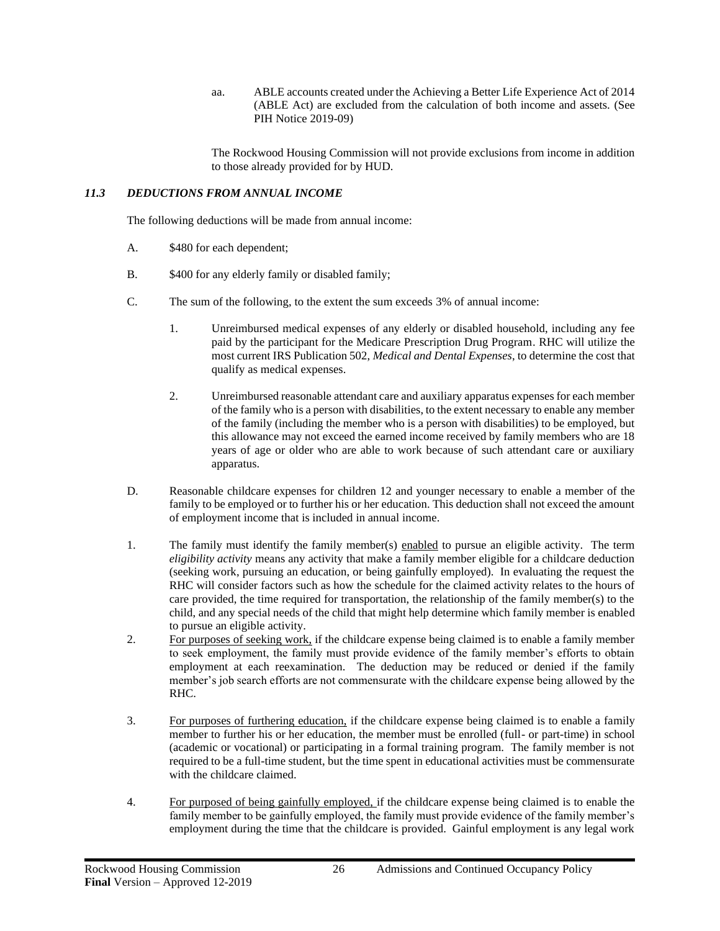aa. ABLE accounts created under the Achieving a Better Life Experience Act of 2014 (ABLE Act) are excluded from the calculation of both income and assets. (See PIH Notice 2019-09)

The Rockwood Housing Commission will not provide exclusions from income in addition to those already provided for by HUD.

## <span id="page-29-0"></span>*11.3 DEDUCTIONS FROM ANNUAL INCOME*

The following deductions will be made from annual income:

- A. \$480 for each dependent;
- B.  $$400$  for any elderly family or disabled family;
- C. The sum of the following, to the extent the sum exceeds 3% of annual income:
	- 1. Unreimbursed medical expenses of any elderly or disabled household, including any fee paid by the participant for the Medicare Prescription Drug Program. RHC will utilize the most current IRS Publication 502, *Medical and Dental Expenses*, to determine the cost that qualify as medical expenses.
	- 2. Unreimbursed reasonable attendant care and auxiliary apparatus expenses for each member of the family who is a person with disabilities, to the extent necessary to enable any member of the family (including the member who is a person with disabilities) to be employed, but this allowance may not exceed the earned income received by family members who are 18 years of age or older who are able to work because of such attendant care or auxiliary apparatus.
- D. Reasonable childcare expenses for children 12 and younger necessary to enable a member of the family to be employed or to further his or her education. This deduction shall not exceed the amount of employment income that is included in annual income.
- 1. The family must identify the family member(s) enabled to pursue an eligible activity. The term *eligibility activity* means any activity that make a family member eligible for a childcare deduction (seeking work, pursuing an education, or being gainfully employed). In evaluating the request the RHC will consider factors such as how the schedule for the claimed activity relates to the hours of care provided, the time required for transportation, the relationship of the family member(s) to the child, and any special needs of the child that might help determine which family member is enabled to pursue an eligible activity.
- 2. For purposes of seeking work, if the childcare expense being claimed is to enable a family member to seek employment, the family must provide evidence of the family member's efforts to obtain employment at each reexamination. The deduction may be reduced or denied if the family member's job search efforts are not commensurate with the childcare expense being allowed by the RHC.
- 3. For purposes of furthering education, if the childcare expense being claimed is to enable a family member to further his or her education, the member must be enrolled (full- or part-time) in school (academic or vocational) or participating in a formal training program. The family member is not required to be a full-time student, but the time spent in educational activities must be commensurate with the childcare claimed.
- 4. For purposed of being gainfully employed, if the childcare expense being claimed is to enable the family member to be gainfully employed, the family must provide evidence of the family member's employment during the time that the childcare is provided. Gainful employment is any legal work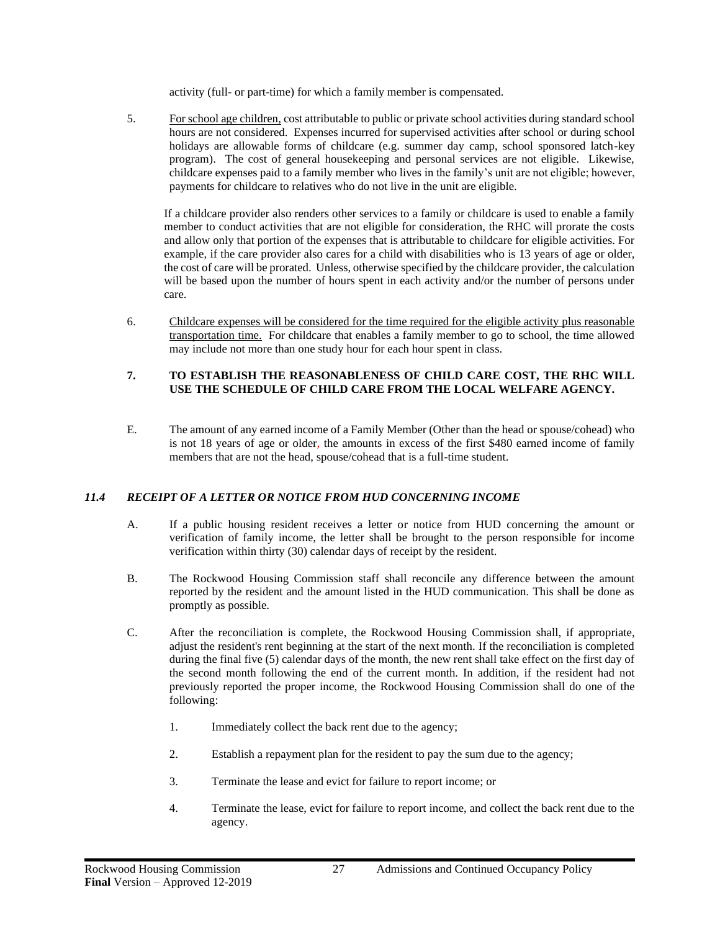activity (full- or part-time) for which a family member is compensated.

5. For school age children, cost attributable to public or private school activities during standard school hours are not considered. Expenses incurred for supervised activities after school or during school holidays are allowable forms of childcare (e.g. summer day camp, school sponsored latch-key program). The cost of general housekeeping and personal services are not eligible. Likewise, childcare expenses paid to a family member who lives in the family's unit are not eligible; however, payments for childcare to relatives who do not live in the unit are eligible.

If a childcare provider also renders other services to a family or childcare is used to enable a family member to conduct activities that are not eligible for consideration, the RHC will prorate the costs and allow only that portion of the expenses that is attributable to childcare for eligible activities. For example, if the care provider also cares for a child with disabilities who is 13 years of age or older, the cost of care will be prorated. Unless, otherwise specified by the childcare provider, the calculation will be based upon the number of hours spent in each activity and/or the number of persons under care.

6. Childcare expenses will be considered for the time required for the eligible activity plus reasonable transportation time. For childcare that enables a family member to go to school, the time allowed may include not more than one study hour for each hour spent in class.

## **7. TO ESTABLISH THE REASONABLENESS OF CHILD CARE COST, THE RHC WILL USE THE SCHEDULE OF CHILD CARE FROM THE LOCAL WELFARE AGENCY.**

E. The amount of any earned income of a Family Member (Other than the head or spouse/cohead) who is not 18 years of age or older, the amounts in excess of the first \$480 earned income of family members that are not the head, spouse/cohead that is a full-time student.

## <span id="page-30-0"></span>*11.4 RECEIPT OF A LETTER OR NOTICE FROM HUD CONCERNING INCOME*

- A. If a public housing resident receives a letter or notice from HUD concerning the amount or verification of family income, the letter shall be brought to the person responsible for income verification within thirty (30) calendar days of receipt by the resident.
- B. The Rockwood Housing Commission staff shall reconcile any difference between the amount reported by the resident and the amount listed in the HUD communication. This shall be done as promptly as possible.
- C. After the reconciliation is complete, the Rockwood Housing Commission shall, if appropriate, adjust the resident's rent beginning at the start of the next month. If the reconciliation is completed during the final five (5) calendar days of the month, the new rent shall take effect on the first day of the second month following the end of the current month. In addition, if the resident had not previously reported the proper income, the Rockwood Housing Commission shall do one of the following:
	- 1. Immediately collect the back rent due to the agency;
	- 2. Establish a repayment plan for the resident to pay the sum due to the agency;
	- 3. Terminate the lease and evict for failure to report income; or
	- 4. Terminate the lease, evict for failure to report income, and collect the back rent due to the agency.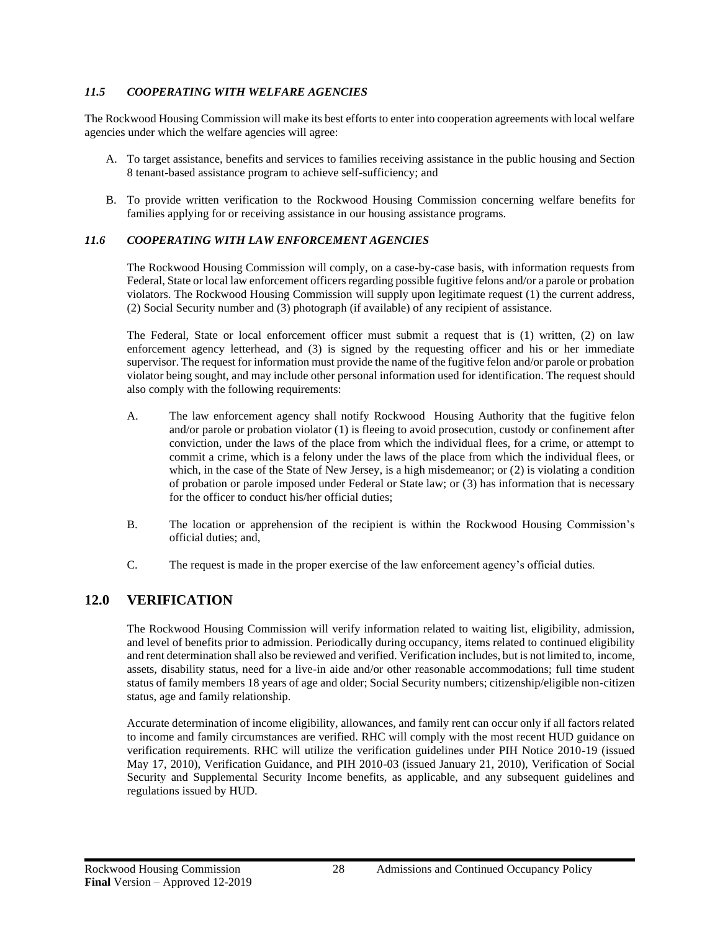## <span id="page-31-0"></span>*11.5 COOPERATING WITH WELFARE AGENCIES*

The Rockwood Housing Commission will make its best efforts to enter into cooperation agreements with local welfare agencies under which the welfare agencies will agree:

- A. To target assistance, benefits and services to families receiving assistance in the public housing and Section 8 tenant-based assistance program to achieve self-sufficiency; and
- B. To provide written verification to the Rockwood Housing Commission concerning welfare benefits for families applying for or receiving assistance in our housing assistance programs.

## <span id="page-31-1"></span>*11.6 COOPERATING WITH LAW ENFORCEMENT AGENCIES*

The Rockwood Housing Commission will comply, on a case-by-case basis, with information requests from Federal, State or local law enforcement officers regarding possible fugitive felons and/or a parole or probation violators. The Rockwood Housing Commission will supply upon legitimate request (1) the current address, (2) Social Security number and (3) photograph (if available) of any recipient of assistance.

The Federal, State or local enforcement officer must submit a request that is (1) written, (2) on law enforcement agency letterhead, and (3) is signed by the requesting officer and his or her immediate supervisor. The request for information must provide the name of the fugitive felon and/or parole or probation violator being sought, and may include other personal information used for identification. The request should also comply with the following requirements:

- A. The law enforcement agency shall notify Rockwood Housing Authority that the fugitive felon and/or parole or probation violator (1) is fleeing to avoid prosecution, custody or confinement after conviction, under the laws of the place from which the individual flees, for a crime, or attempt to commit a crime, which is a felony under the laws of the place from which the individual flees, or which, in the case of the State of New Jersey, is a high misdemeanor; or  $(2)$  is violating a condition of probation or parole imposed under Federal or State law; or (3) has information that is necessary for the officer to conduct his/her official duties;
- B. The location or apprehension of the recipient is within the Rockwood Housing Commission's official duties; and,
- C. The request is made in the proper exercise of the law enforcement agency's official duties.

## <span id="page-31-2"></span>**12.0 VERIFICATION**

The Rockwood Housing Commission will verify information related to waiting list, eligibility, admission, and level of benefits prior to admission. Periodically during occupancy, items related to continued eligibility and rent determination shall also be reviewed and verified. Verification includes, but is not limited to, income, assets, disability status, need for a live-in aide and/or other reasonable accommodations; full time student status of family members 18 years of age and older; Social Security numbers; citizenship/eligible non-citizen status, age and family relationship.

Accurate determination of income eligibility, allowances, and family rent can occur only if all factors related to income and family circumstances are verified. RHC will comply with the most recent HUD guidance on verification requirements. RHC will utilize the verification guidelines under PIH Notice 2010-19 (issued May 17, 2010), Verification Guidance, and PIH 2010-03 (issued January 21, 2010), Verification of Social Security and Supplemental Security Income benefits, as applicable, and any subsequent guidelines and regulations issued by HUD.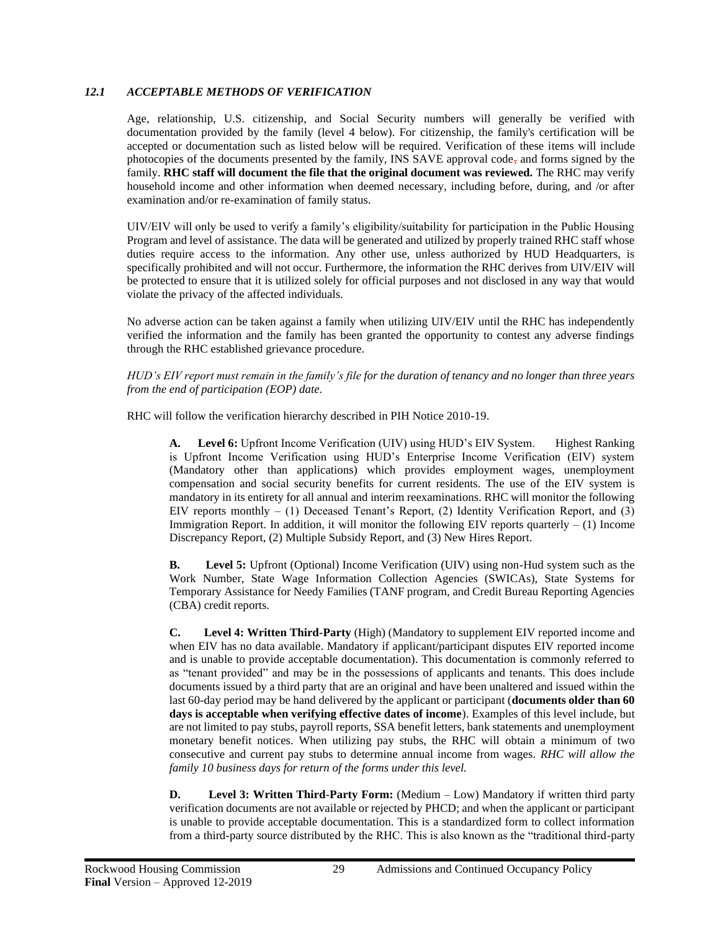## <span id="page-32-0"></span>*12.1 ACCEPTABLE METHODS OF VERIFICATION*

Age, relationship, U.S. citizenship, and Social Security numbers will generally be verified with documentation provided by the family (level 4 below). For citizenship, the family's certification will be accepted or documentation such as listed below will be required. Verification of these items will include photocopies of the documents presented by the family, INS SAVE approval code, and forms signed by the family. **RHC staff will document the file that the original document was reviewed.** The RHC may verify household income and other information when deemed necessary, including before, during, and /or after examination and/or re-examination of family status.

UIV/EIV will only be used to verify a family's eligibility/suitability for participation in the Public Housing Program and level of assistance. The data will be generated and utilized by properly trained RHC staff whose duties require access to the information. Any other use, unless authorized by HUD Headquarters, is specifically prohibited and will not occur. Furthermore, the information the RHC derives from UIV/EIV will be protected to ensure that it is utilized solely for official purposes and not disclosed in any way that would violate the privacy of the affected individuals.

No adverse action can be taken against a family when utilizing UIV/EIV until the RHC has independently verified the information and the family has been granted the opportunity to contest any adverse findings through the RHC established grievance procedure.

*HUD's EIV report must remain in the family's file for the duration of tenancy and no longer than three years from the end of participation (EOP) date.*

RHC will follow the verification hierarchy described in PIH Notice 2010-19.

**Level 6:** Upfront Income Verification (UIV) using HUD's EIV System. Highest Ranking is Upfront Income Verification using HUD's Enterprise Income Verification (EIV) system (Mandatory other than applications) which provides employment wages, unemployment compensation and social security benefits for current residents. The use of the EIV system is mandatory in its entirety for all annual and interim reexaminations. RHC will monitor the following EIV reports monthly  $- (1)$  Deceased Tenant's Report,  $(2)$  Identity Verification Report, and  $(3)$ Immigration Report. In addition, it will monitor the following EIV reports quarterly  $- (1)$  Income Discrepancy Report, (2) Multiple Subsidy Report, and (3) New Hires Report.

**B. Level 5:** Upfront (Optional) Income Verification (UIV) using non-Hud system such as the Work Number, State Wage Information Collection Agencies (SWICAs), State Systems for Temporary Assistance for Needy Families (TANF program, and Credit Bureau Reporting Agencies (CBA) credit reports.

**C. Level 4: Written Third-Party** (High) (Mandatory to supplement EIV reported income and when EIV has no data available. Mandatory if applicant/participant disputes EIV reported income and is unable to provide acceptable documentation). This documentation is commonly referred to as "tenant provided" and may be in the possessions of applicants and tenants. This does include documents issued by a third party that are an original and have been unaltered and issued within the last 60-day period may be hand delivered by the applicant or participant (**documents older than 60 days is acceptable when verifying effective dates of income**). Examples of this level include, but are not limited to pay stubs, payroll reports, SSA benefit letters, bank statements and unemployment monetary benefit notices. When utilizing pay stubs, the RHC will obtain a minimum of two consecutive and current pay stubs to determine annual income from wages. *RHC will allow the family 10 business days for return of the forms under this level.*

**D.** Level 3: Written Third-Party Form: (Medium – Low) Mandatory if written third party verification documents are not available or rejected by PHCD; and when the applicant or participant is unable to provide acceptable documentation. This is a standardized form to collect information from a third-party source distributed by the RHC. This is also known as the "traditional third-party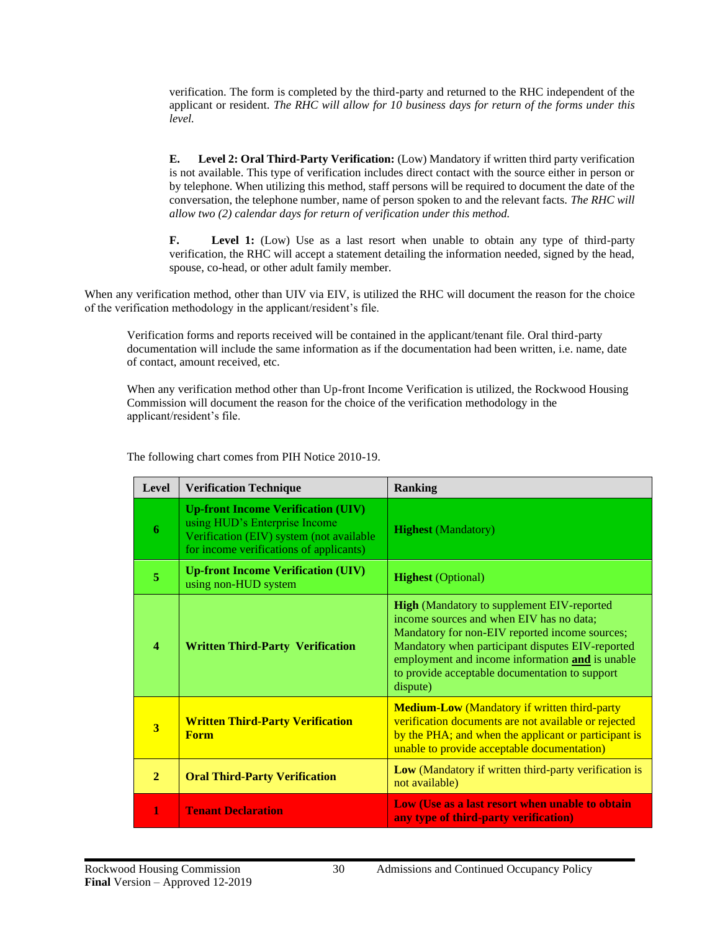verification. The form is completed by the third-party and returned to the RHC independent of the applicant or resident. *The RHC will allow for 10 business days for return of the forms under this level.* 

**E. Level 2: Oral Third-Party Verification:** (Low) Mandatory if written third party verification is not available. This type of verification includes direct contact with the source either in person or by telephone. When utilizing this method, staff persons will be required to document the date of the conversation, the telephone number, name of person spoken to and the relevant facts. *The RHC will allow two (2) calendar days for return of verification under this method.*

**F.** Level 1: (Low) Use as a last resort when unable to obtain any type of third-party verification, the RHC will accept a statement detailing the information needed, signed by the head, spouse, co-head, or other adult family member.

When any verification method, other than UIV via EIV, is utilized the RHC will document the reason for the choice of the verification methodology in the applicant/resident's file.

Verification forms and reports received will be contained in the applicant/tenant file. Oral third-party documentation will include the same information as if the documentation had been written, i.e. name, date of contact, amount received, etc.

When any verification method other than Up-front Income Verification is utilized, the Rockwood Housing Commission will document the reason for the choice of the verification methodology in the applicant/resident's file.

| Level                   | <b>Verification Technique</b>                                                                                                                                     | <b>Ranking</b>                                                                                                                                                                                                                                                                                                       |
|-------------------------|-------------------------------------------------------------------------------------------------------------------------------------------------------------------|----------------------------------------------------------------------------------------------------------------------------------------------------------------------------------------------------------------------------------------------------------------------------------------------------------------------|
| 6                       | <b>Up-front Income Verification (UIV)</b><br>using HUD's Enterprise Income<br>Verification (EIV) system (not available<br>for income verifications of applicants) | <b>Highest</b> (Mandatory)                                                                                                                                                                                                                                                                                           |
| 5                       | <b>Up-front Income Verification (UIV)</b><br>using non-HUD system                                                                                                 | <b>Highest</b> (Optional)                                                                                                                                                                                                                                                                                            |
| $\overline{\mathbf{4}}$ | <b>Written Third-Party Verification</b>                                                                                                                           | <b>High</b> (Mandatory to supplement EIV-reported<br>income sources and when EIV has no data;<br>Mandatory for non-EIV reported income sources;<br>Mandatory when participant disputes EIV-reported<br>employment and income information and is unable<br>to provide acceptable documentation to support<br>dispute) |
| $\overline{\mathbf{3}}$ | <b>Written Third-Party Verification</b><br><b>Form</b>                                                                                                            | <b>Medium-Low</b> (Mandatory if written third-party<br>verification documents are not available or rejected<br>by the PHA; and when the applicant or participant is<br>unable to provide acceptable documentation)                                                                                                   |
| $\overline{2}$          | <b>Oral Third-Party Verification</b>                                                                                                                              | Low (Mandatory if written third-party verification is<br>not available)                                                                                                                                                                                                                                              |
| 1                       | <b>Tenant Declaration</b>                                                                                                                                         | Low (Use as a last resort when unable to obtain<br>any type of third-party verification)                                                                                                                                                                                                                             |

The following chart comes from PIH Notice 2010-19.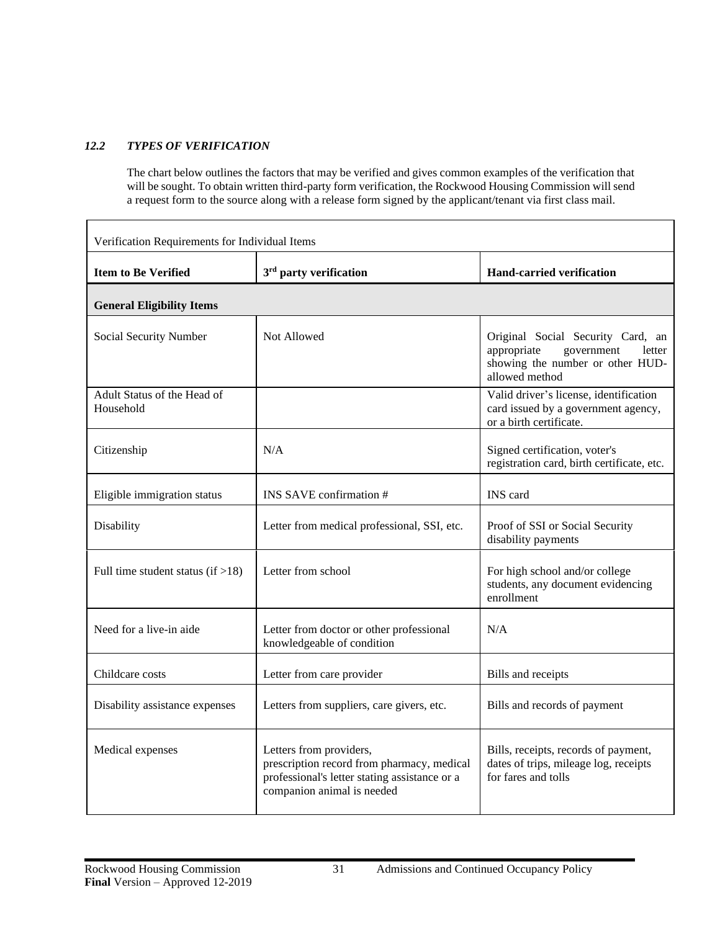## <span id="page-34-0"></span>*12.2 TYPES OF VERIFICATION*

The chart below outlines the factors that may be verified and gives common examples of the verification that will be sought. To obtain written third-party form verification, the Rockwood Housing Commission will send a request form to the source along with a release form signed by the applicant/tenant via first class mail.

| Verification Requirements for Individual Items |                                                                                                                                                      |                                                                                                                                |  |
|------------------------------------------------|------------------------------------------------------------------------------------------------------------------------------------------------------|--------------------------------------------------------------------------------------------------------------------------------|--|
| <b>Item to Be Verified</b>                     | 3 <sup>rd</sup> party verification                                                                                                                   | <b>Hand-carried verification</b>                                                                                               |  |
| <b>General Eligibility Items</b>               |                                                                                                                                                      |                                                                                                                                |  |
| Social Security Number                         | Not Allowed                                                                                                                                          | Original Social Security Card, an<br>appropriate<br>government<br>letter<br>showing the number or other HUD-<br>allowed method |  |
| Adult Status of the Head of<br>Household       |                                                                                                                                                      | Valid driver's license, identification<br>card issued by a government agency,<br>or a birth certificate.                       |  |
| Citizenship                                    | N/A                                                                                                                                                  | Signed certification, voter's<br>registration card, birth certificate, etc.                                                    |  |
| Eligible immigration status                    | INS SAVE confirmation #                                                                                                                              | INS card                                                                                                                       |  |
| Disability                                     | Letter from medical professional, SSI, etc.                                                                                                          | Proof of SSI or Social Security<br>disability payments                                                                         |  |
| Full time student status (if $>18$ )           | Letter from school                                                                                                                                   | For high school and/or college<br>students, any document evidencing<br>enrollment                                              |  |
| Need for a live-in aide                        | Letter from doctor or other professional<br>knowledgeable of condition                                                                               | N/A                                                                                                                            |  |
| Childcare costs                                | Letter from care provider                                                                                                                            | Bills and receipts                                                                                                             |  |
| Disability assistance expenses                 | Letters from suppliers, care givers, etc.                                                                                                            | Bills and records of payment                                                                                                   |  |
| Medical expenses                               | Letters from providers,<br>prescription record from pharmacy, medical<br>professional's letter stating assistance or a<br>companion animal is needed | Bills, receipts, records of payment,<br>dates of trips, mileage log, receipts<br>for fares and tolls                           |  |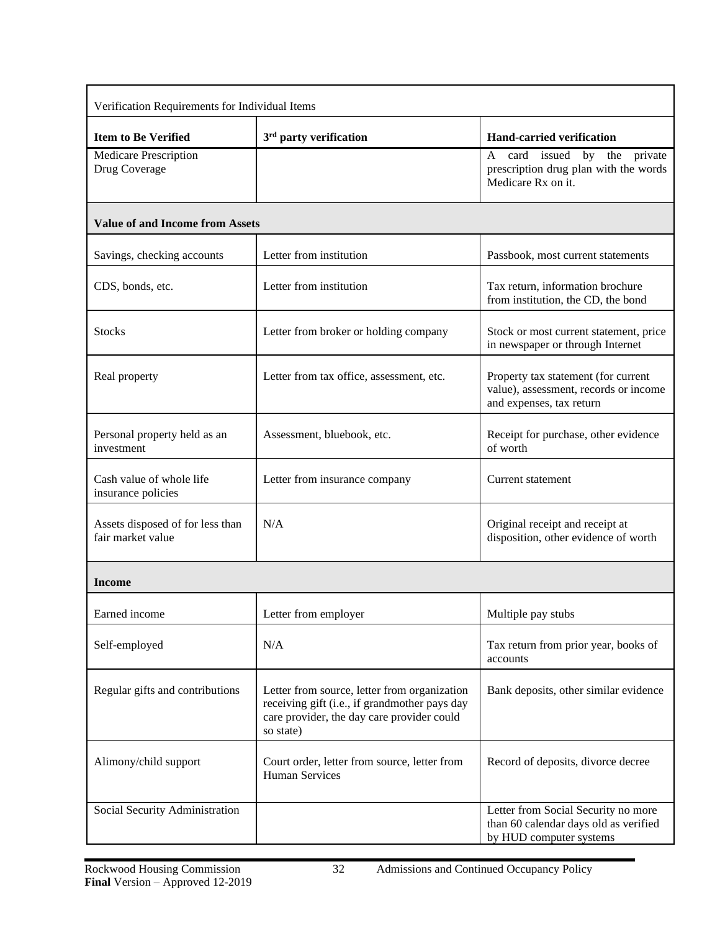| Verification Requirements for Individual Items        |                                                                                                                                                          |                                                                                                          |  |  |
|-------------------------------------------------------|----------------------------------------------------------------------------------------------------------------------------------------------------------|----------------------------------------------------------------------------------------------------------|--|--|
| <b>Item to Be Verified</b>                            | 3 <sup>rd</sup> party verification                                                                                                                       | <b>Hand-carried verification</b>                                                                         |  |  |
| <b>Medicare Prescription</b><br>Drug Coverage         |                                                                                                                                                          | card issued by the<br>private<br>A<br>prescription drug plan with the words<br>Medicare Rx on it.        |  |  |
| <b>Value of and Income from Assets</b>                |                                                                                                                                                          |                                                                                                          |  |  |
| Savings, checking accounts                            | Letter from institution                                                                                                                                  | Passbook, most current statements                                                                        |  |  |
| CDS, bonds, etc.                                      | Letter from institution                                                                                                                                  | Tax return, information brochure<br>from institution, the CD, the bond                                   |  |  |
| <b>Stocks</b>                                         | Letter from broker or holding company                                                                                                                    | Stock or most current statement, price<br>in newspaper or through Internet                               |  |  |
| Real property                                         | Letter from tax office, assessment, etc.                                                                                                                 | Property tax statement (for current<br>value), assessment, records or income<br>and expenses, tax return |  |  |
| Personal property held as an<br>investment            | Assessment, bluebook, etc.                                                                                                                               | Receipt for purchase, other evidence<br>of worth                                                         |  |  |
| Cash value of whole life<br>insurance policies        | Letter from insurance company                                                                                                                            | Current statement                                                                                        |  |  |
| Assets disposed of for less than<br>fair market value | N/A                                                                                                                                                      | Original receipt and receipt at<br>disposition, other evidence of worth                                  |  |  |
| Income                                                |                                                                                                                                                          |                                                                                                          |  |  |
| Earned income                                         | Letter from employer                                                                                                                                     | Multiple pay stubs                                                                                       |  |  |
| Self-employed                                         | N/A                                                                                                                                                      | Tax return from prior year, books of<br>accounts                                                         |  |  |
| Regular gifts and contributions                       | Letter from source, letter from organization<br>receiving gift (i.e., if grandmother pays day<br>care provider, the day care provider could<br>so state) | Bank deposits, other similar evidence                                                                    |  |  |
| Alimony/child support                                 | Court order, letter from source, letter from<br><b>Human Services</b>                                                                                    | Record of deposits, divorce decree                                                                       |  |  |
| Social Security Administration                        |                                                                                                                                                          | Letter from Social Security no more<br>than 60 calendar days old as verified<br>by HUD computer systems  |  |  |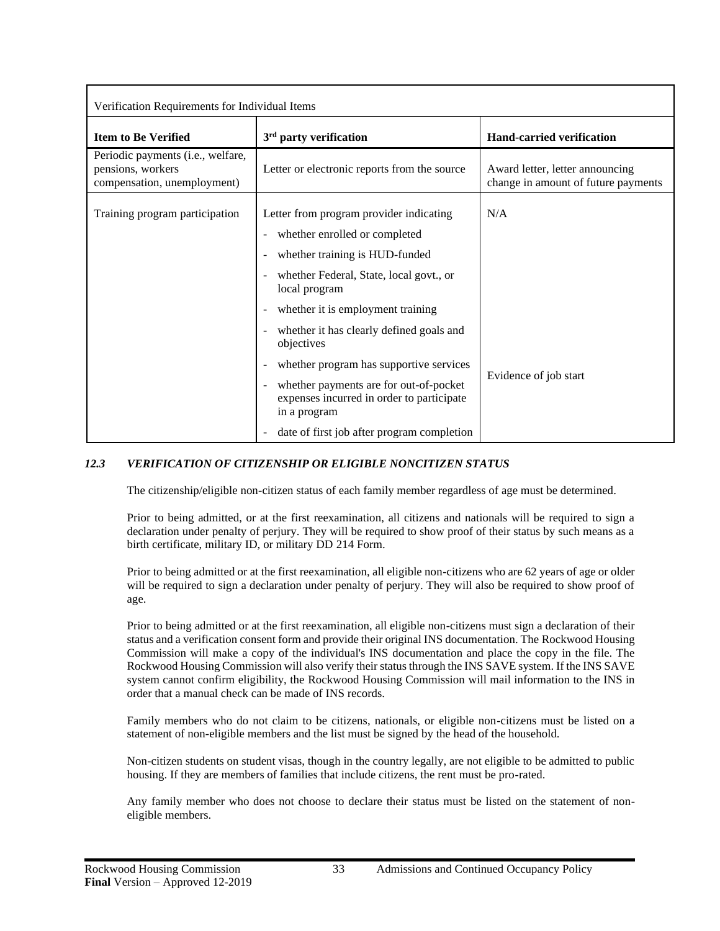| Verification Requirements for Individual Items                                        |                                                                                                                                                |                                                                        |
|---------------------------------------------------------------------------------------|------------------------------------------------------------------------------------------------------------------------------------------------|------------------------------------------------------------------------|
| <b>Item to Be Verified</b>                                                            | $3rd$ party verification                                                                                                                       | <b>Hand-carried verification</b>                                       |
| Periodic payments (i.e., welfare,<br>pensions, workers<br>compensation, unemployment) | Letter or electronic reports from the source                                                                                                   | Award letter, letter announcing<br>change in amount of future payments |
| Training program participation                                                        | Letter from program provider indicating<br>whether enrolled or completed                                                                       | N/A                                                                    |
|                                                                                       | whether training is HUD-funded<br>whether Federal, State, local govt., or<br>local program                                                     |                                                                        |
|                                                                                       | whether it is employment training<br>whether it has clearly defined goals and<br>objectives                                                    |                                                                        |
|                                                                                       | whether program has supportive services<br>whether payments are for out-of-pocket<br>expenses incurred in order to participate<br>in a program | Evidence of job start                                                  |
|                                                                                       | date of first job after program completion                                                                                                     |                                                                        |

# *12.3 VERIFICATION OF CITIZENSHIP OR ELIGIBLE NONCITIZEN STATUS*

The citizenship/eligible non-citizen status of each family member regardless of age must be determined.

Prior to being admitted, or at the first reexamination, all citizens and nationals will be required to sign a declaration under penalty of perjury. They will be required to show proof of their status by such means as a birth certificate, military ID, or military DD 214 Form.

Prior to being admitted or at the first reexamination, all eligible non-citizens who are 62 years of age or older will be required to sign a declaration under penalty of perjury. They will also be required to show proof of age.

Prior to being admitted or at the first reexamination, all eligible non-citizens must sign a declaration of their status and a verification consent form and provide their original INS documentation. The Rockwood Housing Commission will make a copy of the individual's INS documentation and place the copy in the file. The Rockwood Housing Commission will also verify their status through the INS SAVE system. If the INS SAVE system cannot confirm eligibility, the Rockwood Housing Commission will mail information to the INS in order that a manual check can be made of INS records.

Family members who do not claim to be citizens, nationals, or eligible non-citizens must be listed on a statement of non-eligible members and the list must be signed by the head of the household.

Non-citizen students on student visas, though in the country legally, are not eligible to be admitted to public housing. If they are members of families that include citizens, the rent must be pro-rated.

Any family member who does not choose to declare their status must be listed on the statement of noneligible members.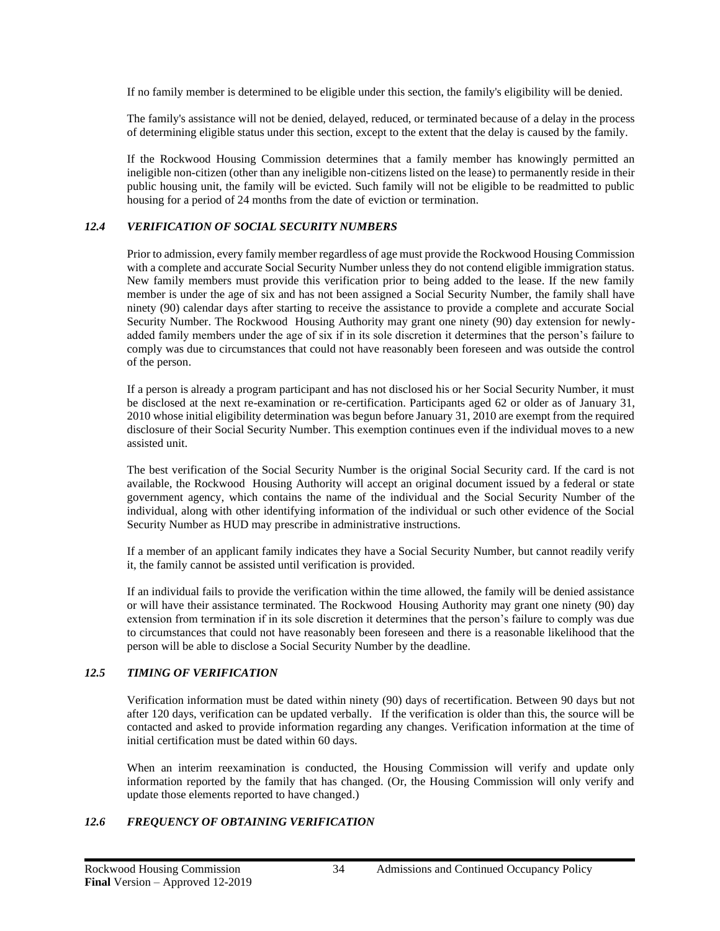If no family member is determined to be eligible under this section, the family's eligibility will be denied.

The family's assistance will not be denied, delayed, reduced, or terminated because of a delay in the process of determining eligible status under this section, except to the extent that the delay is caused by the family.

If the Rockwood Housing Commission determines that a family member has knowingly permitted an ineligible non-citizen (other than any ineligible non-citizens listed on the lease) to permanently reside in their public housing unit, the family will be evicted. Such family will not be eligible to be readmitted to public housing for a period of 24 months from the date of eviction or termination.

#### *12.4 VERIFICATION OF SOCIAL SECURITY NUMBERS*

Prior to admission, every family member regardless of age must provide the Rockwood Housing Commission with a complete and accurate Social Security Number unless they do not contend eligible immigration status. New family members must provide this verification prior to being added to the lease. If the new family member is under the age of six and has not been assigned a Social Security Number, the family shall have ninety (90) calendar days after starting to receive the assistance to provide a complete and accurate Social Security Number. The Rockwood Housing Authority may grant one ninety (90) day extension for newlyadded family members under the age of six if in its sole discretion it determines that the person's failure to comply was due to circumstances that could not have reasonably been foreseen and was outside the control of the person.

If a person is already a program participant and has not disclosed his or her Social Security Number, it must be disclosed at the next re-examination or re-certification. Participants aged 62 or older as of January 31, 2010 whose initial eligibility determination was begun before January 31, 2010 are exempt from the required disclosure of their Social Security Number. This exemption continues even if the individual moves to a new assisted unit.

The best verification of the Social Security Number is the original Social Security card. If the card is not available, the Rockwood Housing Authority will accept an original document issued by a federal or state government agency, which contains the name of the individual and the Social Security Number of the individual, along with other identifying information of the individual or such other evidence of the Social Security Number as HUD may prescribe in administrative instructions.

If a member of an applicant family indicates they have a Social Security Number, but cannot readily verify it, the family cannot be assisted until verification is provided.

If an individual fails to provide the verification within the time allowed, the family will be denied assistance or will have their assistance terminated. The Rockwood Housing Authority may grant one ninety (90) day extension from termination if in its sole discretion it determines that the person's failure to comply was due to circumstances that could not have reasonably been foreseen and there is a reasonable likelihood that the person will be able to disclose a Social Security Number by the deadline.

## *12.5 TIMING OF VERIFICATION*

Verification information must be dated within ninety (90) days of recertification. Between 90 days but not after 120 days, verification can be updated verbally. If the verification is older than this, the source will be contacted and asked to provide information regarding any changes. Verification information at the time of initial certification must be dated within 60 days.

When an interim reexamination is conducted, the Housing Commission will verify and update only information reported by the family that has changed. (Or, the Housing Commission will only verify and update those elements reported to have changed.)

## *12.6 FREQUENCY OF OBTAINING VERIFICATION*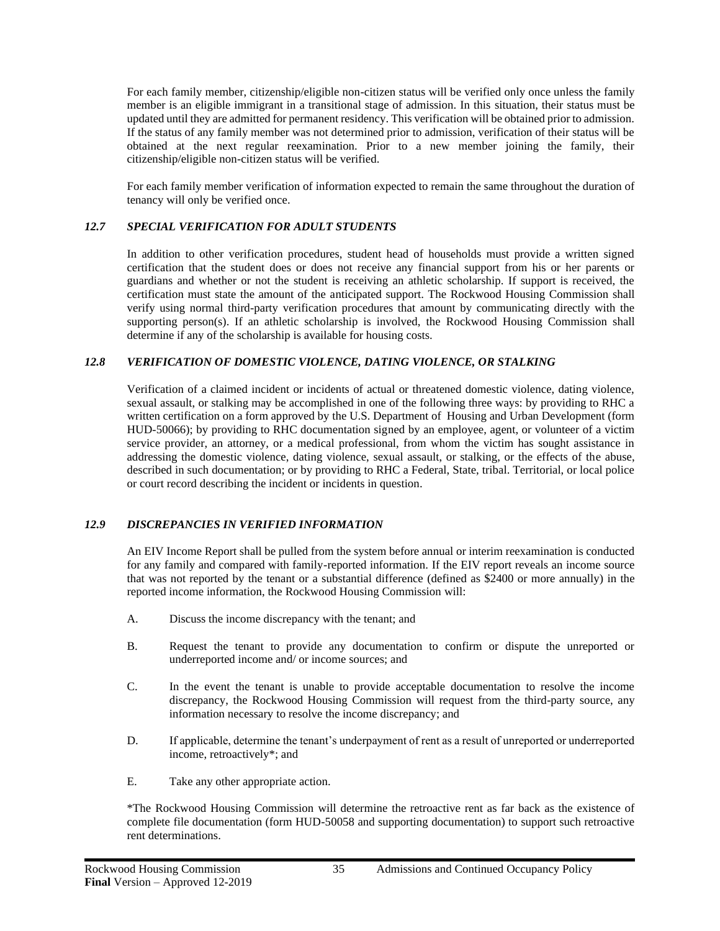For each family member, citizenship/eligible non-citizen status will be verified only once unless the family member is an eligible immigrant in a transitional stage of admission. In this situation, their status must be updated until they are admitted for permanent residency. This verification will be obtained prior to admission. If the status of any family member was not determined prior to admission, verification of their status will be obtained at the next regular reexamination. Prior to a new member joining the family, their citizenship/eligible non-citizen status will be verified.

For each family member verification of information expected to remain the same throughout the duration of tenancy will only be verified once.

## *12.7 SPECIAL VERIFICATION FOR ADULT STUDENTS*

In addition to other verification procedures, student head of households must provide a written signed certification that the student does or does not receive any financial support from his or her parents or guardians and whether or not the student is receiving an athletic scholarship. If support is received, the certification must state the amount of the anticipated support. The Rockwood Housing Commission shall verify using normal third-party verification procedures that amount by communicating directly with the supporting person(s). If an athletic scholarship is involved, the Rockwood Housing Commission shall determine if any of the scholarship is available for housing costs.

## *12.8 VERIFICATION OF DOMESTIC VIOLENCE, DATING VIOLENCE, OR STALKING*

Verification of a claimed incident or incidents of actual or threatened domestic violence, dating violence, sexual assault, or stalking may be accomplished in one of the following three ways: by providing to RHC a written certification on a form approved by the U.S. Department of Housing and Urban Development (form HUD-50066); by providing to RHC documentation signed by an employee, agent, or volunteer of a victim service provider, an attorney, or a medical professional, from whom the victim has sought assistance in addressing the domestic violence, dating violence, sexual assault, or stalking, or the effects of the abuse, described in such documentation; or by providing to RHC a Federal, State, tribal. Territorial, or local police or court record describing the incident or incidents in question.

## *12.9 DISCREPANCIES IN VERIFIED INFORMATION*

An EIV Income Report shall be pulled from the system before annual or interim reexamination is conducted for any family and compared with family-reported information. If the EIV report reveals an income source that was not reported by the tenant or a substantial difference (defined as \$2400 or more annually) in the reported income information, the Rockwood Housing Commission will:

- A. Discuss the income discrepancy with the tenant; and
- B. Request the tenant to provide any documentation to confirm or dispute the unreported or underreported income and/ or income sources; and
- C. In the event the tenant is unable to provide acceptable documentation to resolve the income discrepancy, the Rockwood Housing Commission will request from the third-party source, any information necessary to resolve the income discrepancy; and
- D. If applicable, determine the tenant's underpayment of rent as a result of unreported or underreported income, retroactively\*; and
- E. Take any other appropriate action.

\*The Rockwood Housing Commission will determine the retroactive rent as far back as the existence of complete file documentation (form HUD-50058 and supporting documentation) to support such retroactive rent determinations.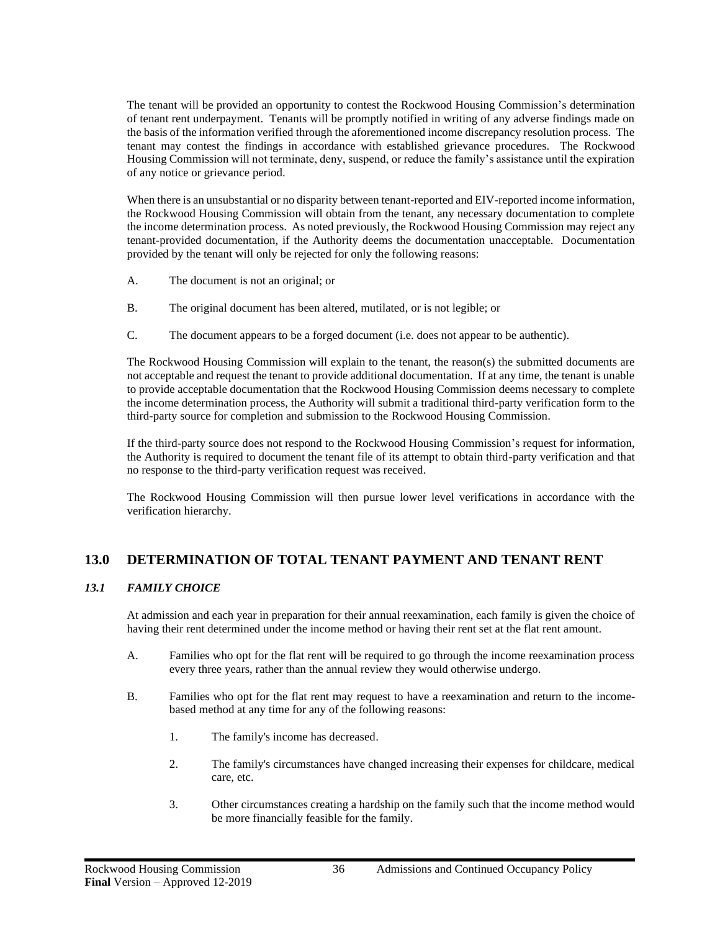The tenant will be provided an opportunity to contest the Rockwood Housing Commission's determination of tenant rent underpayment. Tenants will be promptly notified in writing of any adverse findings made on the basis of the information verified through the aforementioned income discrepancy resolution process. The tenant may contest the findings in accordance with established grievance procedures. The Rockwood Housing Commission will not terminate, deny, suspend, or reduce the family's assistance until the expiration of any notice or grievance period.

When there is an unsubstantial or no disparity between tenant-reported and EIV-reported income information, the Rockwood Housing Commission will obtain from the tenant, any necessary documentation to complete the income determination process. As noted previously, the Rockwood Housing Commission may reject any tenant-provided documentation, if the Authority deems the documentation unacceptable. Documentation provided by the tenant will only be rejected for only the following reasons:

- A. The document is not an original; or
- B. The original document has been altered, mutilated, or is not legible; or
- C. The document appears to be a forged document (i.e. does not appear to be authentic).

The Rockwood Housing Commission will explain to the tenant, the reason(s) the submitted documents are not acceptable and request the tenant to provide additional documentation. If at any time, the tenant is unable to provide acceptable documentation that the Rockwood Housing Commission deems necessary to complete the income determination process, the Authority will submit a traditional third-party verification form to the third-party source for completion and submission to the Rockwood Housing Commission.

If the third-party source does not respond to the Rockwood Housing Commission's request for information, the Authority is required to document the tenant file of its attempt to obtain third-party verification and that no response to the third-party verification request was received.

The Rockwood Housing Commission will then pursue lower level verifications in accordance with the verification hierarchy.

# **13.0 DETERMINATION OF TOTAL TENANT PAYMENT AND TENANT RENT**

# *13.1 FAMILY CHOICE*

At admission and each year in preparation for their annual reexamination, each family is given the choice of having their rent determined under the income method or having their rent set at the flat rent amount.

- A. Families who opt for the flat rent will be required to go through the income reexamination process every three years, rather than the annual review they would otherwise undergo.
- B. Families who opt for the flat rent may request to have a reexamination and return to the incomebased method at any time for any of the following reasons:
	- 1. The family's income has decreased.
	- 2. The family's circumstances have changed increasing their expenses for childcare, medical care, etc.
	- 3. Other circumstances creating a hardship on the family such that the income method would be more financially feasible for the family.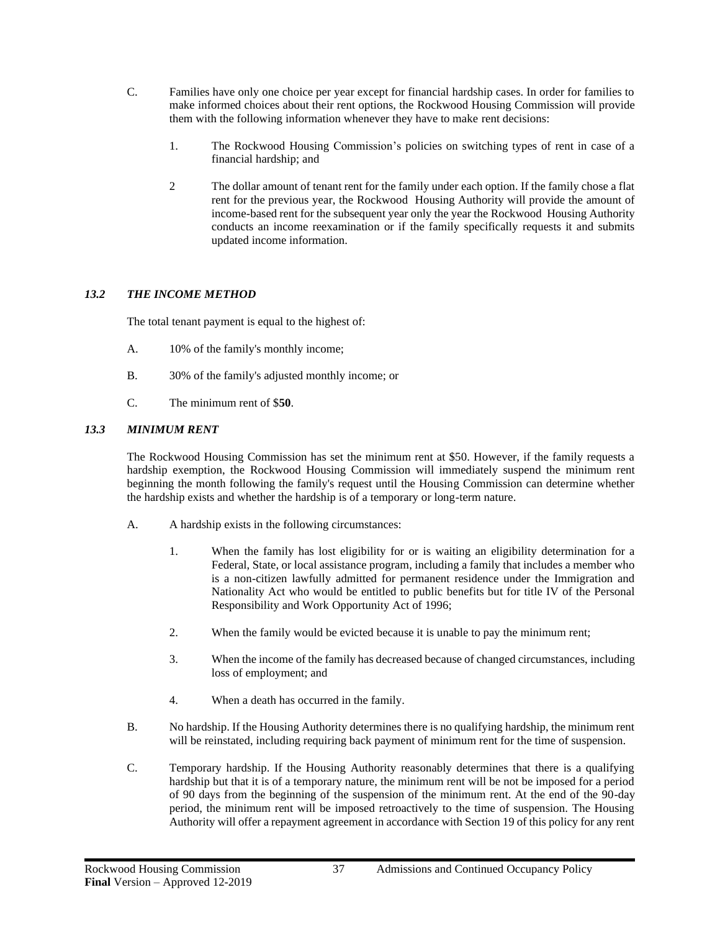- C. Families have only one choice per year except for financial hardship cases. In order for families to make informed choices about their rent options, the Rockwood Housing Commission will provide them with the following information whenever they have to make rent decisions:
	- 1. The Rockwood Housing Commission's policies on switching types of rent in case of a financial hardship; and
	- 2 The dollar amount of tenant rent for the family under each option. If the family chose a flat rent for the previous year, the Rockwood Housing Authority will provide the amount of income-based rent for the subsequent year only the year the Rockwood Housing Authority conducts an income reexamination or if the family specifically requests it and submits updated income information.

## *13.2 THE INCOME METHOD*

The total tenant payment is equal to the highest of:

- A. 10% of the family's monthly income;
- B. 30% of the family's adjusted monthly income; or
- C. The minimum rent of \$**50**.

#### *13.3 MINIMUM RENT*

The Rockwood Housing Commission has set the minimum rent at \$50. However, if the family requests a hardship exemption, the Rockwood Housing Commission will immediately suspend the minimum rent beginning the month following the family's request until the Housing Commission can determine whether the hardship exists and whether the hardship is of a temporary or long-term nature.

- A. A hardship exists in the following circumstances:
	- 1. When the family has lost eligibility for or is waiting an eligibility determination for a Federal, State, or local assistance program, including a family that includes a member who is a non-citizen lawfully admitted for permanent residence under the Immigration and Nationality Act who would be entitled to public benefits but for title IV of the Personal Responsibility and Work Opportunity Act of 1996;
	- 2. When the family would be evicted because it is unable to pay the minimum rent;
	- 3. When the income of the family has decreased because of changed circumstances, including loss of employment; and
	- 4. When a death has occurred in the family.
- B. No hardship. If the Housing Authority determines there is no qualifying hardship, the minimum rent will be reinstated, including requiring back payment of minimum rent for the time of suspension.
- C. Temporary hardship. If the Housing Authority reasonably determines that there is a qualifying hardship but that it is of a temporary nature, the minimum rent will be not be imposed for a period of 90 days from the beginning of the suspension of the minimum rent. At the end of the 90-day period, the minimum rent will be imposed retroactively to the time of suspension. The Housing Authority will offer a repayment agreement in accordance with Section 19 of this policy for any rent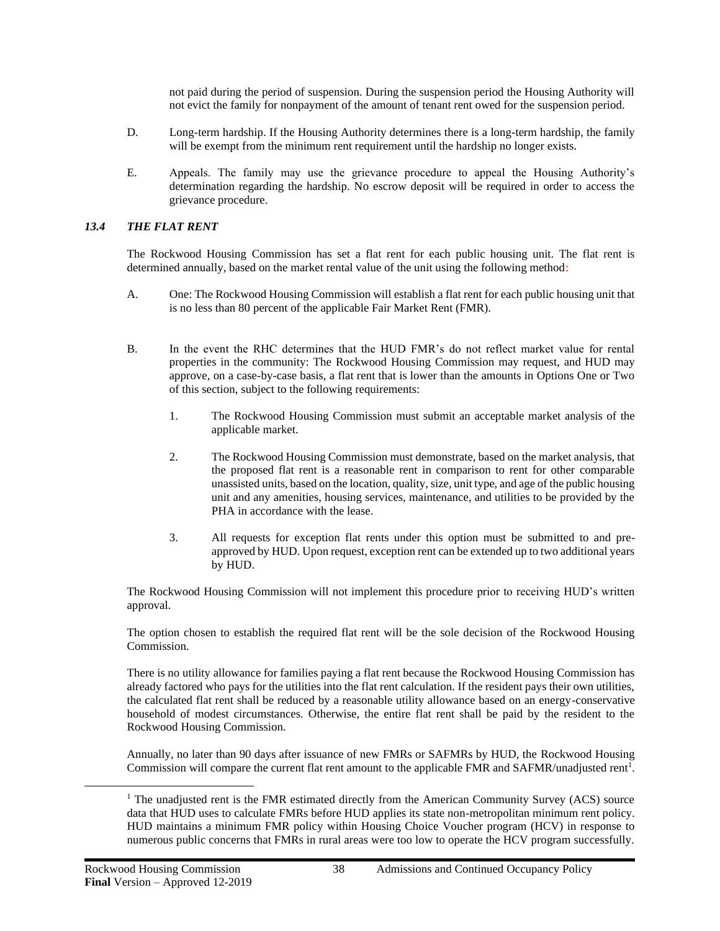not paid during the period of suspension. During the suspension period the Housing Authority will not evict the family for nonpayment of the amount of tenant rent owed for the suspension period.

- D. Long-term hardship. If the Housing Authority determines there is a long-term hardship, the family will be exempt from the minimum rent requirement until the hardship no longer exists.
- E. Appeals. The family may use the grievance procedure to appeal the Housing Authority's determination regarding the hardship. No escrow deposit will be required in order to access the grievance procedure.

#### *13.4 THE FLAT RENT*

The Rockwood Housing Commission has set a flat rent for each public housing unit. The flat rent is determined annually, based on the market rental value of the unit using the following method:

- A. One: The Rockwood Housing Commission will establish a flat rent for each public housing unit that is no less than 80 percent of the applicable Fair Market Rent (FMR).
- B. In the event the RHC determines that the HUD FMR's do not reflect market value for rental properties in the community: The Rockwood Housing Commission may request, and HUD may approve, on a case-by-case basis, a flat rent that is lower than the amounts in Options One or Two of this section, subject to the following requirements:
	- 1. The Rockwood Housing Commission must submit an acceptable market analysis of the applicable market.
	- 2. The Rockwood Housing Commission must demonstrate, based on the market analysis, that the proposed flat rent is a reasonable rent in comparison to rent for other comparable unassisted units, based on the location, quality, size, unit type, and age of the public housing unit and any amenities, housing services, maintenance, and utilities to be provided by the PHA in accordance with the lease.
	- 3. All requests for exception flat rents under this option must be submitted to and preapproved by HUD. Upon request, exception rent can be extended up to two additional years by HUD.

The Rockwood Housing Commission will not implement this procedure prior to receiving HUD's written approval.

The option chosen to establish the required flat rent will be the sole decision of the Rockwood Housing Commission.

There is no utility allowance for families paying a flat rent because the Rockwood Housing Commission has already factored who pays for the utilities into the flat rent calculation. If the resident pays their own utilities, the calculated flat rent shall be reduced by a reasonable utility allowance based on an energy-conservative household of modest circumstances. Otherwise, the entire flat rent shall be paid by the resident to the Rockwood Housing Commission.

Annually, no later than 90 days after issuance of new FMRs or SAFMRs by HUD, the Rockwood Housing Commission will compare the current flat rent amount to the applicable FMR and SAFMR/unadjusted rent<sup>1</sup>.

<sup>&</sup>lt;sup>1</sup> The unadjusted rent is the FMR estimated directly from the American Community Survey (ACS) source data that HUD uses to calculate FMRs before HUD applies its state non-metropolitan minimum rent policy. HUD maintains a minimum FMR policy within Housing Choice Voucher program (HCV) in response to numerous public concerns that FMRs in rural areas were too low to operate the HCV program successfully.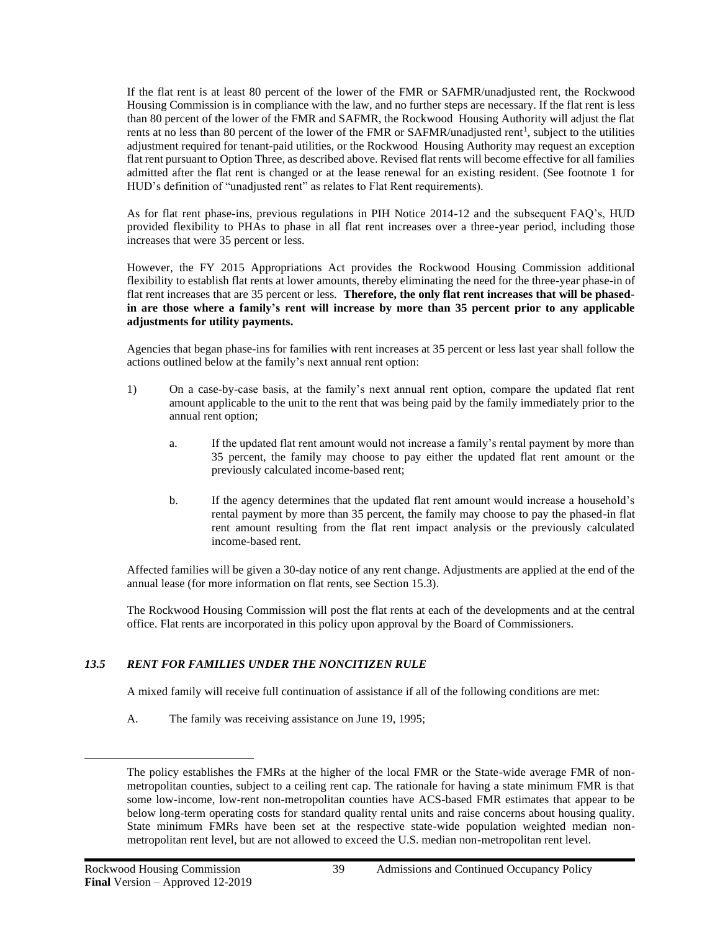If the flat rent is at least 80 percent of the lower of the FMR or SAFMR/unadjusted rent, the Rockwood Housing Commission is in compliance with the law, and no further steps are necessary. If the flat rent is less than 80 percent of the lower of the FMR and SAFMR, the Rockwood Housing Authority will adjust the flat rents at no less than 80 percent of the lower of the FMR or SAFMR/unadjusted rent<sup>1</sup>, subject to the utilities adjustment required for tenant-paid utilities, or the Rockwood Housing Authority may request an exception flat rent pursuant to Option Three, as described above. Revised flat rents will become effective for all families admitted after the flat rent is changed or at the lease renewal for an existing resident. (See footnote 1 for HUD's definition of "unadjusted rent" as relates to Flat Rent requirements).

As for flat rent phase-ins, previous regulations in PIH Notice 2014-12 and the subsequent FAQ's, HUD provided flexibility to PHAs to phase in all flat rent increases over a three-year period, including those increases that were 35 percent or less.

However, the FY 2015 Appropriations Act provides the Rockwood Housing Commission additional flexibility to establish flat rents at lower amounts, thereby eliminating the need for the three-year phase-in of flat rent increases that are 35 percent or less. **Therefore, the only flat rent increases that will be phasedin are those where a family's rent will increase by more than 35 percent prior to any applicable adjustments for utility payments.**

Agencies that began phase-ins for families with rent increases at 35 percent or less last year shall follow the actions outlined below at the family's next annual rent option:

- 1) On a case-by-case basis, at the family's next annual rent option, compare the updated flat rent amount applicable to the unit to the rent that was being paid by the family immediately prior to the annual rent option;
	- a. If the updated flat rent amount would not increase a family's rental payment by more than 35 percent, the family may choose to pay either the updated flat rent amount or the previously calculated income-based rent;
	- b. If the agency determines that the updated flat rent amount would increase a household's rental payment by more than 35 percent, the family may choose to pay the phased-in flat rent amount resulting from the flat rent impact analysis or the previously calculated income-based rent.

Affected families will be given a 30-day notice of any rent change. Adjustments are applied at the end of the annual lease (for more information on flat rents, see Section 15.3).

The Rockwood Housing Commission will post the flat rents at each of the developments and at the central office. Flat rents are incorporated in this policy upon approval by the Board of Commissioners.

#### *13.5 RENT FOR FAMILIES UNDER THE NONCITIZEN RULE*

A mixed family will receive full continuation of assistance if all of the following conditions are met:

A. The family was receiving assistance on June 19, 1995;

The policy establishes the FMRs at the higher of the local FMR or the State-wide average FMR of nonmetropolitan counties, subject to a ceiling rent cap. The rationale for having a state minimum FMR is that some low-income, low-rent non-metropolitan counties have ACS-based FMR estimates that appear to be below long-term operating costs for standard quality rental units and raise concerns about housing quality. State minimum FMRs have been set at the respective state-wide population weighted median nonmetropolitan rent level, but are not allowed to exceed the U.S. median non-metropolitan rent level.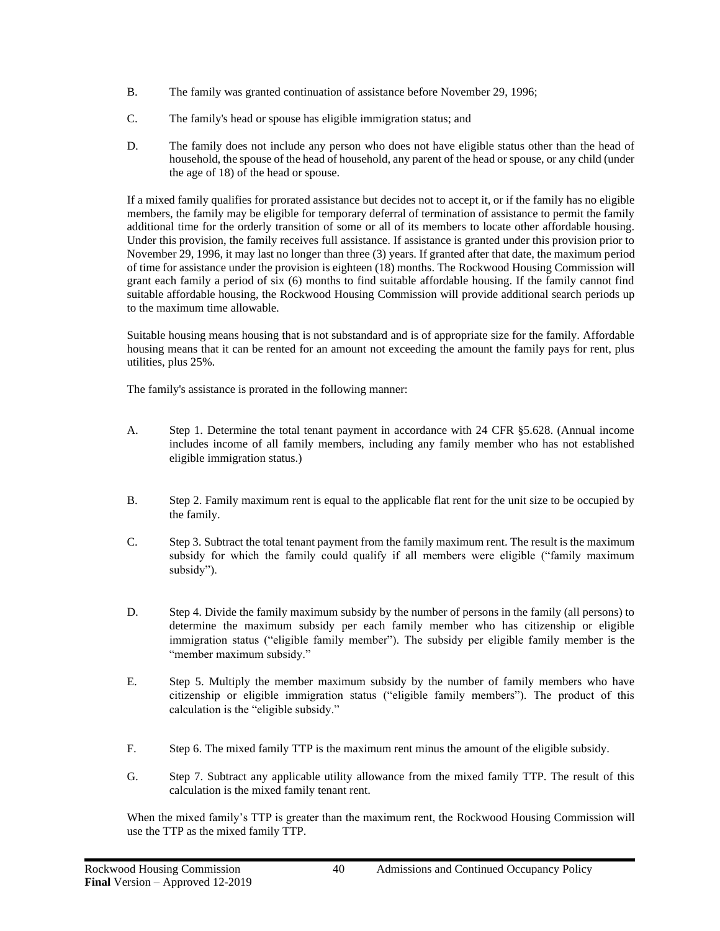- B. The family was granted continuation of assistance before November 29, 1996;
- C. The family's head or spouse has eligible immigration status; and
- D. The family does not include any person who does not have eligible status other than the head of household, the spouse of the head of household, any parent of the head or spouse, or any child (under the age of 18) of the head or spouse.

If a mixed family qualifies for prorated assistance but decides not to accept it, or if the family has no eligible members, the family may be eligible for temporary deferral of termination of assistance to permit the family additional time for the orderly transition of some or all of its members to locate other affordable housing. Under this provision, the family receives full assistance. If assistance is granted under this provision prior to November 29, 1996, it may last no longer than three (3) years. If granted after that date, the maximum period of time for assistance under the provision is eighteen (18) months. The Rockwood Housing Commission will grant each family a period of six (6) months to find suitable affordable housing. If the family cannot find suitable affordable housing, the Rockwood Housing Commission will provide additional search periods up to the maximum time allowable.

Suitable housing means housing that is not substandard and is of appropriate size for the family. Affordable housing means that it can be rented for an amount not exceeding the amount the family pays for rent, plus utilities, plus 25%.

The family's assistance is prorated in the following manner:

- A. Step 1. Determine the total tenant payment in accordance with 24 CFR §5.628. (Annual income includes income of all family members, including any family member who has not established eligible immigration status.)
- B. Step 2. Family maximum rent is equal to the applicable flat rent for the unit size to be occupied by the family.
- C. Step 3. Subtract the total tenant payment from the family maximum rent. The result is the maximum subsidy for which the family could qualify if all members were eligible ("family maximum subsidy").
- D. Step 4. Divide the family maximum subsidy by the number of persons in the family (all persons) to determine the maximum subsidy per each family member who has citizenship or eligible immigration status ("eligible family member"). The subsidy per eligible family member is the "member maximum subsidy."
- E. Step 5. Multiply the member maximum subsidy by the number of family members who have citizenship or eligible immigration status ("eligible family members"). The product of this calculation is the "eligible subsidy."
- F. Step 6. The mixed family TTP is the maximum rent minus the amount of the eligible subsidy.
- G. Step 7. Subtract any applicable utility allowance from the mixed family TTP. The result of this calculation is the mixed family tenant rent.

When the mixed family's TTP is greater than the maximum rent, the Rockwood Housing Commission will use the TTP as the mixed family TTP.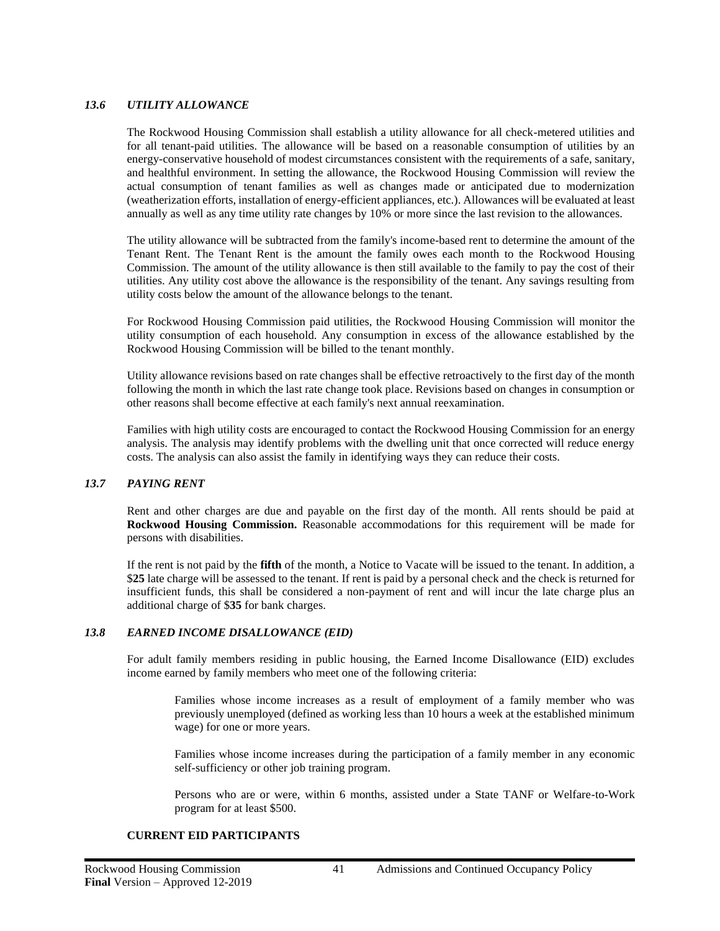#### *13.6 UTILITY ALLOWANCE*

The Rockwood Housing Commission shall establish a utility allowance for all check-metered utilities and for all tenant-paid utilities. The allowance will be based on a reasonable consumption of utilities by an energy-conservative household of modest circumstances consistent with the requirements of a safe, sanitary, and healthful environment. In setting the allowance, the Rockwood Housing Commission will review the actual consumption of tenant families as well as changes made or anticipated due to modernization (weatherization efforts, installation of energy-efficient appliances, etc.). Allowances will be evaluated at least annually as well as any time utility rate changes by 10% or more since the last revision to the allowances.

The utility allowance will be subtracted from the family's income-based rent to determine the amount of the Tenant Rent. The Tenant Rent is the amount the family owes each month to the Rockwood Housing Commission. The amount of the utility allowance is then still available to the family to pay the cost of their utilities. Any utility cost above the allowance is the responsibility of the tenant. Any savings resulting from utility costs below the amount of the allowance belongs to the tenant.

For Rockwood Housing Commission paid utilities, the Rockwood Housing Commission will monitor the utility consumption of each household. Any consumption in excess of the allowance established by the Rockwood Housing Commission will be billed to the tenant monthly.

Utility allowance revisions based on rate changes shall be effective retroactively to the first day of the month following the month in which the last rate change took place. Revisions based on changes in consumption or other reasons shall become effective at each family's next annual reexamination.

Families with high utility costs are encouraged to contact the Rockwood Housing Commission for an energy analysis. The analysis may identify problems with the dwelling unit that once corrected will reduce energy costs. The analysis can also assist the family in identifying ways they can reduce their costs.

#### *13.7 PAYING RENT*

Rent and other charges are due and payable on the first day of the month. All rents should be paid at **Rockwood Housing Commission.** Reasonable accommodations for this requirement will be made for persons with disabilities.

If the rent is not paid by the **fifth** of the month, a Notice to Vacate will be issued to the tenant. In addition, a \$**25** late charge will be assessed to the tenant. If rent is paid by a personal check and the check is returned for insufficient funds, this shall be considered a non-payment of rent and will incur the late charge plus an additional charge of \$**35** for bank charges.

## *13.8 EARNED INCOME DISALLOWANCE (EID)*

For adult family members residing in public housing, the Earned Income Disallowance (EID) excludes income earned by family members who meet one of the following criteria:

Families whose income increases as a result of employment of a family member who was previously unemployed (defined as working less than 10 hours a week at the established minimum wage) for one or more years.

Families whose income increases during the participation of a family member in any economic self-sufficiency or other job training program.

Persons who are or were, within 6 months, assisted under a State TANF or Welfare-to-Work program for at least \$500.

## **CURRENT EID PARTICIPANTS**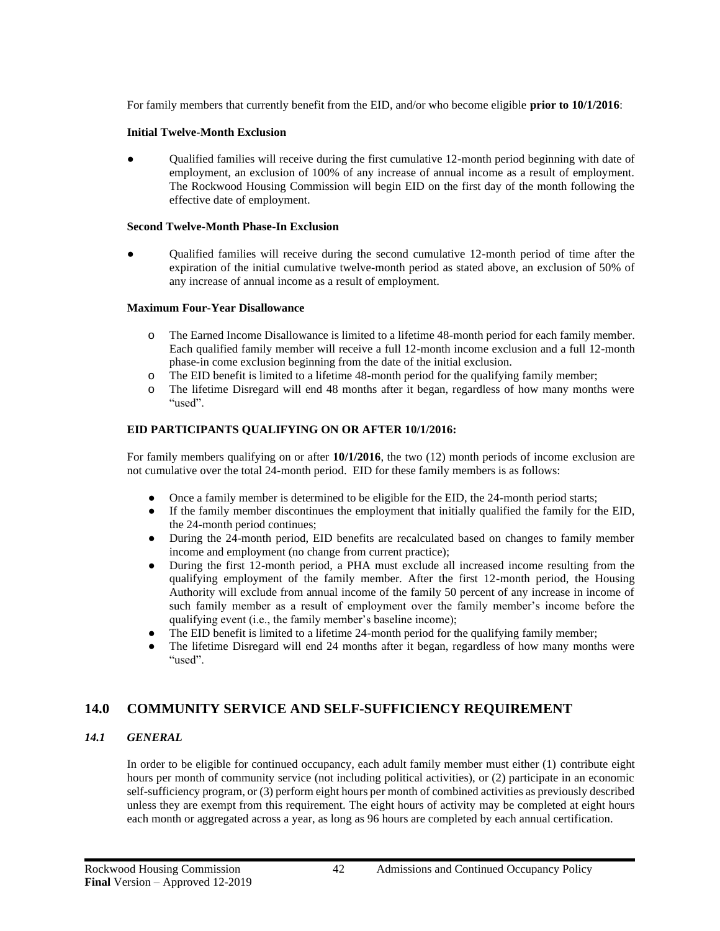For family members that currently benefit from the EID, and/or who become eligible **prior to 10/1/2016**:

#### **Initial Twelve-Month Exclusion**

• Qualified families will receive during the first cumulative 12-month period beginning with date of employment, an exclusion of 100% of any increase of annual income as a result of employment. The Rockwood Housing Commission will begin EID on the first day of the month following the effective date of employment.

#### **Second Twelve-Month Phase-In Exclusion**

Qualified families will receive during the second cumulative 12-month period of time after the expiration of the initial cumulative twelve-month period as stated above, an exclusion of 50% of any increase of annual income as a result of employment.

#### **Maximum Four-Year Disallowance**

- o The Earned Income Disallowance is limited to a lifetime 48-month period for each family member. Each qualified family member will receive a full 12-month income exclusion and a full 12-month phase-in come exclusion beginning from the date of the initial exclusion.
- o The EID benefit is limited to a lifetime 48-month period for the qualifying family member;
- o The lifetime Disregard will end 48 months after it began, regardless of how many months were "used".

#### **EID PARTICIPANTS QUALIFYING ON OR AFTER 10/1/2016:**

For family members qualifying on or after **10/1/2016**, the two (12) month periods of income exclusion are not cumulative over the total 24-month period. EID for these family members is as follows:

- Once a family member is determined to be eligible for the EID, the 24-month period starts;
- If the family member discontinues the employment that initially qualified the family for the EID, the 24-month period continues;
- During the 24-month period, EID benefits are recalculated based on changes to family member income and employment (no change from current practice);
- During the first 12-month period, a PHA must exclude all increased income resulting from the qualifying employment of the family member. After the first 12-month period, the Housing Authority will exclude from annual income of the family 50 percent of any increase in income of such family member as a result of employment over the family member's income before the qualifying event (i.e., the family member's baseline income);
- The EID benefit is limited to a lifetime 24-month period for the qualifying family member;
- The lifetime Disregard will end 24 months after it began, regardless of how many months were "used".

# **14.0 COMMUNITY SERVICE AND SELF-SUFFICIENCY REQUIREMENT**

## *14.1 GENERAL*

In order to be eligible for continued occupancy, each adult family member must either (1) contribute eight hours per month of community service (not including political activities), or (2) participate in an economic self-sufficiency program, or (3) perform eight hours per month of combined activities as previously described unless they are exempt from this requirement. The eight hours of activity may be completed at eight hours each month or aggregated across a year, as long as 96 hours are completed by each annual certification.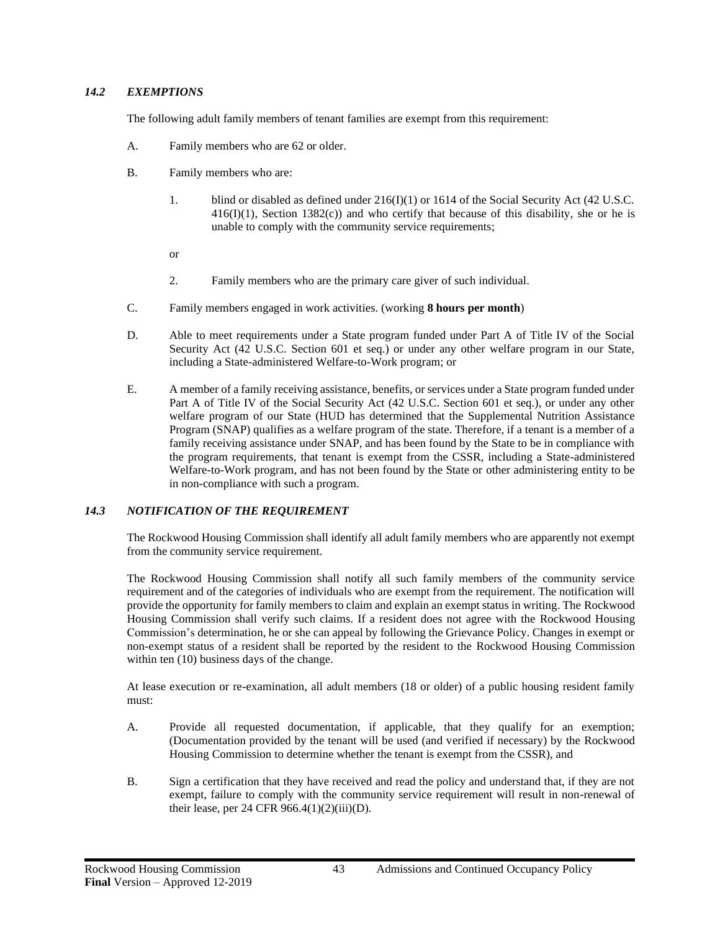# *14.2 EXEMPTIONS*

The following adult family members of tenant families are exempt from this requirement:

- A. Family members who are 62 or older.
- B. Family members who are:
	- 1. blind or disabled as defined under  $216(I)(1)$  or 1614 of the Social Security Act (42 U.S.C. 416(I)(1), Section 1382(c)) and who certify that because of this disability, she or he is unable to comply with the community service requirements;
	- or
	- 2. Family members who are the primary care giver of such individual.
- C. Family members engaged in work activities. (working **8 hours per month**)
- D. Able to meet requirements under a State program funded under Part A of Title IV of the Social Security Act (42 U.S.C. Section 601 et seq.) or under any other welfare program in our State, including a State-administered Welfare-to-Work program; or
- E. A member of a family receiving assistance, benefits, or services under a State program funded under Part A of Title IV of the Social Security Act (42 U.S.C. Section 601 et seq.), or under any other welfare program of our State (HUD has determined that the Supplemental Nutrition Assistance Program (SNAP) qualifies as a welfare program of the state. Therefore, if a tenant is a member of a family receiving assistance under SNAP, and has been found by the State to be in compliance with the program requirements, that tenant is exempt from the CSSR, including a State-administered Welfare-to-Work program, and has not been found by the State or other administering entity to be in non-compliance with such a program.

## *14.3 NOTIFICATION OF THE REQUIREMENT*

The Rockwood Housing Commission shall identify all adult family members who are apparently not exempt from the community service requirement.

The Rockwood Housing Commission shall notify all such family members of the community service requirement and of the categories of individuals who are exempt from the requirement. The notification will provide the opportunity for family members to claim and explain an exempt status in writing. The Rockwood Housing Commission shall verify such claims. If a resident does not agree with the Rockwood Housing Commission's determination, he or she can appeal by following the Grievance Policy. Changes in exempt or non-exempt status of a resident shall be reported by the resident to the Rockwood Housing Commission within ten (10) business days of the change.

At lease execution or re-examination, all adult members (18 or older) of a public housing resident family must:

- A. Provide all requested documentation, if applicable, that they qualify for an exemption; (Documentation provided by the tenant will be used (and verified if necessary) by the Rockwood Housing Commission to determine whether the tenant is exempt from the CSSR), and
- B. Sign a certification that they have received and read the policy and understand that, if they are not exempt, failure to comply with the community service requirement will result in non-renewal of their lease, per 24 CFR  $966.4(1)(2)(iii)(D)$ .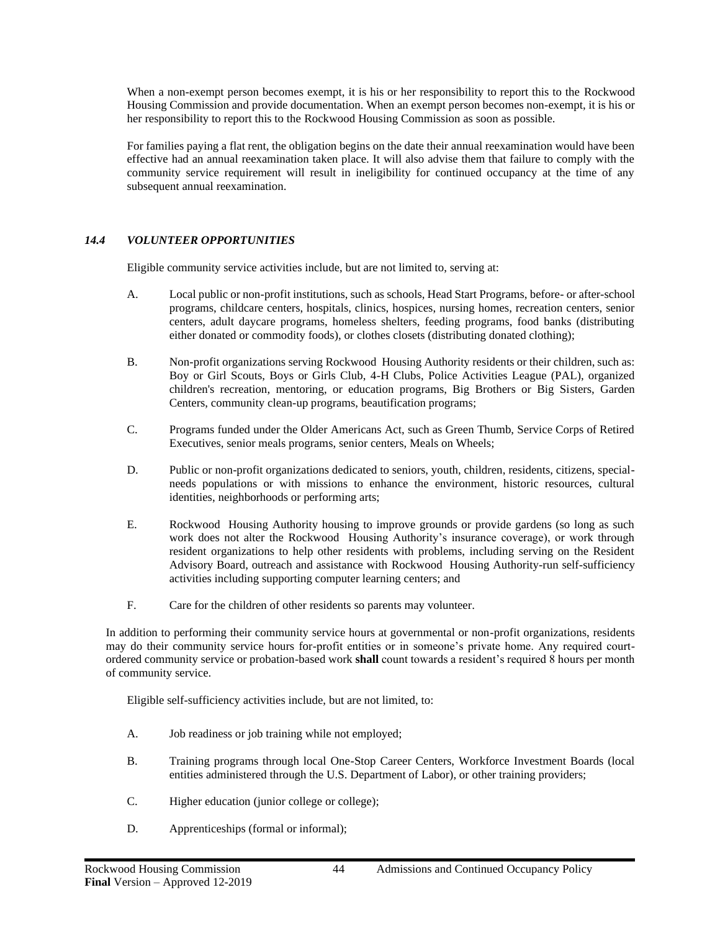When a non-exempt person becomes exempt, it is his or her responsibility to report this to the Rockwood Housing Commission and provide documentation. When an exempt person becomes non-exempt, it is his or her responsibility to report this to the Rockwood Housing Commission as soon as possible.

For families paying a flat rent, the obligation begins on the date their annual reexamination would have been effective had an annual reexamination taken place. It will also advise them that failure to comply with the community service requirement will result in ineligibility for continued occupancy at the time of any subsequent annual reexamination.

# *14.4 VOLUNTEER OPPORTUNITIES*

Eligible community service activities include, but are not limited to, serving at:

- A. Local public or non-profit institutions, such as schools, Head Start Programs, before- or after-school programs, childcare centers, hospitals, clinics, hospices, nursing homes, recreation centers, senior centers, adult daycare programs, homeless shelters, feeding programs, food banks (distributing either donated or commodity foods), or clothes closets (distributing donated clothing);
- B. Non-profit organizations serving Rockwood Housing Authority residents or their children, such as: Boy or Girl Scouts, Boys or Girls Club, 4-H Clubs, Police Activities League (PAL), organized children's recreation, mentoring, or education programs, Big Brothers or Big Sisters, Garden Centers, community clean-up programs, beautification programs;
- C. Programs funded under the Older Americans Act, such as Green Thumb, Service Corps of Retired Executives, senior meals programs, senior centers, Meals on Wheels;
- D. Public or non-profit organizations dedicated to seniors, youth, children, residents, citizens, specialneeds populations or with missions to enhance the environment, historic resources, cultural identities, neighborhoods or performing arts;
- E. Rockwood Housing Authority housing to improve grounds or provide gardens (so long as such work does not alter the Rockwood Housing Authority's insurance coverage), or work through resident organizations to help other residents with problems, including serving on the Resident Advisory Board, outreach and assistance with Rockwood Housing Authority-run self-sufficiency activities including supporting computer learning centers; and
- F. Care for the children of other residents so parents may volunteer.

In addition to performing their community service hours at governmental or non-profit organizations, residents may do their community service hours for-profit entities or in someone's private home. Any required courtordered community service or probation-based work **shall** count towards a resident's required 8 hours per month of community service.

Eligible self-sufficiency activities include, but are not limited, to:

- A. Job readiness or job training while not employed;
- B. Training programs through local One-Stop Career Centers, Workforce Investment Boards (local entities administered through the U.S. Department of Labor), or other training providers;
- C. Higher education (junior college or college);
- D. Apprenticeships (formal or informal);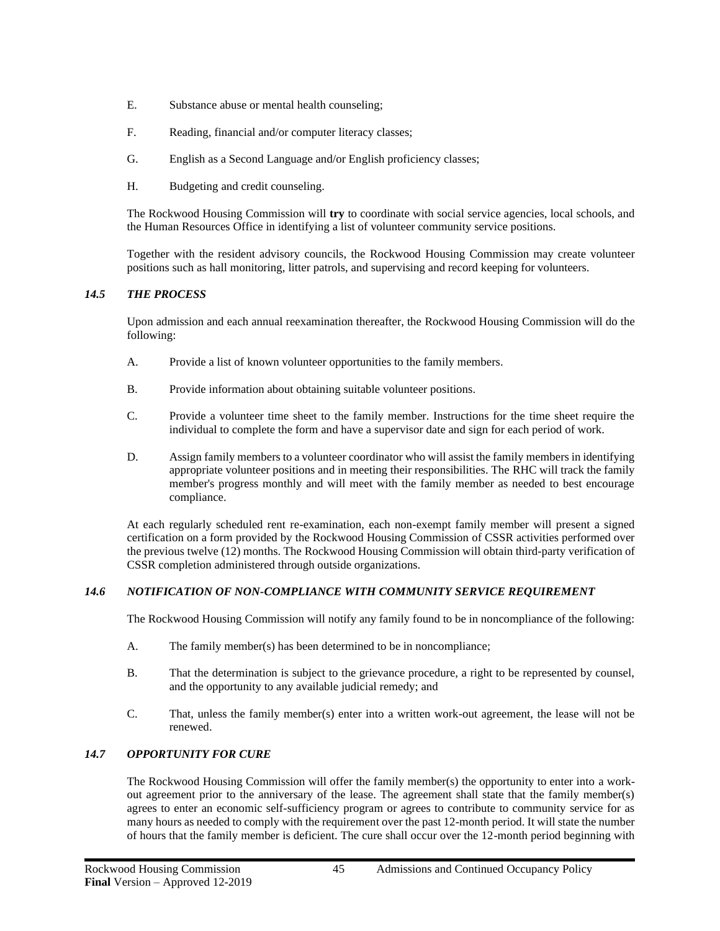- E. Substance abuse or mental health counseling;
- F. Reading, financial and/or computer literacy classes;
- G. English as a Second Language and/or English proficiency classes;
- H. Budgeting and credit counseling.

The Rockwood Housing Commission will **try** to coordinate with social service agencies, local schools, and the Human Resources Office in identifying a list of volunteer community service positions.

Together with the resident advisory councils, the Rockwood Housing Commission may create volunteer positions such as hall monitoring, litter patrols, and supervising and record keeping for volunteers.

# *14.5 THE PROCESS*

Upon admission and each annual reexamination thereafter, the Rockwood Housing Commission will do the following:

- A. Provide a list of known volunteer opportunities to the family members.
- B. Provide information about obtaining suitable volunteer positions.
- C. Provide a volunteer time sheet to the family member. Instructions for the time sheet require the individual to complete the form and have a supervisor date and sign for each period of work.
- D. Assign family members to a volunteer coordinator who will assist the family members in identifying appropriate volunteer positions and in meeting their responsibilities. The RHC will track the family member's progress monthly and will meet with the family member as needed to best encourage compliance.

At each regularly scheduled rent re-examination, each non-exempt family member will present a signed certification on a form provided by the Rockwood Housing Commission of CSSR activities performed over the previous twelve (12) months. The Rockwood Housing Commission will obtain third-party verification of CSSR completion administered through outside organizations.

# *14.6 NOTIFICATION OF NON-COMPLIANCE WITH COMMUNITY SERVICE REQUIREMENT*

The Rockwood Housing Commission will notify any family found to be in noncompliance of the following:

- A. The family member(s) has been determined to be in noncompliance;
- B. That the determination is subject to the grievance procedure, a right to be represented by counsel, and the opportunity to any available judicial remedy; and
- C. That, unless the family member(s) enter into a written work-out agreement, the lease will not be renewed.

# *14.7 OPPORTUNITY FOR CURE*

The Rockwood Housing Commission will offer the family member(s) the opportunity to enter into a workout agreement prior to the anniversary of the lease. The agreement shall state that the family member(s) agrees to enter an economic self-sufficiency program or agrees to contribute to community service for as many hours as needed to comply with the requirement over the past 12-month period. It will state the number of hours that the family member is deficient. The cure shall occur over the 12-month period beginning with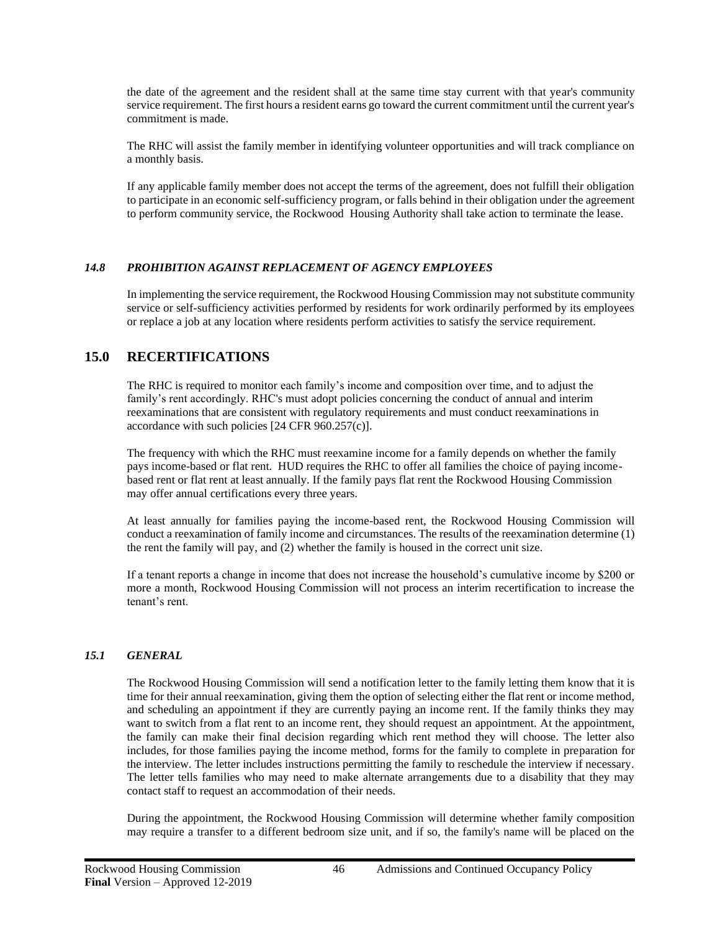the date of the agreement and the resident shall at the same time stay current with that year's community service requirement. The first hours a resident earns go toward the current commitment until the current year's commitment is made.

The RHC will assist the family member in identifying volunteer opportunities and will track compliance on a monthly basis.

If any applicable family member does not accept the terms of the agreement, does not fulfill their obligation to participate in an economic self-sufficiency program, or falls behind in their obligation under the agreement to perform community service, the Rockwood Housing Authority shall take action to terminate the lease.

## *14.8 PROHIBITION AGAINST REPLACEMENT OF AGENCY EMPLOYEES*

In implementing the service requirement, the Rockwood Housing Commission may not substitute community service or self-sufficiency activities performed by residents for work ordinarily performed by its employees or replace a job at any location where residents perform activities to satisfy the service requirement.

# **15.0 RECERTIFICATIONS**

The RHC is required to monitor each family's income and composition over time, and to adjust the family's rent accordingly. RHC's must adopt policies concerning the conduct of annual and interim reexaminations that are consistent with regulatory requirements and must conduct reexaminations in accordance with such policies [24 CFR 960.257(c)].

The frequency with which the RHC must reexamine income for a family depends on whether the family pays income-based or flat rent. HUD requires the RHC to offer all families the choice of paying incomebased rent or flat rent at least annually. If the family pays flat rent the Rockwood Housing Commission may offer annual certifications every three years.

At least annually for families paying the income-based rent, the Rockwood Housing Commission will conduct a reexamination of family income and circumstances. The results of the reexamination determine (1) the rent the family will pay, and (2) whether the family is housed in the correct unit size.

If a tenant reports a change in income that does not increase the household's cumulative income by \$200 or more a month, Rockwood Housing Commission will not process an interim recertification to increase the tenant's rent.

## *15.1 GENERAL*

The Rockwood Housing Commission will send a notification letter to the family letting them know that it is time for their annual reexamination, giving them the option of selecting either the flat rent or income method, and scheduling an appointment if they are currently paying an income rent. If the family thinks they may want to switch from a flat rent to an income rent, they should request an appointment. At the appointment, the family can make their final decision regarding which rent method they will choose. The letter also includes, for those families paying the income method, forms for the family to complete in preparation for the interview. The letter includes instructions permitting the family to reschedule the interview if necessary. The letter tells families who may need to make alternate arrangements due to a disability that they may contact staff to request an accommodation of their needs.

During the appointment, the Rockwood Housing Commission will determine whether family composition may require a transfer to a different bedroom size unit, and if so, the family's name will be placed on the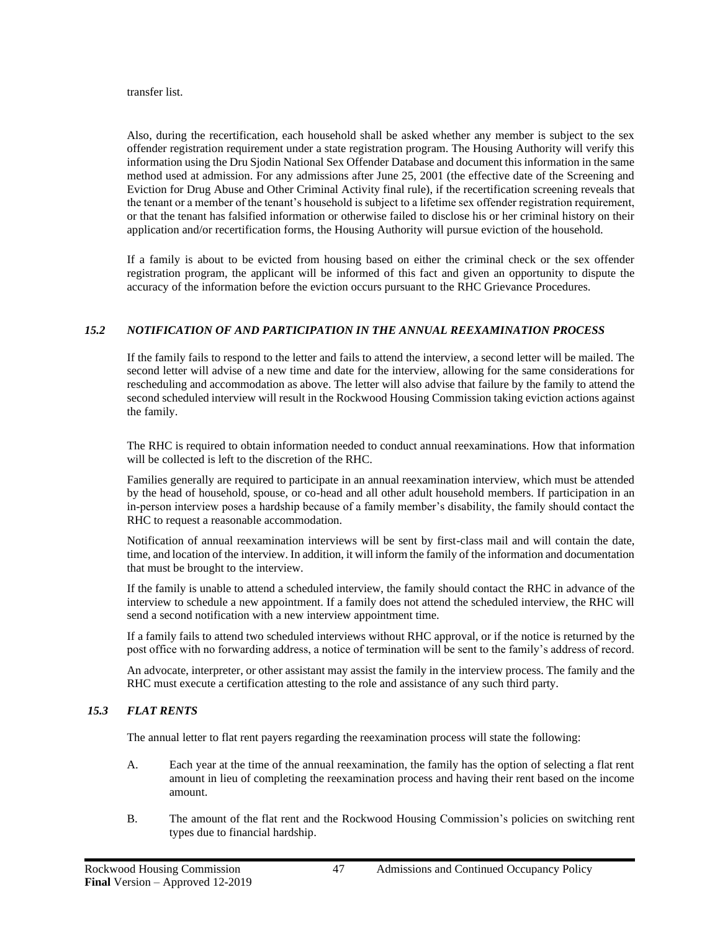#### transfer list.

Also, during the recertification, each household shall be asked whether any member is subject to the sex offender registration requirement under a state registration program. The Housing Authority will verify this information using the Dru Sjodin National Sex Offender Database and document this information in the same method used at admission. For any admissions after June 25, 2001 (the effective date of the Screening and Eviction for Drug Abuse and Other Criminal Activity final rule), if the recertification screening reveals that the tenant or a member of the tenant's household is subject to a lifetime sex offender registration requirement, or that the tenant has falsified information or otherwise failed to disclose his or her criminal history on their application and/or recertification forms, the Housing Authority will pursue eviction of the household.

If a family is about to be evicted from housing based on either the criminal check or the sex offender registration program, the applicant will be informed of this fact and given an opportunity to dispute the accuracy of the information before the eviction occurs pursuant to the RHC Grievance Procedures.

# *15.2 NOTIFICATION OF AND PARTICIPATION IN THE ANNUAL REEXAMINATION PROCESS*

If the family fails to respond to the letter and fails to attend the interview, a second letter will be mailed. The second letter will advise of a new time and date for the interview, allowing for the same considerations for rescheduling and accommodation as above. The letter will also advise that failure by the family to attend the second scheduled interview will result in the Rockwood Housing Commission taking eviction actions against the family.

The RHC is required to obtain information needed to conduct annual reexaminations. How that information will be collected is left to the discretion of the RHC.

Families generally are required to participate in an annual reexamination interview, which must be attended by the head of household, spouse, or co-head and all other adult household members. If participation in an in-person interview poses a hardship because of a family member's disability, the family should contact the RHC to request a reasonable accommodation.

Notification of annual reexamination interviews will be sent by first-class mail and will contain the date, time, and location of the interview. In addition, it will inform the family of the information and documentation that must be brought to the interview.

If the family is unable to attend a scheduled interview, the family should contact the RHC in advance of the interview to schedule a new appointment. If a family does not attend the scheduled interview, the RHC will send a second notification with a new interview appointment time.

If a family fails to attend two scheduled interviews without RHC approval, or if the notice is returned by the post office with no forwarding address, a notice of termination will be sent to the family's address of record.

An advocate, interpreter, or other assistant may assist the family in the interview process. The family and the RHC must execute a certification attesting to the role and assistance of any such third party.

## *15.3 FLAT RENTS*

The annual letter to flat rent payers regarding the reexamination process will state the following:

- A. Each year at the time of the annual reexamination, the family has the option of selecting a flat rent amount in lieu of completing the reexamination process and having their rent based on the income amount.
- B. The amount of the flat rent and the Rockwood Housing Commission's policies on switching rent types due to financial hardship.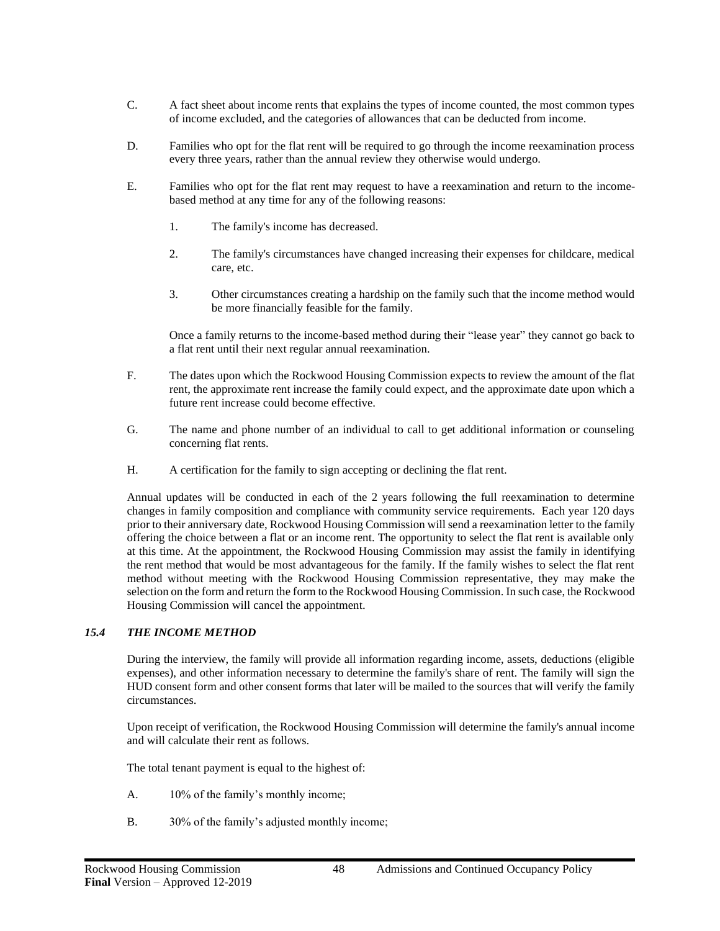- C. A fact sheet about income rents that explains the types of income counted, the most common types of income excluded, and the categories of allowances that can be deducted from income.
- D. Families who opt for the flat rent will be required to go through the income reexamination process every three years, rather than the annual review they otherwise would undergo.
- E. Families who opt for the flat rent may request to have a reexamination and return to the incomebased method at any time for any of the following reasons:
	- 1. The family's income has decreased.
	- 2. The family's circumstances have changed increasing their expenses for childcare, medical care, etc.
	- 3. Other circumstances creating a hardship on the family such that the income method would be more financially feasible for the family.

Once a family returns to the income-based method during their "lease year" they cannot go back to a flat rent until their next regular annual reexamination.

- F. The dates upon which the Rockwood Housing Commission expects to review the amount of the flat rent, the approximate rent increase the family could expect, and the approximate date upon which a future rent increase could become effective.
- G. The name and phone number of an individual to call to get additional information or counseling concerning flat rents.
- H. A certification for the family to sign accepting or declining the flat rent.

Annual updates will be conducted in each of the 2 years following the full reexamination to determine changes in family composition and compliance with community service requirements. Each year 120 days prior to their anniversary date, Rockwood Housing Commission will send a reexamination letter to the family offering the choice between a flat or an income rent. The opportunity to select the flat rent is available only at this time. At the appointment, the Rockwood Housing Commission may assist the family in identifying the rent method that would be most advantageous for the family. If the family wishes to select the flat rent method without meeting with the Rockwood Housing Commission representative, they may make the selection on the form and return the form to the Rockwood Housing Commission. In such case, the Rockwood Housing Commission will cancel the appointment.

## *15.4 THE INCOME METHOD*

During the interview, the family will provide all information regarding income, assets, deductions (eligible expenses), and other information necessary to determine the family's share of rent. The family will sign the HUD consent form and other consent forms that later will be mailed to the sources that will verify the family circumstances.

Upon receipt of verification, the Rockwood Housing Commission will determine the family's annual income and will calculate their rent as follows.

The total tenant payment is equal to the highest of:

- A. 10% of the family's monthly income;
- B. 30% of the family's adjusted monthly income;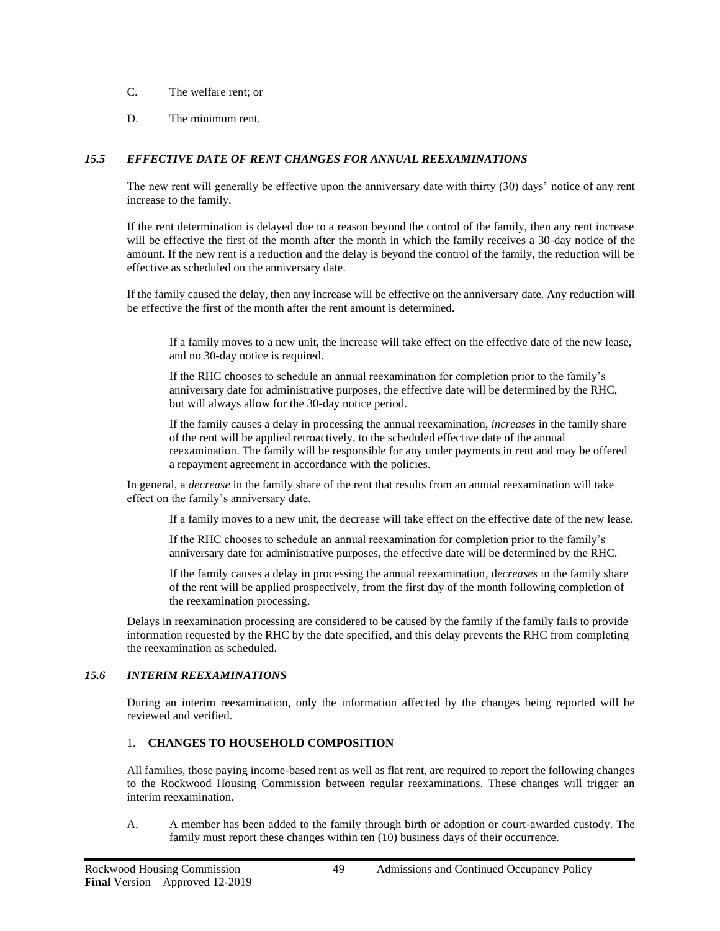- C. The welfare rent; or
- D. The minimum rent.

## *15.5 EFFECTIVE DATE OF RENT CHANGES FOR ANNUAL REEXAMINATIONS*

The new rent will generally be effective upon the anniversary date with thirty (30) days' notice of any rent increase to the family.

If the rent determination is delayed due to a reason beyond the control of the family, then any rent increase will be effective the first of the month after the month in which the family receives a 30-day notice of the amount. If the new rent is a reduction and the delay is beyond the control of the family, the reduction will be effective as scheduled on the anniversary date.

If the family caused the delay, then any increase will be effective on the anniversary date. Any reduction will be effective the first of the month after the rent amount is determined.

If a family moves to a new unit, the increase will take effect on the effective date of the new lease, and no 30-day notice is required.

If the RHC chooses to schedule an annual reexamination for completion prior to the family's anniversary date for administrative purposes, the effective date will be determined by the RHC, but will always allow for the 30-day notice period.

If the family causes a delay in processing the annual reexamination, *increases* in the family share of the rent will be applied retroactively, to the scheduled effective date of the annual reexamination. The family will be responsible for any under payments in rent and may be offered a repayment agreement in accordance with the policies.

In general, a *decrease* in the family share of the rent that results from an annual reexamination will take effect on the family's anniversary date.

If a family moves to a new unit, the decrease will take effect on the effective date of the new lease.

If the RHC chooses to schedule an annual reexamination for completion prior to the family's anniversary date for administrative purposes, the effective date will be determined by the RHC.

If the family causes a delay in processing the annual reexamination, d*ecreases* in the family share of the rent will be applied prospectively, from the first day of the month following completion of the reexamination processing.

Delays in reexamination processing are considered to be caused by the family if the family fails to provide information requested by the RHC by the date specified, and this delay prevents the RHC from completing the reexamination as scheduled.

## *15.6 INTERIM REEXAMINATIONS*

During an interim reexamination, only the information affected by the changes being reported will be reviewed and verified.

# 1. **CHANGES TO HOUSEHOLD COMPOSITION**

All families, those paying income-based rent as well as flat rent, are required to report the following changes to the Rockwood Housing Commission between regular reexaminations. These changes will trigger an interim reexamination.

A. A member has been added to the family through birth or adoption or court-awarded custody. The family must report these changes within ten (10) business days of their occurrence.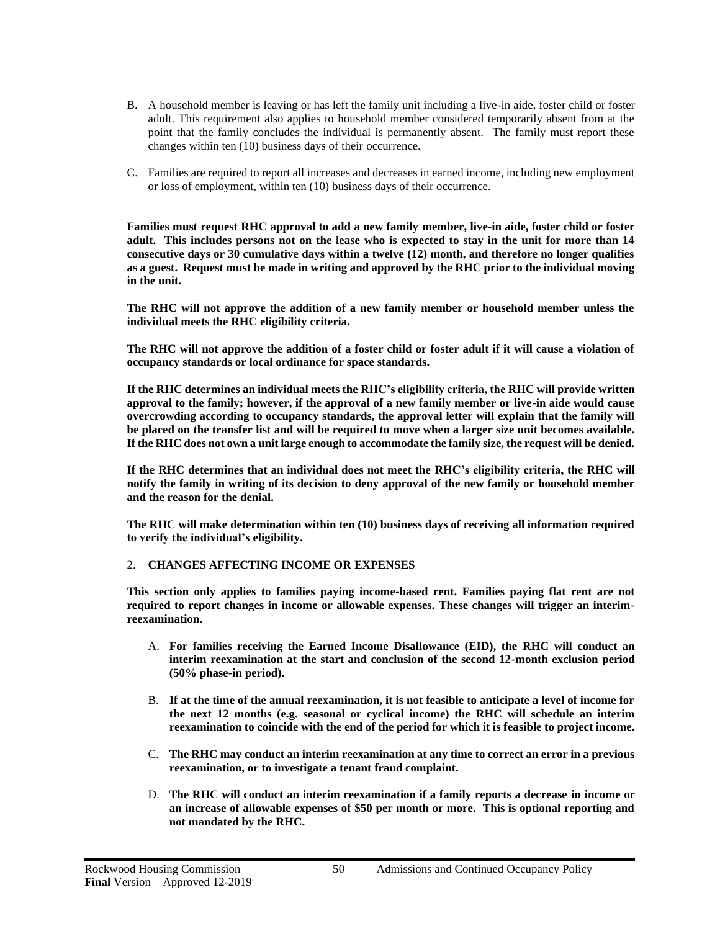- B. A household member is leaving or has left the family unit including a live-in aide, foster child or foster adult. This requirement also applies to household member considered temporarily absent from at the point that the family concludes the individual is permanently absent. The family must report these changes within ten (10) business days of their occurrence.
- C. Families are required to report all increases and decreases in earned income, including new employment or loss of employment, within ten (10) business days of their occurrence.

**Families must request RHC approval to add a new family member, live-in aide, foster child or foster adult. This includes persons not on the lease who is expected to stay in the unit for more than 14 consecutive days or 30 cumulative days within a twelve (12) month, and therefore no longer qualifies as a guest. Request must be made in writing and approved by the RHC prior to the individual moving in the unit.**

**The RHC will not approve the addition of a new family member or household member unless the individual meets the RHC eligibility criteria.**

**The RHC will not approve the addition of a foster child or foster adult if it will cause a violation of occupancy standards or local ordinance for space standards.**

**If the RHC determines an individual meets the RHC's eligibility criteria, the RHC will provide written approval to the family; however, if the approval of a new family member or live-in aide would cause overcrowding according to occupancy standards, the approval letter will explain that the family will be placed on the transfer list and will be required to move when a larger size unit becomes available. If the RHC does not own a unit large enough to accommodate the family size, the request will be denied.**

**If the RHC determines that an individual does not meet the RHC's eligibility criteria, the RHC will notify the family in writing of its decision to deny approval of the new family or household member and the reason for the denial.**

**The RHC will make determination within ten (10) business days of receiving all information required to verify the individual's eligibility.**

#### 2. **CHANGES AFFECTING INCOME OR EXPENSES**

**This section only applies to families paying income-based rent. Families paying flat rent are not required to report changes in income or allowable expenses. These changes will trigger an interimreexamination.** 

- A. **For families receiving the Earned Income Disallowance (EID), the RHC will conduct an interim reexamination at the start and conclusion of the second 12-month exclusion period (50% phase-in period).**
- B. **If at the time of the annual reexamination, it is not feasible to anticipate a level of income for the next 12 months (e.g. seasonal or cyclical income) the RHC will schedule an interim reexamination to coincide with the end of the period for which it is feasible to project income.**
- C. **The RHC may conduct an interim reexamination at any time to correct an error in a previous reexamination, or to investigate a tenant fraud complaint.**
- D. **The RHC will conduct an interim reexamination if a family reports a decrease in income or an increase of allowable expenses of \$50 per month or more. This is optional reporting and not mandated by the RHC.**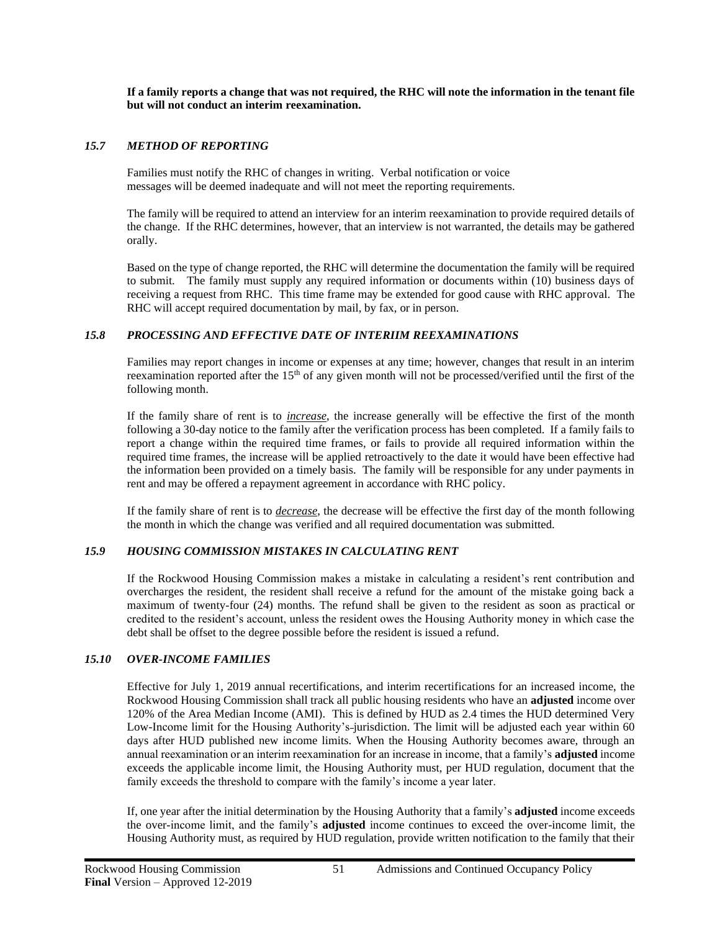**If a family reports a change that was not required, the RHC will note the information in the tenant file but will not conduct an interim reexamination.**

#### *15.7 METHOD OF REPORTING*

Families must notify the RHC of changes in writing. Verbal notification or voice messages will be deemed inadequate and will not meet the reporting requirements.

The family will be required to attend an interview for an interim reexamination to provide required details of the change. If the RHC determines, however, that an interview is not warranted, the details may be gathered orally.

Based on the type of change reported, the RHC will determine the documentation the family will be required to submit. The family must supply any required information or documents within (10) business days of receiving a request from RHC. This time frame may be extended for good cause with RHC approval. The RHC will accept required documentation by mail, by fax, or in person.

#### *15.8 PROCESSING AND EFFECTIVE DATE OF INTERIIM REEXAMINATIONS*

Families may report changes in income or expenses at any time; however, changes that result in an interim reexamination reported after the 15<sup>th</sup> of any given month will not be processed/verified until the first of the following month.

If the family share of rent is to *increase*, the increase generally will be effective the first of the month following a 30-day notice to the family after the verification process has been completed. If a family fails to report a change within the required time frames, or fails to provide all required information within the required time frames, the increase will be applied retroactively to the date it would have been effective had the information been provided on a timely basis. The family will be responsible for any under payments in rent and may be offered a repayment agreement in accordance with RHC policy.

If the family share of rent is to *decrease*, the decrease will be effective the first day of the month following the month in which the change was verified and all required documentation was submitted.

#### *15.9 HOUSING COMMISSION MISTAKES IN CALCULATING RENT*

If the Rockwood Housing Commission makes a mistake in calculating a resident's rent contribution and overcharges the resident, the resident shall receive a refund for the amount of the mistake going back a maximum of twenty-four (24) months. The refund shall be given to the resident as soon as practical or credited to the resident's account, unless the resident owes the Housing Authority money in which case the debt shall be offset to the degree possible before the resident is issued a refund.

## *15.10 OVER-INCOME FAMILIES*

Effective for July 1, 2019 annual recertifications, and interim recertifications for an increased income, the Rockwood Housing Commission shall track all public housing residents who have an **adjusted** income over 120% of the Area Median Income (AMI). This is defined by HUD as 2.4 times the HUD determined Very Low-Income limit for the Housing Authority's-jurisdiction. The limit will be adjusted each year within 60 days after HUD published new income limits. When the Housing Authority becomes aware, through an annual reexamination or an interim reexamination for an increase in income, that a family's **adjusted** income exceeds the applicable income limit, the Housing Authority must, per HUD regulation, document that the family exceeds the threshold to compare with the family's income a year later.

If, one year after the initial determination by the Housing Authority that a family's **adjusted** income exceeds the over-income limit, and the family's **adjusted** income continues to exceed the over-income limit, the Housing Authority must, as required by HUD regulation, provide written notification to the family that their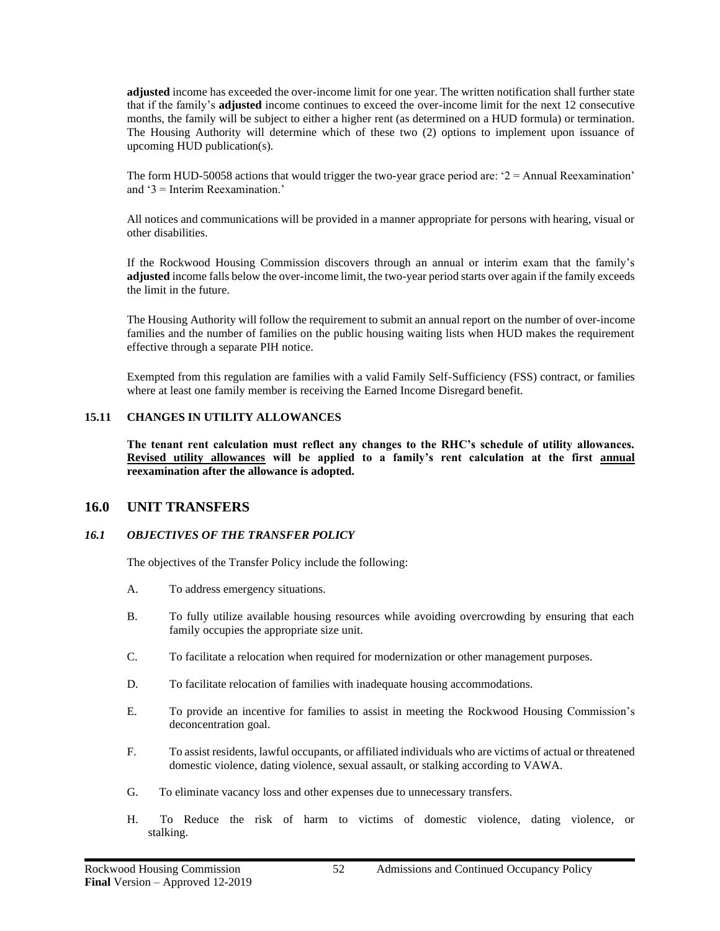**adjusted** income has exceeded the over-income limit for one year. The written notification shall further state that if the family's **adjusted** income continues to exceed the over-income limit for the next 12 consecutive months, the family will be subject to either a higher rent (as determined on a HUD formula) or termination. The Housing Authority will determine which of these two (2) options to implement upon issuance of upcoming HUD publication(s).

The form HUD-50058 actions that would trigger the two-year grace period are:  $2 =$ Annual Reexamination' and '3 = Interim Reexamination.'

All notices and communications will be provided in a manner appropriate for persons with hearing, visual or other disabilities.

If the Rockwood Housing Commission discovers through an annual or interim exam that the family's **adjusted** income falls below the over-income limit, the two-year period starts over again if the family exceeds the limit in the future.

The Housing Authority will follow the requirement to submit an annual report on the number of over-income families and the number of families on the public housing waiting lists when HUD makes the requirement effective through a separate PIH notice.

Exempted from this regulation are families with a valid Family Self-Sufficiency (FSS) contract, or families where at least one family member is receiving the Earned Income Disregard benefit.

#### **15.11 CHANGES IN UTILITY ALLOWANCES**

**The tenant rent calculation must reflect any changes to the RHC's schedule of utility allowances. Revised utility allowances will be applied to a family's rent calculation at the first annual reexamination after the allowance is adopted.**

## **16.0 UNIT TRANSFERS**

#### *16.1 OBJECTIVES OF THE TRANSFER POLICY*

The objectives of the Transfer Policy include the following:

- A. To address emergency situations.
- B. To fully utilize available housing resources while avoiding overcrowding by ensuring that each family occupies the appropriate size unit.
- C. To facilitate a relocation when required for modernization or other management purposes.
- D. To facilitate relocation of families with inadequate housing accommodations.
- E. To provide an incentive for families to assist in meeting the Rockwood Housing Commission's deconcentration goal.
- F. To assist residents, lawful occupants, or affiliated individuals who are victims of actual or threatened domestic violence, dating violence, sexual assault, or stalking according to VAWA.
- G. To eliminate vacancy loss and other expenses due to unnecessary transfers.
- H. To Reduce the risk of harm to victims of domestic violence, dating violence, or stalking.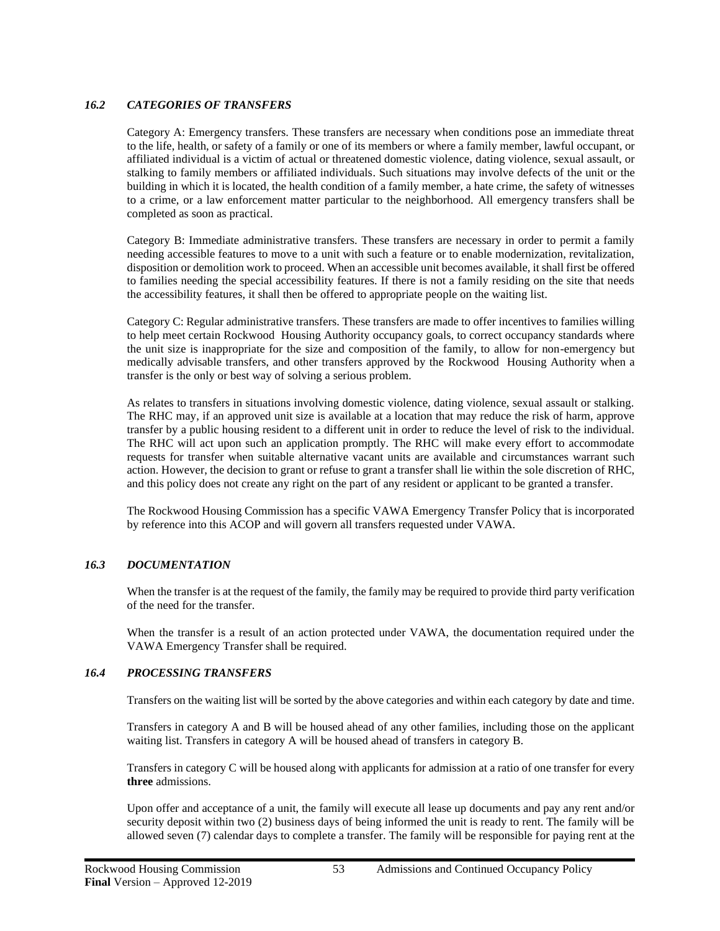## *16.2 CATEGORIES OF TRANSFERS*

Category A: Emergency transfers. These transfers are necessary when conditions pose an immediate threat to the life, health, or safety of a family or one of its members or where a family member, lawful occupant, or affiliated individual is a victim of actual or threatened domestic violence, dating violence, sexual assault, or stalking to family members or affiliated individuals. Such situations may involve defects of the unit or the building in which it is located, the health condition of a family member, a hate crime, the safety of witnesses to a crime, or a law enforcement matter particular to the neighborhood. All emergency transfers shall be completed as soon as practical.

Category B: Immediate administrative transfers. These transfers are necessary in order to permit a family needing accessible features to move to a unit with such a feature or to enable modernization, revitalization, disposition or demolition work to proceed. When an accessible unit becomes available, it shall first be offered to families needing the special accessibility features. If there is not a family residing on the site that needs the accessibility features, it shall then be offered to appropriate people on the waiting list.

Category C: Regular administrative transfers. These transfers are made to offer incentives to families willing to help meet certain Rockwood Housing Authority occupancy goals, to correct occupancy standards where the unit size is inappropriate for the size and composition of the family, to allow for non-emergency but medically advisable transfers, and other transfers approved by the Rockwood Housing Authority when a transfer is the only or best way of solving a serious problem.

As relates to transfers in situations involving domestic violence, dating violence, sexual assault or stalking. The RHC may, if an approved unit size is available at a location that may reduce the risk of harm, approve transfer by a public housing resident to a different unit in order to reduce the level of risk to the individual. The RHC will act upon such an application promptly. The RHC will make every effort to accommodate requests for transfer when suitable alternative vacant units are available and circumstances warrant such action. However, the decision to grant or refuse to grant a transfer shall lie within the sole discretion of RHC, and this policy does not create any right on the part of any resident or applicant to be granted a transfer.

The Rockwood Housing Commission has a specific VAWA Emergency Transfer Policy that is incorporated by reference into this ACOP and will govern all transfers requested under VAWA.

## *16.3 DOCUMENTATION*

When the transfer is at the request of the family, the family may be required to provide third party verification of the need for the transfer.

When the transfer is a result of an action protected under VAWA, the documentation required under the VAWA Emergency Transfer shall be required.

## *16.4 PROCESSING TRANSFERS*

Transfers on the waiting list will be sorted by the above categories and within each category by date and time.

Transfers in category A and B will be housed ahead of any other families, including those on the applicant waiting list. Transfers in category A will be housed ahead of transfers in category B.

Transfers in category C will be housed along with applicants for admission at a ratio of one transfer for every **three** admissions.

Upon offer and acceptance of a unit, the family will execute all lease up documents and pay any rent and/or security deposit within two (2) business days of being informed the unit is ready to rent. The family will be allowed seven (7) calendar days to complete a transfer. The family will be responsible for paying rent at the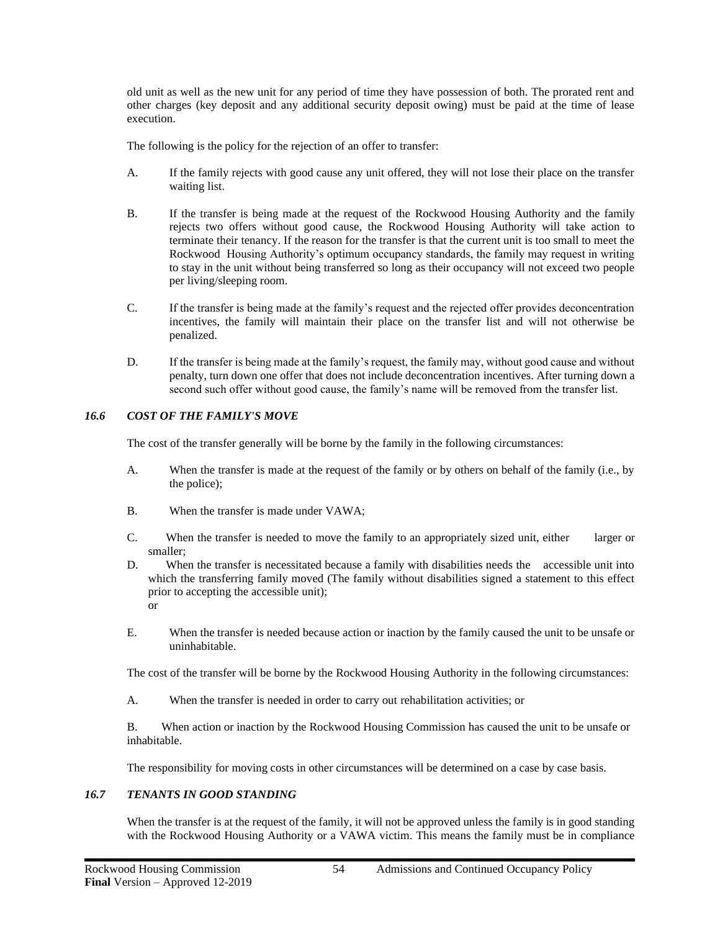old unit as well as the new unit for any period of time they have possession of both. The prorated rent and other charges (key deposit and any additional security deposit owing) must be paid at the time of lease execution.

The following is the policy for the rejection of an offer to transfer:

- A. If the family rejects with good cause any unit offered, they will not lose their place on the transfer waiting list.
- B. If the transfer is being made at the request of the Rockwood Housing Authority and the family rejects two offers without good cause, the Rockwood Housing Authority will take action to terminate their tenancy. If the reason for the transfer is that the current unit is too small to meet the Rockwood Housing Authority's optimum occupancy standards, the family may request in writing to stay in the unit without being transferred so long as their occupancy will not exceed two people per living/sleeping room.
- C. If the transfer is being made at the family's request and the rejected offer provides deconcentration incentives, the family will maintain their place on the transfer list and will not otherwise be penalized.
- D. If the transfer is being made at the family's request, the family may, without good cause and without penalty, turn down one offer that does not include deconcentration incentives. After turning down a second such offer without good cause, the family's name will be removed from the transfer list.

## *16.6 COST OF THE FAMILY'S MOVE*

The cost of the transfer generally will be borne by the family in the following circumstances:

- A. When the transfer is made at the request of the family or by others on behalf of the family (i.e., by the police);
- B. When the transfer is made under VAWA;
- C. When the transfer is needed to move the family to an appropriately sized unit, either larger or smaller;
- D. When the transfer is necessitated because a family with disabilities needs the accessible unit into which the transferring family moved (The family without disabilities signed a statement to this effect prior to accepting the accessible unit); or
- E. When the transfer is needed because action or inaction by the family caused the unit to be unsafe or uninhabitable.

The cost of the transfer will be borne by the Rockwood Housing Authority in the following circumstances:

A. When the transfer is needed in order to carry out rehabilitation activities; or

B. When action or inaction by the Rockwood Housing Commission has caused the unit to be unsafe or inhabitable.

The responsibility for moving costs in other circumstances will be determined on a case by case basis.

#### *16.7 TENANTS IN GOOD STANDING*

When the transfer is at the request of the family, it will not be approved unless the family is in good standing with the Rockwood Housing Authority or a VAWA victim. This means the family must be in compliance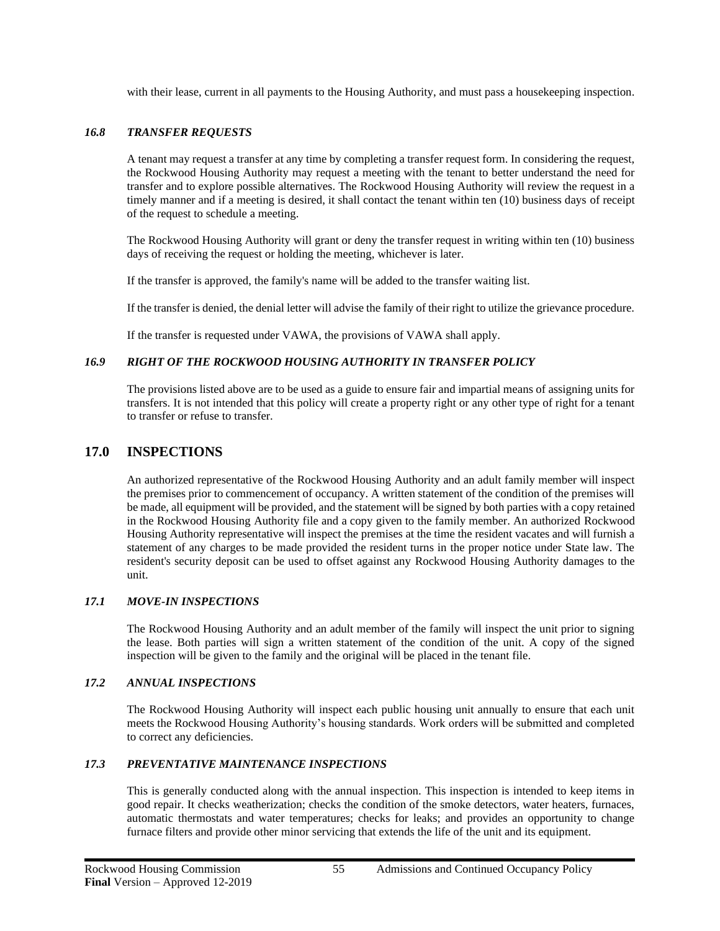with their lease, current in all payments to the Housing Authority, and must pass a housekeeping inspection.

## *16.8 TRANSFER REQUESTS*

A tenant may request a transfer at any time by completing a transfer request form. In considering the request, the Rockwood Housing Authority may request a meeting with the tenant to better understand the need for transfer and to explore possible alternatives. The Rockwood Housing Authority will review the request in a timely manner and if a meeting is desired, it shall contact the tenant within ten (10) business days of receipt of the request to schedule a meeting.

The Rockwood Housing Authority will grant or deny the transfer request in writing within ten (10) business days of receiving the request or holding the meeting, whichever is later.

If the transfer is approved, the family's name will be added to the transfer waiting list.

If the transfer is denied, the denial letter will advise the family of their right to utilize the grievance procedure.

If the transfer is requested under VAWA, the provisions of VAWA shall apply.

## *16.9 RIGHT OF THE ROCKWOOD HOUSING AUTHORITY IN TRANSFER POLICY*

The provisions listed above are to be used as a guide to ensure fair and impartial means of assigning units for transfers. It is not intended that this policy will create a property right or any other type of right for a tenant to transfer or refuse to transfer.

# **17.0 INSPECTIONS**

An authorized representative of the Rockwood Housing Authority and an adult family member will inspect the premises prior to commencement of occupancy. A written statement of the condition of the premises will be made, all equipment will be provided, and the statement will be signed by both parties with a copy retained in the Rockwood Housing Authority file and a copy given to the family member. An authorized Rockwood Housing Authority representative will inspect the premises at the time the resident vacates and will furnish a statement of any charges to be made provided the resident turns in the proper notice under State law. The resident's security deposit can be used to offset against any Rockwood Housing Authority damages to the unit.

#### *17.1 MOVE-IN INSPECTIONS*

The Rockwood Housing Authority and an adult member of the family will inspect the unit prior to signing the lease. Both parties will sign a written statement of the condition of the unit. A copy of the signed inspection will be given to the family and the original will be placed in the tenant file.

#### *17.2 ANNUAL INSPECTIONS*

The Rockwood Housing Authority will inspect each public housing unit annually to ensure that each unit meets the Rockwood Housing Authority's housing standards. Work orders will be submitted and completed to correct any deficiencies.

#### *17.3 PREVENTATIVE MAINTENANCE INSPECTIONS*

This is generally conducted along with the annual inspection. This inspection is intended to keep items in good repair. It checks weatherization; checks the condition of the smoke detectors, water heaters, furnaces, automatic thermostats and water temperatures; checks for leaks; and provides an opportunity to change furnace filters and provide other minor servicing that extends the life of the unit and its equipment.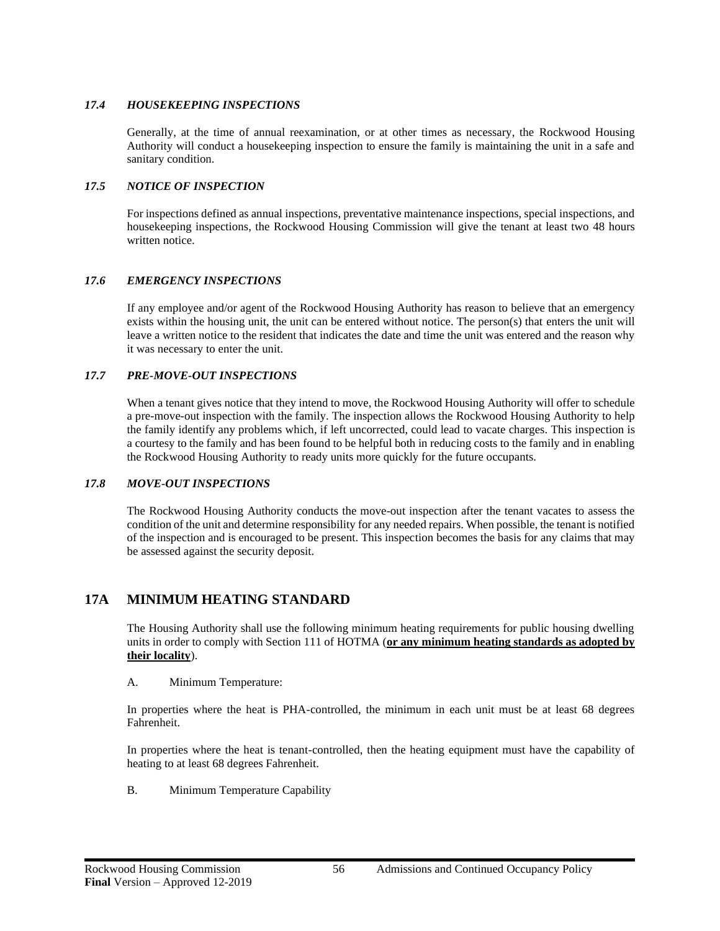# *17.4 HOUSEKEEPING INSPECTIONS*

Generally, at the time of annual reexamination, or at other times as necessary, the Rockwood Housing Authority will conduct a housekeeping inspection to ensure the family is maintaining the unit in a safe and sanitary condition.

# *17.5 NOTICE OF INSPECTION*

For inspections defined as annual inspections, preventative maintenance inspections, special inspections, and housekeeping inspections, the Rockwood Housing Commission will give the tenant at least two 48 hours written notice.

# *17.6 EMERGENCY INSPECTIONS*

If any employee and/or agent of the Rockwood Housing Authority has reason to believe that an emergency exists within the housing unit, the unit can be entered without notice. The person(s) that enters the unit will leave a written notice to the resident that indicates the date and time the unit was entered and the reason why it was necessary to enter the unit.

# *17.7 PRE-MOVE-OUT INSPECTIONS*

When a tenant gives notice that they intend to move, the Rockwood Housing Authority will offer to schedule a pre-move-out inspection with the family. The inspection allows the Rockwood Housing Authority to help the family identify any problems which, if left uncorrected, could lead to vacate charges. This inspection is a courtesy to the family and has been found to be helpful both in reducing costs to the family and in enabling the Rockwood Housing Authority to ready units more quickly for the future occupants.

## *17.8 MOVE-OUT INSPECTIONS*

The Rockwood Housing Authority conducts the move-out inspection after the tenant vacates to assess the condition of the unit and determine responsibility for any needed repairs. When possible, the tenant is notified of the inspection and is encouraged to be present. This inspection becomes the basis for any claims that may be assessed against the security deposit.

# **17A MINIMUM HEATING STANDARD**

The Housing Authority shall use the following minimum heating requirements for public housing dwelling units in order to comply with Section 111 of HOTMA (**or any minimum heating standards as adopted by their locality**).

## A. Minimum Temperature:

In properties where the heat is PHA-controlled, the minimum in each unit must be at least 68 degrees Fahrenheit.

In properties where the heat is tenant-controlled, then the heating equipment must have the capability of heating to at least 68 degrees Fahrenheit.

B. Minimum Temperature Capability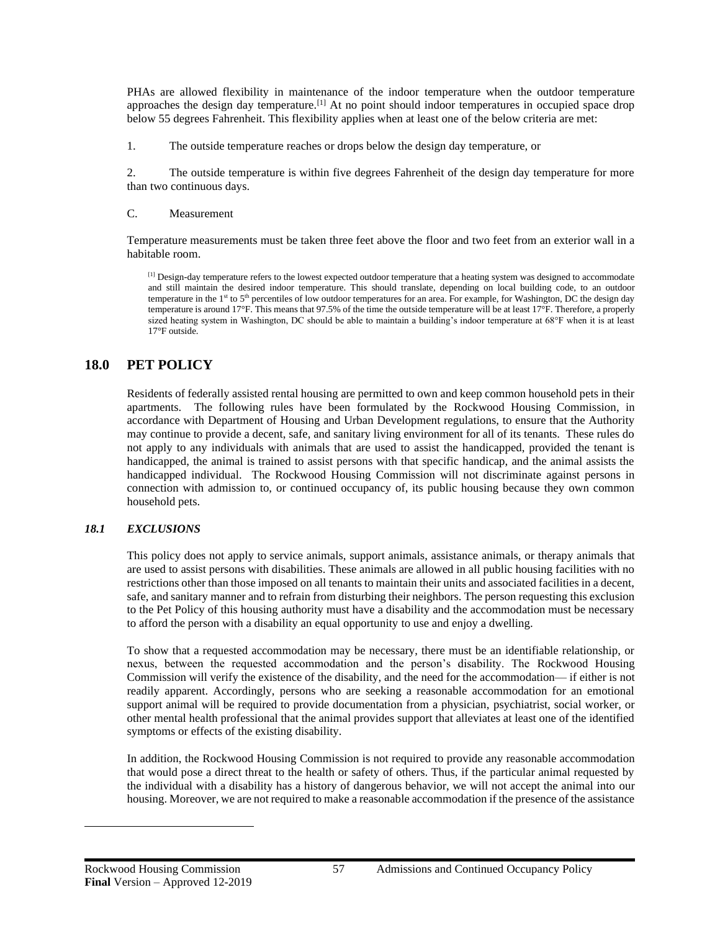PHAs are allowed flexibility in maintenance of the indoor temperature when the outdoor temperature approaches the design day temperature.<sup>[1]</sup> At no point should indoor temperatures in occupied space drop below 55 degrees Fahrenheit. This flexibility applies when at least one of the below criteria are met:

1. The outside temperature reaches or drops below the design day temperature, or

2. The outside temperature is within five degrees Fahrenheit of the design day temperature for more than two continuous days.

#### C. Measurement

Temperature measurements must be taken three feet above the floor and two feet from an exterior wall in a habitable room.

<sup>[1]</sup> Design-day temperature refers to the lowest expected outdoor temperature that a heating system was designed to accommodate and still maintain the desired indoor temperature. This should translate, depending on local building code, to an outdoor temperature in the 1st to 5<sup>th</sup> percentiles of low outdoor temperatures for an area. For example, for Washington, DC the design day temperature is around 17°F. This means that 97.5% of the time the outside temperature will be at least 17°F. Therefore, a properly sized heating system in Washington, DC should be able to maintain a building's indoor temperature at 68°F when it is at least 17°F outside.

# **18.0 PET POLICY**

Residents of federally assisted rental housing are permitted to own and keep common household pets in their apartments. The following rules have been formulated by the Rockwood Housing Commission, in accordance with Department of Housing and Urban Development regulations, to ensure that the Authority may continue to provide a decent, safe, and sanitary living environment for all of its tenants. These rules do not apply to any individuals with animals that are used to assist the handicapped, provided the tenant is handicapped, the animal is trained to assist persons with that specific handicap, and the animal assists the handicapped individual. The Rockwood Housing Commission will not discriminate against persons in connection with admission to, or continued occupancy of, its public housing because they own common household pets.

#### *18.1 EXCLUSIONS*

This policy does not apply to service animals, support animals, assistance animals, or therapy animals that are used to assist persons with disabilities. These animals are allowed in all public housing facilities with no restrictions other than those imposed on all tenants to maintain their units and associated facilities in a decent, safe, and sanitary manner and to refrain from disturbing their neighbors. The person requesting this exclusion to the Pet Policy of this housing authority must have a disability and the accommodation must be necessary to afford the person with a disability an equal opportunity to use and enjoy a dwelling.

To show that a requested accommodation may be necessary, there must be an identifiable relationship, or nexus, between the requested accommodation and the person's disability. The Rockwood Housing Commission will verify the existence of the disability, and the need for the accommodation— if either is not readily apparent. Accordingly, persons who are seeking a reasonable accommodation for an emotional support animal will be required to provide documentation from a physician, psychiatrist, social worker, or other mental health professional that the animal provides support that alleviates at least one of the identified symptoms or effects of the existing disability.

In addition, the Rockwood Housing Commission is not required to provide any reasonable accommodation that would pose a direct threat to the health or safety of others. Thus, if the particular animal requested by the individual with a disability has a history of dangerous behavior, we will not accept the animal into our housing. Moreover, we are not required to make a reasonable accommodation if the presence of the assistance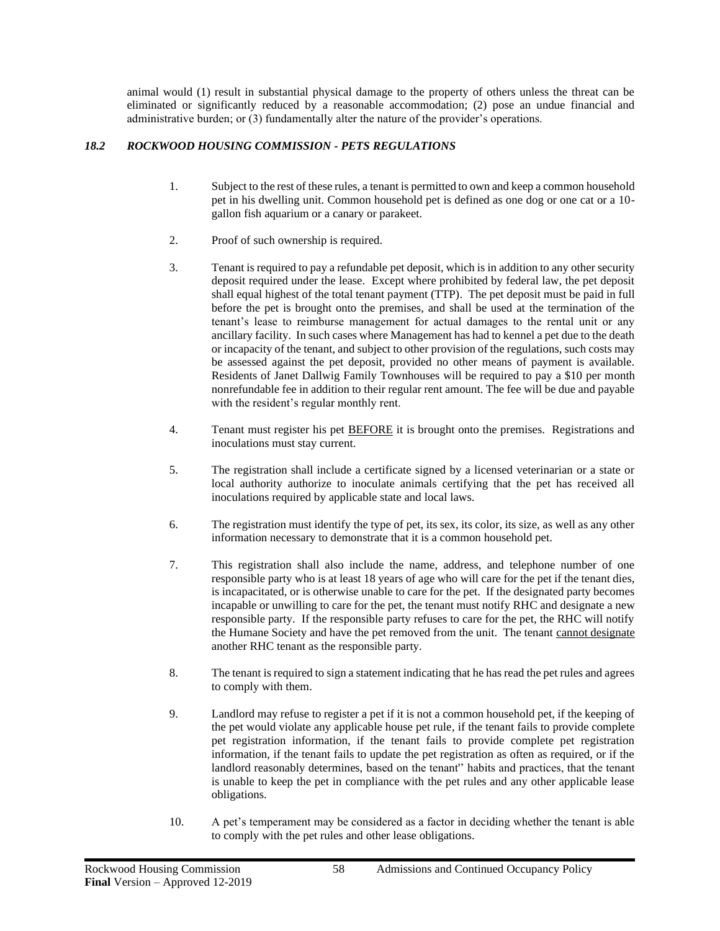animal would (1) result in substantial physical damage to the property of others unless the threat can be eliminated or significantly reduced by a reasonable accommodation; (2) pose an undue financial and administrative burden; or (3) fundamentally alter the nature of the provider's operations.

# *18.2 ROCKWOOD HOUSING COMMISSION - PETS REGULATIONS*

- 1. Subject to the rest of these rules, a tenant is permitted to own and keep a common household pet in his dwelling unit. Common household pet is defined as one dog or one cat or a 10 gallon fish aquarium or a canary or parakeet.
- 2. Proof of such ownership is required.
- 3. Tenant is required to pay a refundable pet deposit, which is in addition to any other security deposit required under the lease. Except where prohibited by federal law, the pet deposit shall equal highest of the total tenant payment (TTP). The pet deposit must be paid in full before the pet is brought onto the premises, and shall be used at the termination of the tenant's lease to reimburse management for actual damages to the rental unit or any ancillary facility. In such cases where Management has had to kennel a pet due to the death or incapacity of the tenant, and subject to other provision of the regulations, such costs may be assessed against the pet deposit, provided no other means of payment is available. Residents of Janet Dallwig Family Townhouses will be required to pay a \$10 per month nonrefundable fee in addition to their regular rent amount. The fee will be due and payable with the resident's regular monthly rent.
- 4. Tenant must register his pet **BEFORE** it is brought onto the premises. Registrations and inoculations must stay current.
- 5. The registration shall include a certificate signed by a licensed veterinarian or a state or local authority authorize to inoculate animals certifying that the pet has received all inoculations required by applicable state and local laws.
- 6. The registration must identify the type of pet, its sex, its color, its size, as well as any other information necessary to demonstrate that it is a common household pet.
- 7. This registration shall also include the name, address, and telephone number of one responsible party who is at least 18 years of age who will care for the pet if the tenant dies, is incapacitated, or is otherwise unable to care for the pet. If the designated party becomes incapable or unwilling to care for the pet, the tenant must notify RHC and designate a new responsible party. If the responsible party refuses to care for the pet, the RHC will notify the Humane Society and have the pet removed from the unit. The tenant cannot designate another RHC tenant as the responsible party.
- 8. The tenant is required to sign a statement indicating that he has read the pet rules and agrees to comply with them.
- 9. Landlord may refuse to register a pet if it is not a common household pet, if the keeping of the pet would violate any applicable house pet rule, if the tenant fails to provide complete pet registration information, if the tenant fails to provide complete pet registration information, if the tenant fails to update the pet registration as often as required, or if the landlord reasonably determines, based on the tenant'' habits and practices, that the tenant is unable to keep the pet in compliance with the pet rules and any other applicable lease obligations.
- 10. A pet's temperament may be considered as a factor in deciding whether the tenant is able to comply with the pet rules and other lease obligations.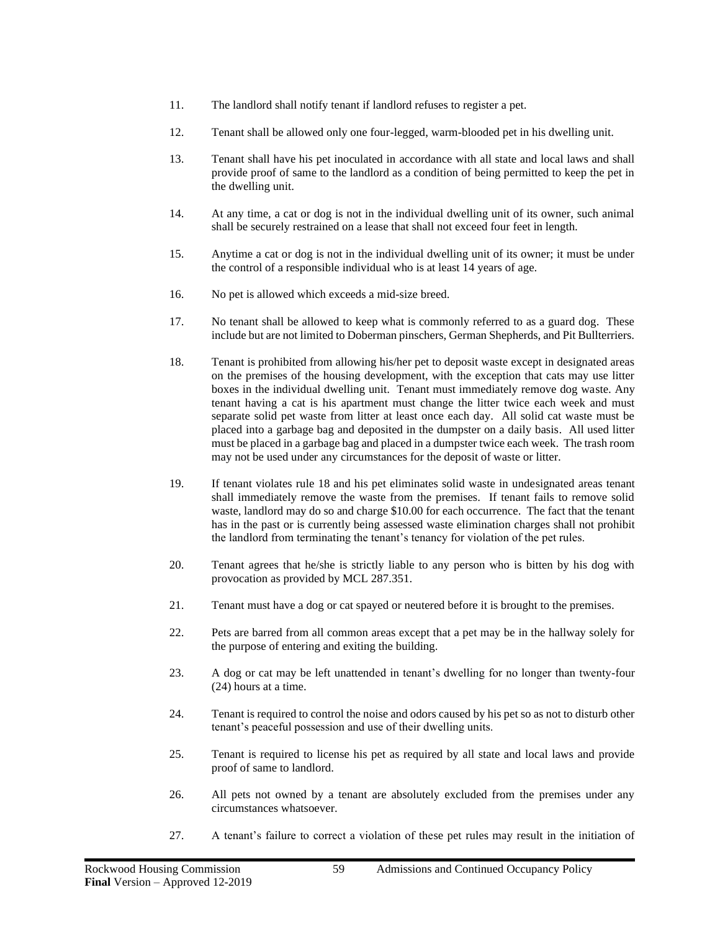- 11. The landlord shall notify tenant if landlord refuses to register a pet.
- 12. Tenant shall be allowed only one four-legged, warm-blooded pet in his dwelling unit.
- 13. Tenant shall have his pet inoculated in accordance with all state and local laws and shall provide proof of same to the landlord as a condition of being permitted to keep the pet in the dwelling unit.
- 14. At any time, a cat or dog is not in the individual dwelling unit of its owner, such animal shall be securely restrained on a lease that shall not exceed four feet in length.
- 15. Anytime a cat or dog is not in the individual dwelling unit of its owner; it must be under the control of a responsible individual who is at least 14 years of age.
- 16. No pet is allowed which exceeds a mid-size breed.
- 17. No tenant shall be allowed to keep what is commonly referred to as a guard dog. These include but are not limited to Doberman pinschers, German Shepherds, and Pit Bullterriers.
- 18. Tenant is prohibited from allowing his/her pet to deposit waste except in designated areas on the premises of the housing development, with the exception that cats may use litter boxes in the individual dwelling unit. Tenant must immediately remove dog waste. Any tenant having a cat is his apartment must change the litter twice each week and must separate solid pet waste from litter at least once each day. All solid cat waste must be placed into a garbage bag and deposited in the dumpster on a daily basis. All used litter must be placed in a garbage bag and placed in a dumpster twice each week. The trash room may not be used under any circumstances for the deposit of waste or litter.
- 19. If tenant violates rule 18 and his pet eliminates solid waste in undesignated areas tenant shall immediately remove the waste from the premises. If tenant fails to remove solid waste, landlord may do so and charge \$10.00 for each occurrence. The fact that the tenant has in the past or is currently being assessed waste elimination charges shall not prohibit the landlord from terminating the tenant's tenancy for violation of the pet rules.
- 20. Tenant agrees that he/she is strictly liable to any person who is bitten by his dog with provocation as provided by MCL 287.351.
- 21. Tenant must have a dog or cat spayed or neutered before it is brought to the premises.
- 22. Pets are barred from all common areas except that a pet may be in the hallway solely for the purpose of entering and exiting the building.
- 23. A dog or cat may be left unattended in tenant's dwelling for no longer than twenty-four (24) hours at a time.
- 24. Tenant is required to control the noise and odors caused by his pet so as not to disturb other tenant's peaceful possession and use of their dwelling units.
- 25. Tenant is required to license his pet as required by all state and local laws and provide proof of same to landlord.
- 26. All pets not owned by a tenant are absolutely excluded from the premises under any circumstances whatsoever.
- 27. A tenant's failure to correct a violation of these pet rules may result in the initiation of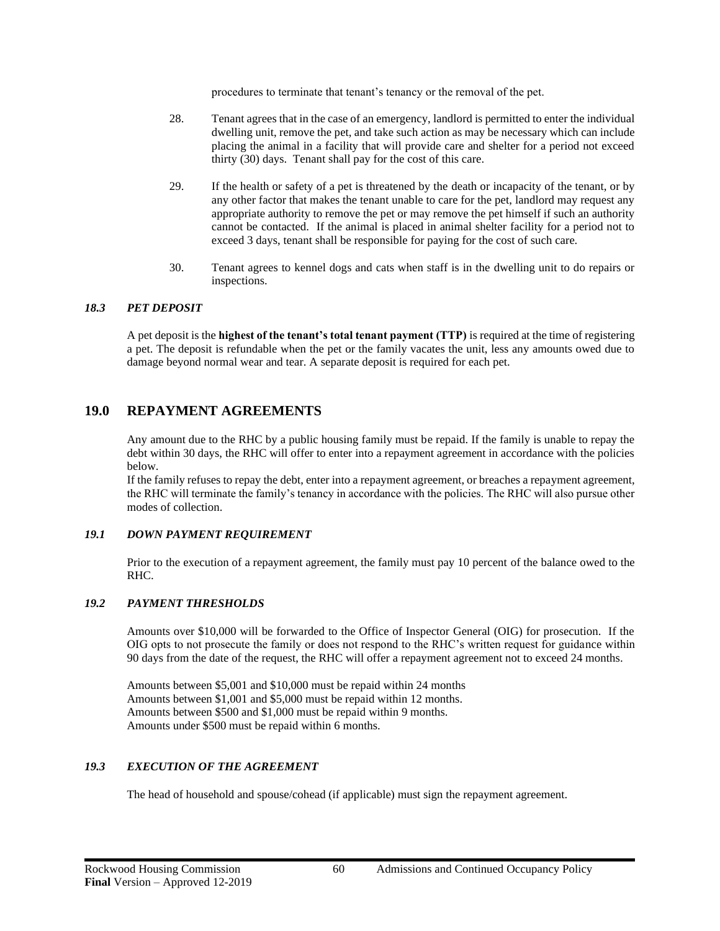procedures to terminate that tenant's tenancy or the removal of the pet.

- 28. Tenant agrees that in the case of an emergency, landlord is permitted to enter the individual dwelling unit, remove the pet, and take such action as may be necessary which can include placing the animal in a facility that will provide care and shelter for a period not exceed thirty (30) days. Tenant shall pay for the cost of this care.
- 29. If the health or safety of a pet is threatened by the death or incapacity of the tenant, or by any other factor that makes the tenant unable to care for the pet, landlord may request any appropriate authority to remove the pet or may remove the pet himself if such an authority cannot be contacted. If the animal is placed in animal shelter facility for a period not to exceed 3 days, tenant shall be responsible for paying for the cost of such care.
- 30. Tenant agrees to kennel dogs and cats when staff is in the dwelling unit to do repairs or inspections.

#### *18.3 PET DEPOSIT*

A pet deposit is the **highest of the tenant's total tenant payment (TTP)** is required at the time of registering a pet. The deposit is refundable when the pet or the family vacates the unit, less any amounts owed due to damage beyond normal wear and tear. A separate deposit is required for each pet.

# **19.0 REPAYMENT AGREEMENTS**

Any amount due to the RHC by a public housing family must be repaid. If the family is unable to repay the debt within 30 days, the RHC will offer to enter into a repayment agreement in accordance with the policies below.

If the family refuses to repay the debt, enter into a repayment agreement, or breaches a repayment agreement, the RHC will terminate the family's tenancy in accordance with the policies. The RHC will also pursue other modes of collection.

## *19.1 DOWN PAYMENT REQUIREMENT*

Prior to the execution of a repayment agreement, the family must pay 10 percent of the balance owed to the RHC.

## *19.2 PAYMENT THRESHOLDS*

Amounts over \$10,000 will be forwarded to the Office of Inspector General (OIG) for prosecution. If the OIG opts to not prosecute the family or does not respond to the RHC's written request for guidance within 90 days from the date of the request, the RHC will offer a repayment agreement not to exceed 24 months.

Amounts between \$5,001 and \$10,000 must be repaid within 24 months Amounts between \$1,001 and \$5,000 must be repaid within 12 months. Amounts between \$500 and \$1,000 must be repaid within 9 months. Amounts under \$500 must be repaid within 6 months.

## *19.3 EXECUTION OF THE AGREEMENT*

The head of household and spouse/cohead (if applicable) must sign the repayment agreement.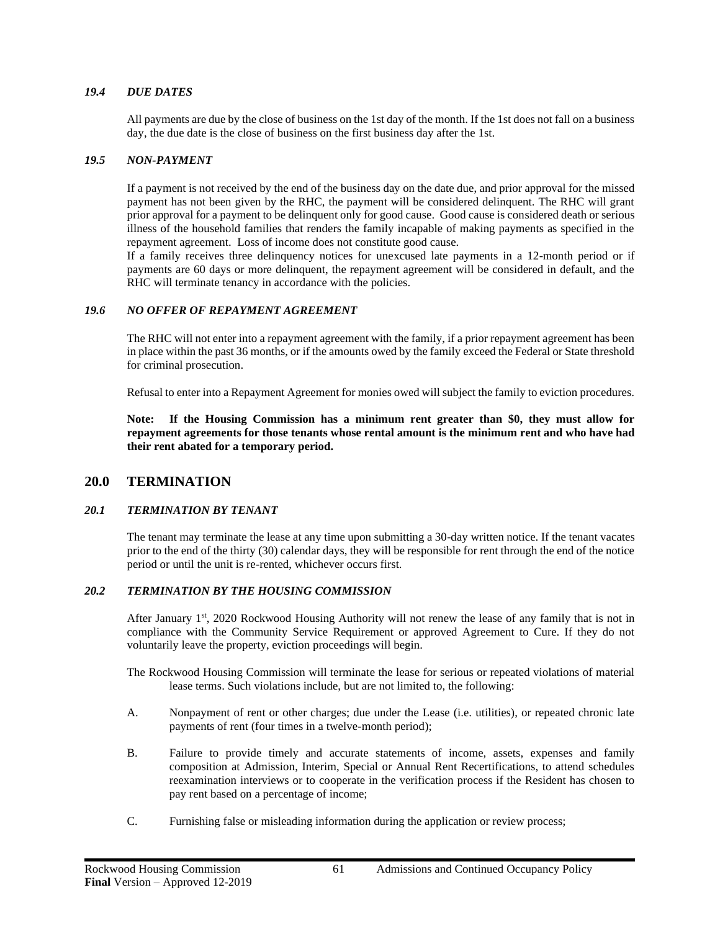## *19.4 DUE DATES*

All payments are due by the close of business on the 1st day of the month. If the 1st does not fall on a business day, the due date is the close of business on the first business day after the 1st.

#### *19.5 NON-PAYMENT*

If a payment is not received by the end of the business day on the date due, and prior approval for the missed payment has not been given by the RHC, the payment will be considered delinquent. The RHC will grant prior approval for a payment to be delinquent only for good cause. Good cause is considered death or serious illness of the household families that renders the family incapable of making payments as specified in the repayment agreement. Loss of income does not constitute good cause.

If a family receives three delinquency notices for unexcused late payments in a 12-month period or if payments are 60 days or more delinquent, the repayment agreement will be considered in default, and the RHC will terminate tenancy in accordance with the policies.

#### *19.6 NO OFFER OF REPAYMENT AGREEMENT*

The RHC will not enter into a repayment agreement with the family, if a prior repayment agreement has been in place within the past 36 months, or if the amounts owed by the family exceed the Federal or State threshold for criminal prosecution.

Refusal to enter into a Repayment Agreement for monies owed will subject the family to eviction procedures.

**Note: If the Housing Commission has a minimum rent greater than \$0, they must allow for repayment agreements for those tenants whose rental amount is the minimum rent and who have had their rent abated for a temporary period.**

## **20.0 TERMINATION**

#### *20.1 TERMINATION BY TENANT*

The tenant may terminate the lease at any time upon submitting a 30-day written notice. If the tenant vacates prior to the end of the thirty (30) calendar days, they will be responsible for rent through the end of the notice period or until the unit is re-rented, whichever occurs first.

#### *20.2 TERMINATION BY THE HOUSING COMMISSION*

After January 1st, 2020 Rockwood Housing Authority will not renew the lease of any family that is not in compliance with the Community Service Requirement or approved Agreement to Cure. If they do not voluntarily leave the property, eviction proceedings will begin.

The Rockwood Housing Commission will terminate the lease for serious or repeated violations of material lease terms. Such violations include, but are not limited to, the following:

- A. Nonpayment of rent or other charges; due under the Lease (i.e. utilities), or repeated chronic late payments of rent (four times in a twelve-month period);
- B. Failure to provide timely and accurate statements of income, assets, expenses and family composition at Admission, Interim, Special or Annual Rent Recertifications, to attend schedules reexamination interviews or to cooperate in the verification process if the Resident has chosen to pay rent based on a percentage of income;
- C. Furnishing false or misleading information during the application or review process;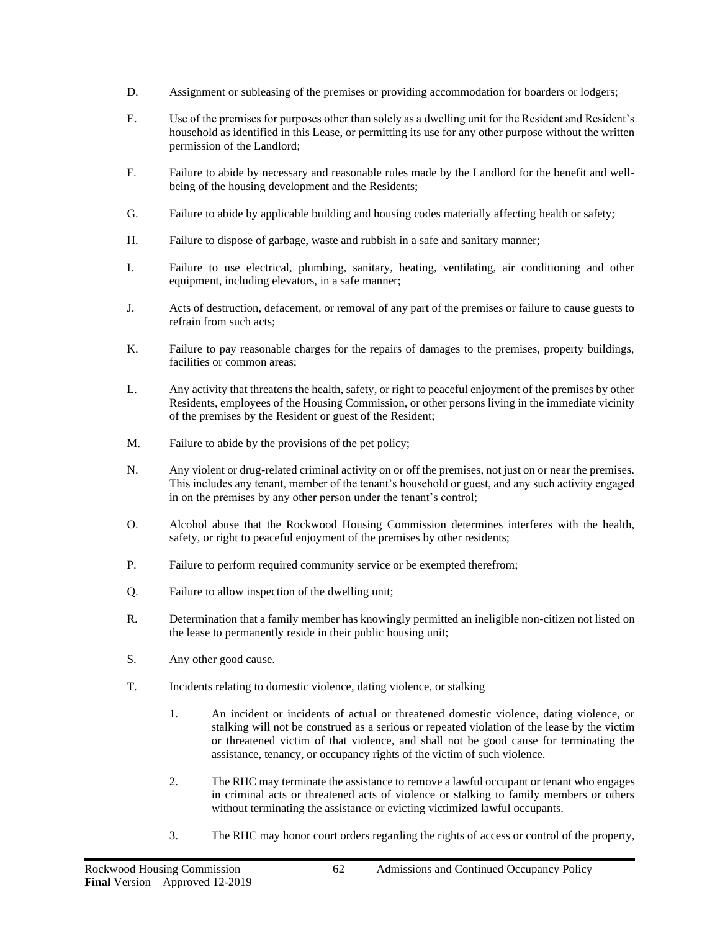- D. Assignment or subleasing of the premises or providing accommodation for boarders or lodgers;
- E. Use of the premises for purposes other than solely as a dwelling unit for the Resident and Resident's household as identified in this Lease, or permitting its use for any other purpose without the written permission of the Landlord;
- F. Failure to abide by necessary and reasonable rules made by the Landlord for the benefit and wellbeing of the housing development and the Residents;
- G. Failure to abide by applicable building and housing codes materially affecting health or safety;
- H. Failure to dispose of garbage, waste and rubbish in a safe and sanitary manner;
- I. Failure to use electrical, plumbing, sanitary, heating, ventilating, air conditioning and other equipment, including elevators, in a safe manner;
- J. Acts of destruction, defacement, or removal of any part of the premises or failure to cause guests to refrain from such acts;
- K. Failure to pay reasonable charges for the repairs of damages to the premises, property buildings, facilities or common areas;
- L. Any activity that threatens the health, safety, or right to peaceful enjoyment of the premises by other Residents, employees of the Housing Commission, or other persons living in the immediate vicinity of the premises by the Resident or guest of the Resident;
- M. Failure to abide by the provisions of the pet policy;
- N. Any violent or drug-related criminal activity on or off the premises, not just on or near the premises. This includes any tenant, member of the tenant's household or guest, and any such activity engaged in on the premises by any other person under the tenant's control;
- O. Alcohol abuse that the Rockwood Housing Commission determines interferes with the health, safety, or right to peaceful enjoyment of the premises by other residents;
- P. Failure to perform required community service or be exempted therefrom;
- Q. Failure to allow inspection of the dwelling unit;
- R. Determination that a family member has knowingly permitted an ineligible non-citizen not listed on the lease to permanently reside in their public housing unit;
- S. Any other good cause.
- T. Incidents relating to domestic violence, dating violence, or stalking
	- 1. An incident or incidents of actual or threatened domestic violence, dating violence, or stalking will not be construed as a serious or repeated violation of the lease by the victim or threatened victim of that violence, and shall not be good cause for terminating the assistance, tenancy, or occupancy rights of the victim of such violence.
	- 2. The RHC may terminate the assistance to remove a lawful occupant or tenant who engages in criminal acts or threatened acts of violence or stalking to family members or others without terminating the assistance or evicting victimized lawful occupants.
	- 3. The RHC may honor court orders regarding the rights of access or control of the property,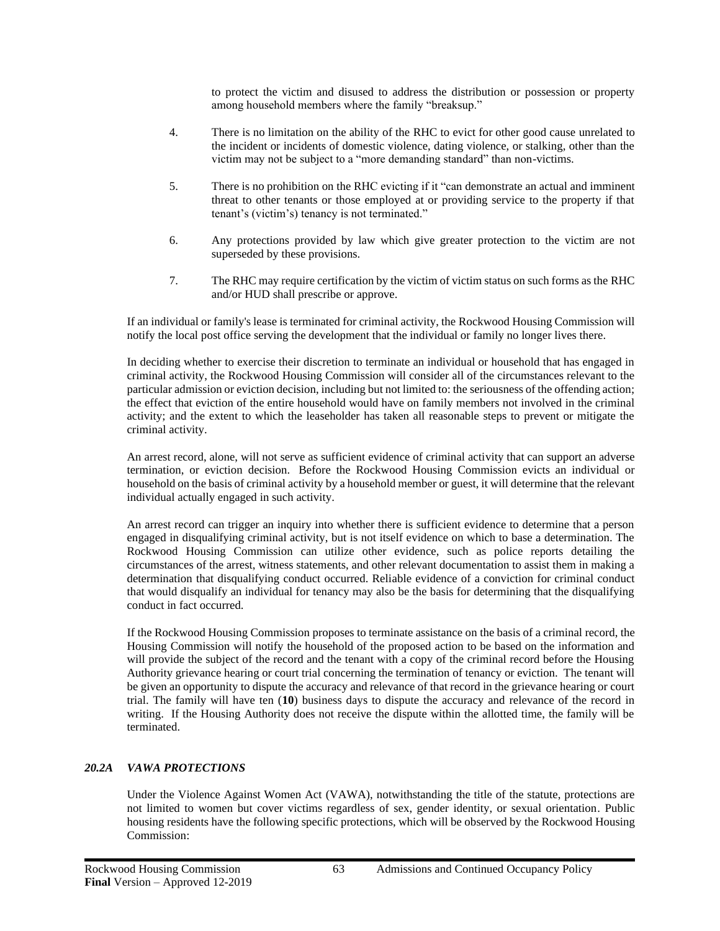to protect the victim and disused to address the distribution or possession or property among household members where the family "breaksup."

- 4. There is no limitation on the ability of the RHC to evict for other good cause unrelated to the incident or incidents of domestic violence, dating violence, or stalking, other than the victim may not be subject to a "more demanding standard" than non-victims.
- 5. There is no prohibition on the RHC evicting if it "can demonstrate an actual and imminent threat to other tenants or those employed at or providing service to the property if that tenant's (victim's) tenancy is not terminated."
- 6. Any protections provided by law which give greater protection to the victim are not superseded by these provisions.
- 7. The RHC may require certification by the victim of victim status on such forms as the RHC and/or HUD shall prescribe or approve.

If an individual or family's lease is terminated for criminal activity, the Rockwood Housing Commission will notify the local post office serving the development that the individual or family no longer lives there.

In deciding whether to exercise their discretion to terminate an individual or household that has engaged in criminal activity, the Rockwood Housing Commission will consider all of the circumstances relevant to the particular admission or eviction decision, including but not limited to: the seriousness of the offending action; the effect that eviction of the entire household would have on family members not involved in the criminal activity; and the extent to which the leaseholder has taken all reasonable steps to prevent or mitigate the criminal activity.

An arrest record, alone, will not serve as sufficient evidence of criminal activity that can support an adverse termination, or eviction decision. Before the Rockwood Housing Commission evicts an individual or household on the basis of criminal activity by a household member or guest, it will determine that the relevant individual actually engaged in such activity.

An arrest record can trigger an inquiry into whether there is sufficient evidence to determine that a person engaged in disqualifying criminal activity, but is not itself evidence on which to base a determination. The Rockwood Housing Commission can utilize other evidence, such as police reports detailing the circumstances of the arrest, witness statements, and other relevant documentation to assist them in making a determination that disqualifying conduct occurred. Reliable evidence of a conviction for criminal conduct that would disqualify an individual for tenancy may also be the basis for determining that the disqualifying conduct in fact occurred.

If the Rockwood Housing Commission proposes to terminate assistance on the basis of a criminal record, the Housing Commission will notify the household of the proposed action to be based on the information and will provide the subject of the record and the tenant with a copy of the criminal record before the Housing Authority grievance hearing or court trial concerning the termination of tenancy or eviction. The tenant will be given an opportunity to dispute the accuracy and relevance of that record in the grievance hearing or court trial. The family will have ten (**10**) business days to dispute the accuracy and relevance of the record in writing. If the Housing Authority does not receive the dispute within the allotted time, the family will be terminated.

## *20.2A VAWA PROTECTIONS*

Under the Violence Against Women Act (VAWA), notwithstanding the title of the statute, protections are not limited to women but cover victims regardless of sex, gender identity, or sexual orientation. Public housing residents have the following specific protections, which will be observed by the Rockwood Housing Commission: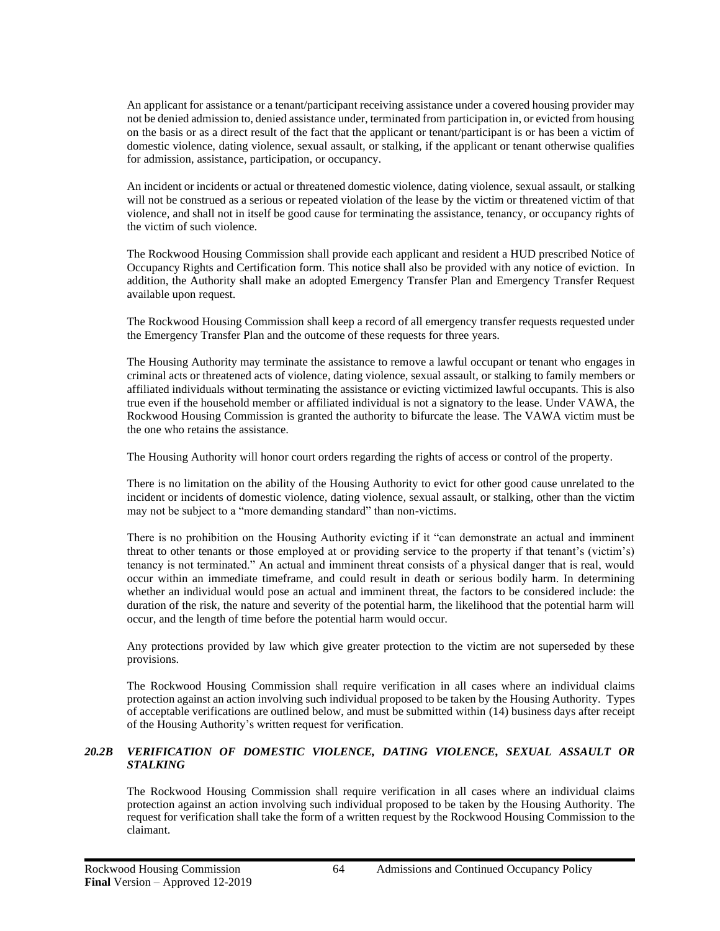An applicant for assistance or a tenant/participant receiving assistance under a covered housing provider may not be denied admission to, denied assistance under, terminated from participation in, or evicted from housing on the basis or as a direct result of the fact that the applicant or tenant/participant is or has been a victim of domestic violence, dating violence, sexual assault, or stalking, if the applicant or tenant otherwise qualifies for admission, assistance, participation, or occupancy.

An incident or incidents or actual or threatened domestic violence, dating violence, sexual assault, or stalking will not be construed as a serious or repeated violation of the lease by the victim or threatened victim of that violence, and shall not in itself be good cause for terminating the assistance, tenancy, or occupancy rights of the victim of such violence.

The Rockwood Housing Commission shall provide each applicant and resident a HUD prescribed Notice of Occupancy Rights and Certification form. This notice shall also be provided with any notice of eviction. In addition, the Authority shall make an adopted Emergency Transfer Plan and Emergency Transfer Request available upon request.

The Rockwood Housing Commission shall keep a record of all emergency transfer requests requested under the Emergency Transfer Plan and the outcome of these requests for three years.

The Housing Authority may terminate the assistance to remove a lawful occupant or tenant who engages in criminal acts or threatened acts of violence, dating violence, sexual assault, or stalking to family members or affiliated individuals without terminating the assistance or evicting victimized lawful occupants. This is also true even if the household member or affiliated individual is not a signatory to the lease. Under VAWA, the Rockwood Housing Commission is granted the authority to bifurcate the lease. The VAWA victim must be the one who retains the assistance.

The Housing Authority will honor court orders regarding the rights of access or control of the property.

There is no limitation on the ability of the Housing Authority to evict for other good cause unrelated to the incident or incidents of domestic violence, dating violence, sexual assault, or stalking, other than the victim may not be subject to a "more demanding standard" than non-victims.

There is no prohibition on the Housing Authority evicting if it "can demonstrate an actual and imminent threat to other tenants or those employed at or providing service to the property if that tenant's (victim's) tenancy is not terminated." An actual and imminent threat consists of a physical danger that is real, would occur within an immediate timeframe, and could result in death or serious bodily harm. In determining whether an individual would pose an actual and imminent threat, the factors to be considered include: the duration of the risk, the nature and severity of the potential harm, the likelihood that the potential harm will occur, and the length of time before the potential harm would occur.

Any protections provided by law which give greater protection to the victim are not superseded by these provisions.

The Rockwood Housing Commission shall require verification in all cases where an individual claims protection against an action involving such individual proposed to be taken by the Housing Authority. Types of acceptable verifications are outlined below, and must be submitted within (14) business days after receipt of the Housing Authority's written request for verification.

#### *20.2B VERIFICATION OF DOMESTIC VIOLENCE, DATING VIOLENCE, SEXUAL ASSAULT OR STALKING*

The Rockwood Housing Commission shall require verification in all cases where an individual claims protection against an action involving such individual proposed to be taken by the Housing Authority. The request for verification shall take the form of a written request by the Rockwood Housing Commission to the claimant.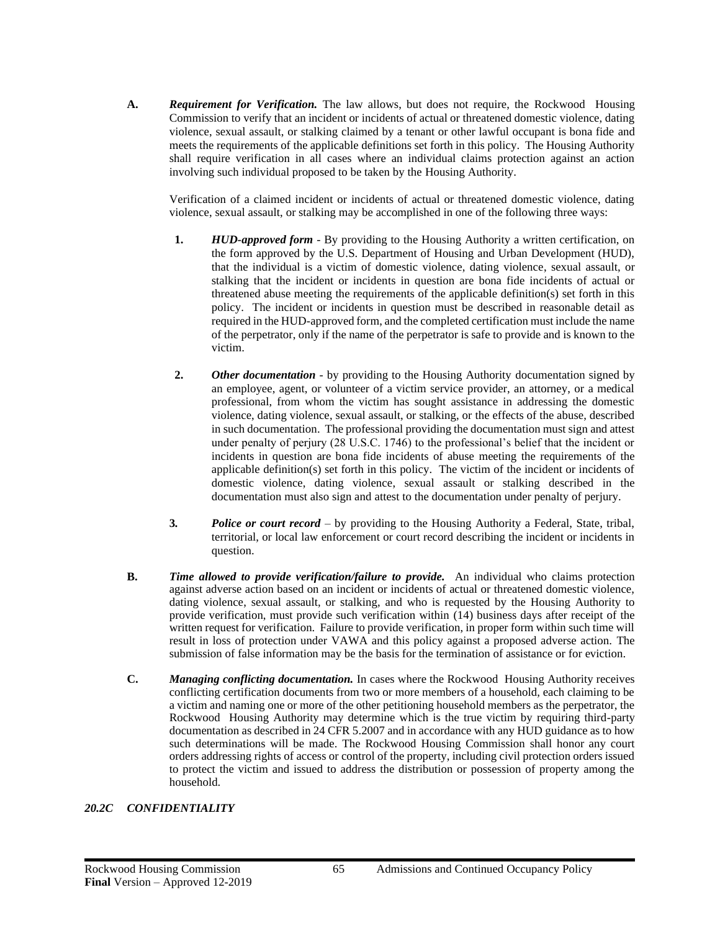**A.** *Requirement for Verification.* The law allows, but does not require, the Rockwood Housing Commission to verify that an incident or incidents of actual or threatened domestic violence, dating violence, sexual assault, or stalking claimed by a tenant or other lawful occupant is bona fide and meets the requirements of the applicable definitions set forth in this policy. The Housing Authority shall require verification in all cases where an individual claims protection against an action involving such individual proposed to be taken by the Housing Authority.

Verification of a claimed incident or incidents of actual or threatened domestic violence, dating violence, sexual assault, or stalking may be accomplished in one of the following three ways:

- **1.** *HUD-approved form -* By providing to the Housing Authority a written certification, on the form approved by the U.S. Department of Housing and Urban Development (HUD), that the individual is a victim of domestic violence, dating violence, sexual assault, or stalking that the incident or incidents in question are bona fide incidents of actual or threatened abuse meeting the requirements of the applicable definition(s) set forth in this policy. The incident or incidents in question must be described in reasonable detail as required in the HUD-approved form, and the completed certification must include the name of the perpetrator, only if the name of the perpetrator is safe to provide and is known to the victim.
- **2.** *Other documentation -* by providing to the Housing Authority documentation signed by an employee, agent, or volunteer of a victim service provider, an attorney, or a medical professional, from whom the victim has sought assistance in addressing the domestic violence, dating violence, sexual assault, or stalking, or the effects of the abuse, described in such documentation. The professional providing the documentation must sign and attest under penalty of perjury (28 U.S.C. 1746) to the professional's belief that the incident or incidents in question are bona fide incidents of abuse meeting the requirements of the applicable definition(s) set forth in this policy. The victim of the incident or incidents of domestic violence, dating violence, sexual assault or stalking described in the documentation must also sign and attest to the documentation under penalty of perjury.
- **3***. Police or court record* by providing to the Housing Authority a Federal, State, tribal, territorial, or local law enforcement or court record describing the incident or incidents in question.
- **B.** *Time allowed to provide verification/failure to provide.* An individual who claims protection against adverse action based on an incident or incidents of actual or threatened domestic violence, dating violence, sexual assault, or stalking, and who is requested by the Housing Authority to provide verification, must provide such verification within (14) business days after receipt of the written request for verification. Failure to provide verification, in proper form within such time will result in loss of protection under VAWA and this policy against a proposed adverse action. The submission of false information may be the basis for the termination of assistance or for eviction.
- **C.** *Managing conflicting documentation.* In cases where the Rockwood Housing Authority receives conflicting certification documents from two or more members of a household, each claiming to be a victim and naming one or more of the other petitioning household members as the perpetrator, the Rockwood Housing Authority may determine which is the true victim by requiring third-party documentation as described in 24 CFR 5.2007 and in accordance with any HUD guidance as to how such determinations will be made. The Rockwood Housing Commission shall honor any court orders addressing rights of access or control of the property, including civil protection orders issued to protect the victim and issued to address the distribution or possession of property among the household.

## *20.2C CONFIDENTIALITY*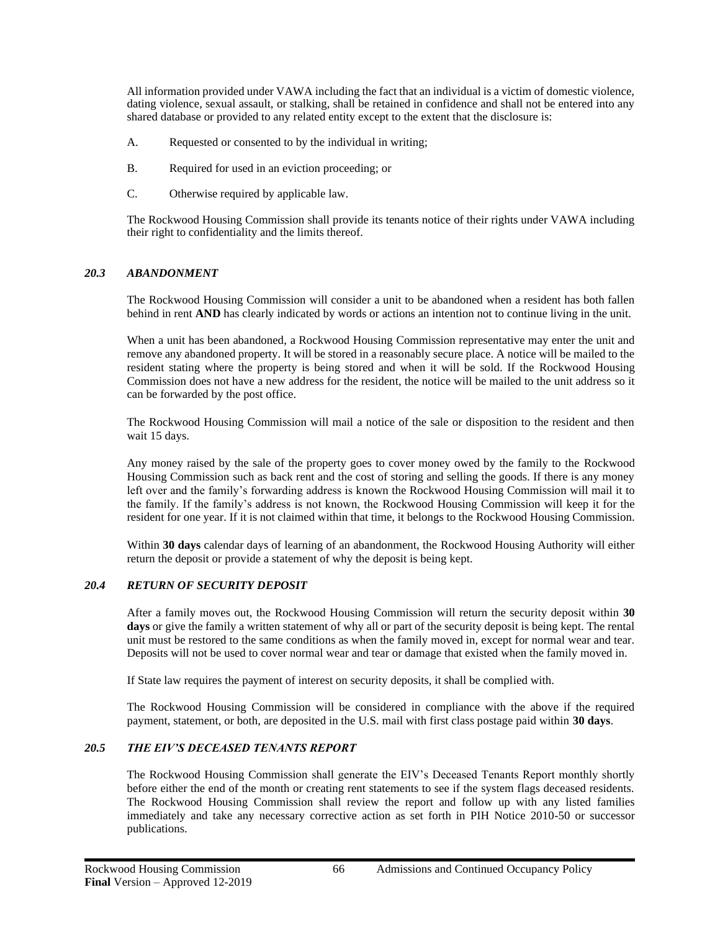All information provided under VAWA including the fact that an individual is a victim of domestic violence, dating violence, sexual assault, or stalking, shall be retained in confidence and shall not be entered into any shared database or provided to any related entity except to the extent that the disclosure is:

- A. Requested or consented to by the individual in writing;
- B. Required for used in an eviction proceeding; or
- C. Otherwise required by applicable law.

The Rockwood Housing Commission shall provide its tenants notice of their rights under VAWA including their right to confidentiality and the limits thereof.

#### *20.3 ABANDONMENT*

The Rockwood Housing Commission will consider a unit to be abandoned when a resident has both fallen behind in rent **AND** has clearly indicated by words or actions an intention not to continue living in the unit.

When a unit has been abandoned, a Rockwood Housing Commission representative may enter the unit and remove any abandoned property. It will be stored in a reasonably secure place. A notice will be mailed to the resident stating where the property is being stored and when it will be sold. If the Rockwood Housing Commission does not have a new address for the resident, the notice will be mailed to the unit address so it can be forwarded by the post office.

The Rockwood Housing Commission will mail a notice of the sale or disposition to the resident and then wait 15 days.

Any money raised by the sale of the property goes to cover money owed by the family to the Rockwood Housing Commission such as back rent and the cost of storing and selling the goods. If there is any money left over and the family's forwarding address is known the Rockwood Housing Commission will mail it to the family. If the family's address is not known, the Rockwood Housing Commission will keep it for the resident for one year. If it is not claimed within that time, it belongs to the Rockwood Housing Commission.

Within **30 days** calendar days of learning of an abandonment, the Rockwood Housing Authority will either return the deposit or provide a statement of why the deposit is being kept.

#### *20.4 RETURN OF SECURITY DEPOSIT*

After a family moves out, the Rockwood Housing Commission will return the security deposit within **30 days** or give the family a written statement of why all or part of the security deposit is being kept. The rental unit must be restored to the same conditions as when the family moved in, except for normal wear and tear. Deposits will not be used to cover normal wear and tear or damage that existed when the family moved in.

If State law requires the payment of interest on security deposits, it shall be complied with.

The Rockwood Housing Commission will be considered in compliance with the above if the required payment, statement, or both, are deposited in the U.S. mail with first class postage paid within **30 days**.

## *20.5 THE EIV'S DECEASED TENANTS REPORT*

The Rockwood Housing Commission shall generate the EIV's Deceased Tenants Report monthly shortly before either the end of the month or creating rent statements to see if the system flags deceased residents. The Rockwood Housing Commission shall review the report and follow up with any listed families immediately and take any necessary corrective action as set forth in PIH Notice 2010-50 or successor publications.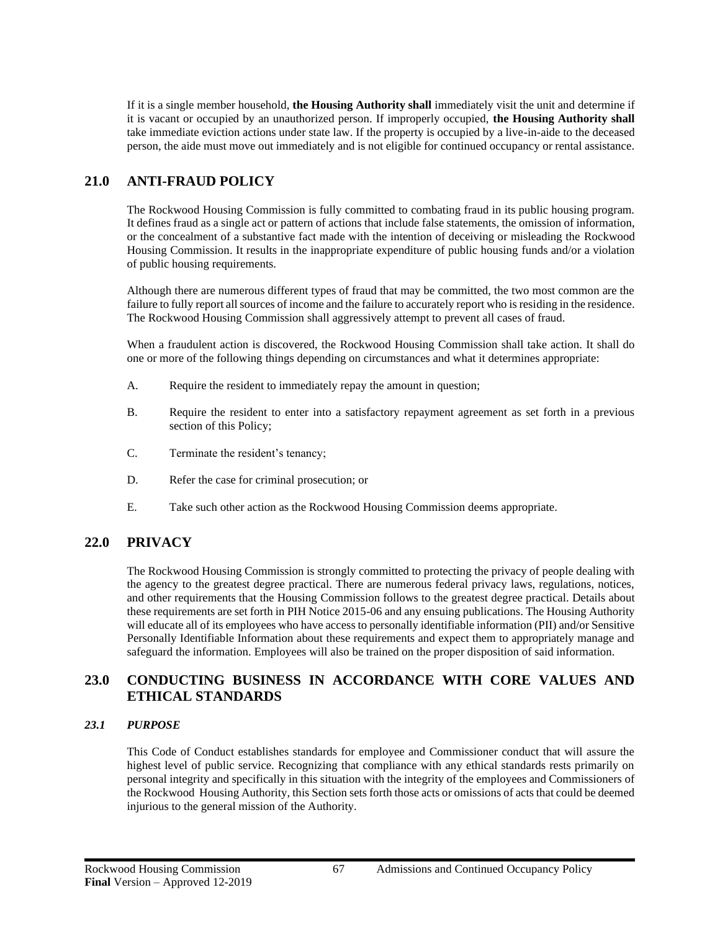If it is a single member household, **the Housing Authority shall** immediately visit the unit and determine if it is vacant or occupied by an unauthorized person. If improperly occupied, **the Housing Authority shall** take immediate eviction actions under state law. If the property is occupied by a live-in-aide to the deceased person, the aide must move out immediately and is not eligible for continued occupancy or rental assistance.

# **21.0 ANTI-FRAUD POLICY**

The Rockwood Housing Commission is fully committed to combating fraud in its public housing program. It defines fraud as a single act or pattern of actions that include false statements, the omission of information, or the concealment of a substantive fact made with the intention of deceiving or misleading the Rockwood Housing Commission. It results in the inappropriate expenditure of public housing funds and/or a violation of public housing requirements.

Although there are numerous different types of fraud that may be committed, the two most common are the failure to fully report all sources of income and the failure to accurately report who is residing in the residence. The Rockwood Housing Commission shall aggressively attempt to prevent all cases of fraud.

When a fraudulent action is discovered, the Rockwood Housing Commission shall take action. It shall do one or more of the following things depending on circumstances and what it determines appropriate:

- A. Require the resident to immediately repay the amount in question;
- B. Require the resident to enter into a satisfactory repayment agreement as set forth in a previous section of this Policy;
- C. Terminate the resident's tenancy;
- D. Refer the case for criminal prosecution; or
- E. Take such other action as the Rockwood Housing Commission deems appropriate.

# **22.0 PRIVACY**

The Rockwood Housing Commission is strongly committed to protecting the privacy of people dealing with the agency to the greatest degree practical. There are numerous federal privacy laws, regulations, notices, and other requirements that the Housing Commission follows to the greatest degree practical. Details about these requirements are set forth in PIH Notice 2015-06 and any ensuing publications. The Housing Authority will educate all of its employees who have access to personally identifiable information (PII) and/or Sensitive Personally Identifiable Information about these requirements and expect them to appropriately manage and safeguard the information. Employees will also be trained on the proper disposition of said information.

# **23.0 CONDUCTING BUSINESS IN ACCORDANCE WITH CORE VALUES AND ETHICAL STANDARDS**

## *23.1 PURPOSE*

This Code of Conduct establishes standards for employee and Commissioner conduct that will assure the highest level of public service. Recognizing that compliance with any ethical standards rests primarily on personal integrity and specifically in this situation with the integrity of the employees and Commissioners of the Rockwood Housing Authority, this Section sets forth those acts or omissions of acts that could be deemed injurious to the general mission of the Authority.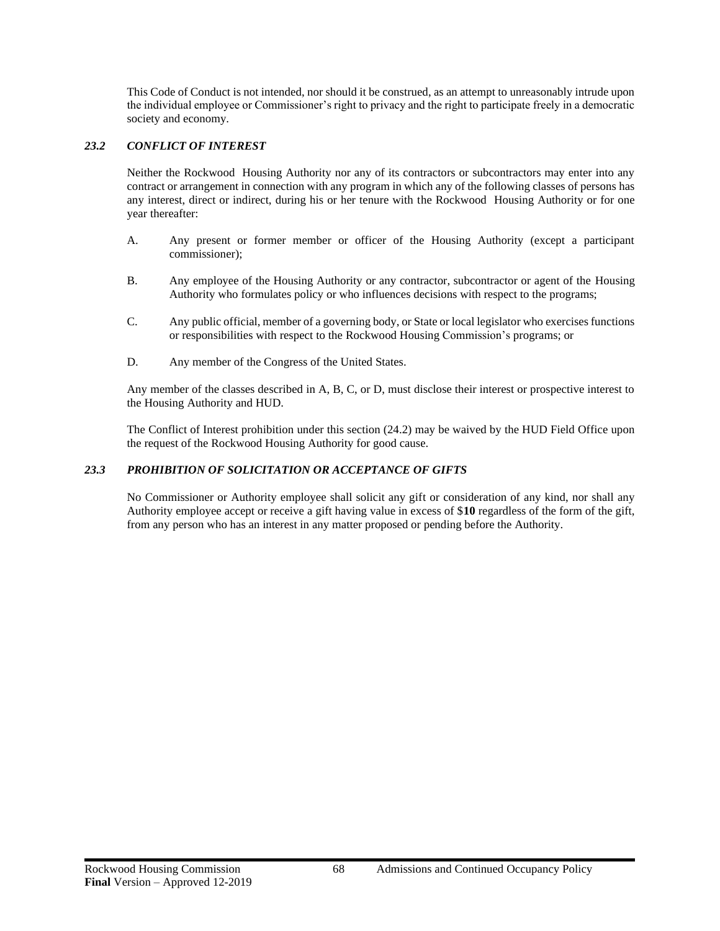This Code of Conduct is not intended, nor should it be construed, as an attempt to unreasonably intrude upon the individual employee or Commissioner's right to privacy and the right to participate freely in a democratic society and economy.

#### *23.2 CONFLICT OF INTEREST*

Neither the Rockwood Housing Authority nor any of its contractors or subcontractors may enter into any contract or arrangement in connection with any program in which any of the following classes of persons has any interest, direct or indirect, during his or her tenure with the Rockwood Housing Authority or for one year thereafter:

- A. Any present or former member or officer of the Housing Authority (except a participant commissioner);
- B. Any employee of the Housing Authority or any contractor, subcontractor or agent of the Housing Authority who formulates policy or who influences decisions with respect to the programs;
- C. Any public official, member of a governing body, or State or local legislator who exercises functions or responsibilities with respect to the Rockwood Housing Commission's programs; or
- D. Any member of the Congress of the United States.

Any member of the classes described in A, B, C, or D, must disclose their interest or prospective interest to the Housing Authority and HUD.

The Conflict of Interest prohibition under this section (24.2) may be waived by the HUD Field Office upon the request of the Rockwood Housing Authority for good cause.

#### *23.3 PROHIBITION OF SOLICITATION OR ACCEPTANCE OF GIFTS*

No Commissioner or Authority employee shall solicit any gift or consideration of any kind, nor shall any Authority employee accept or receive a gift having value in excess of \$**10** regardless of the form of the gift, from any person who has an interest in any matter proposed or pending before the Authority.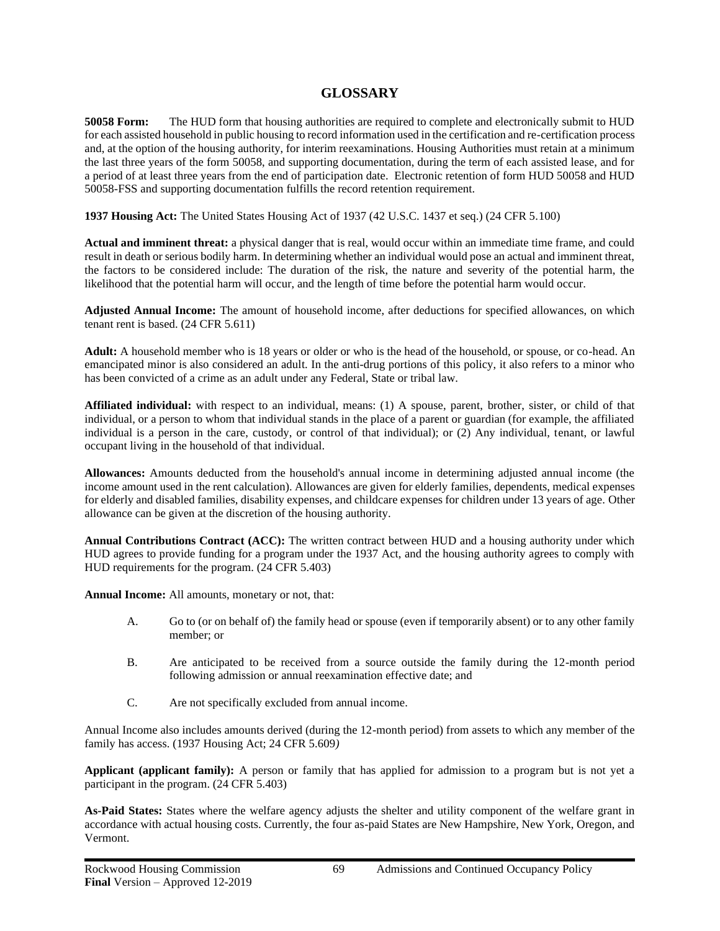# **GLOSSARY**

**50058 Form:** The HUD form that housing authorities are required to complete and electronically submit to HUD for each assisted household in public housing to record information used in the certification and re-certification process and, at the option of the housing authority, for interim reexaminations. Housing Authorities must retain at a minimum the last three years of the form 50058, and supporting documentation, during the term of each assisted lease, and for a period of at least three years from the end of participation date. Electronic retention of form HUD 50058 and HUD 50058-FSS and supporting documentation fulfills the record retention requirement.

**1937 Housing Act:** The United States Housing Act of 1937 (42 U.S.C. 1437 et seq.) (24 CFR 5.100)

**Actual and imminent threat:** a physical danger that is real, would occur within an immediate time frame, and could result in death or serious bodily harm. In determining whether an individual would pose an actual and imminent threat, the factors to be considered include: The duration of the risk, the nature and severity of the potential harm, the likelihood that the potential harm will occur, and the length of time before the potential harm would occur.

**Adjusted Annual Income:** The amount of household income, after deductions for specified allowances, on which tenant rent is based. (24 CFR 5.611)

**Adult:** A household member who is 18 years or older or who is the head of the household, or spouse, or co-head. An emancipated minor is also considered an adult. In the anti-drug portions of this policy, it also refers to a minor who has been convicted of a crime as an adult under any Federal, State or tribal law.

**Affiliated individual:** with respect to an individual, means: (1) A spouse, parent, brother, sister, or child of that individual, or a person to whom that individual stands in the place of a parent or guardian (for example, the affiliated individual is a person in the care, custody, or control of that individual); or (2) Any individual, tenant, or lawful occupant living in the household of that individual.

**Allowances:** Amounts deducted from the household's annual income in determining adjusted annual income (the income amount used in the rent calculation). Allowances are given for elderly families, dependents, medical expenses for elderly and disabled families, disability expenses, and childcare expenses for children under 13 years of age. Other allowance can be given at the discretion of the housing authority.

**Annual Contributions Contract (ACC):** The written contract between HUD and a housing authority under which HUD agrees to provide funding for a program under the 1937 Act, and the housing authority agrees to comply with HUD requirements for the program. (24 CFR 5.403)

**Annual Income:** All amounts, monetary or not, that:

- A. Go to (or on behalf of) the family head or spouse (even if temporarily absent) or to any other family member; or
- B. Are anticipated to be received from a source outside the family during the 12-month period following admission or annual reexamination effective date; and
- C. Are not specifically excluded from annual income.

Annual Income also includes amounts derived (during the 12-month period) from assets to which any member of the family has access. (1937 Housing Act; 24 CFR 5.609*)*

**Applicant (applicant family):** A person or family that has applied for admission to a program but is not yet a participant in the program. (24 CFR 5.403)

**As-Paid States:** States where the welfare agency adjusts the shelter and utility component of the welfare grant in accordance with actual housing costs. Currently, the four as-paid States are New Hampshire, New York, Oregon, and Vermont.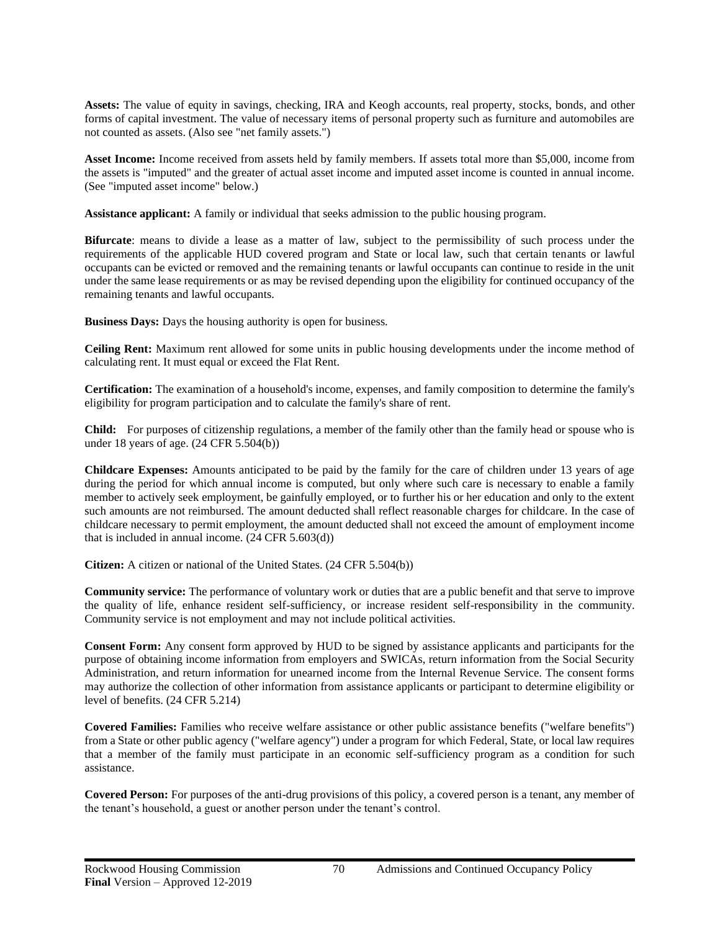**Assets:** The value of equity in savings, checking, IRA and Keogh accounts, real property, stocks, bonds, and other forms of capital investment. The value of necessary items of personal property such as furniture and automobiles are not counted as assets. (Also see "net family assets.")

**Asset Income:** Income received from assets held by family members. If assets total more than \$5,000, income from the assets is "imputed" and the greater of actual asset income and imputed asset income is counted in annual income. (See "imputed asset income" below.)

**Assistance applicant:** A family or individual that seeks admission to the public housing program.

**Bifurcate**: means to divide a lease as a matter of law, subject to the permissibility of such process under the requirements of the applicable HUD covered program and State or local law, such that certain tenants or lawful occupants can be evicted or removed and the remaining tenants or lawful occupants can continue to reside in the unit under the same lease requirements or as may be revised depending upon the eligibility for continued occupancy of the remaining tenants and lawful occupants.

**Business Days:** Days the housing authority is open for business.

**Ceiling Rent:** Maximum rent allowed for some units in public housing developments under the income method of calculating rent. It must equal or exceed the Flat Rent.

**Certification:** The examination of a household's income, expenses, and family composition to determine the family's eligibility for program participation and to calculate the family's share of rent.

**Child:** For purposes of citizenship regulations, a member of the family other than the family head or spouse who is under 18 years of age. (24 CFR 5.504(b))

**Childcare Expenses:** Amounts anticipated to be paid by the family for the care of children under 13 years of age during the period for which annual income is computed, but only where such care is necessary to enable a family member to actively seek employment, be gainfully employed, or to further his or her education and only to the extent such amounts are not reimbursed. The amount deducted shall reflect reasonable charges for childcare. In the case of childcare necessary to permit employment, the amount deducted shall not exceed the amount of employment income that is included in annual income. (24 CFR 5.603(d))

**Citizen:** A citizen or national of the United States. (24 CFR 5.504(b))

**Community service:** The performance of voluntary work or duties that are a public benefit and that serve to improve the quality of life, enhance resident self-sufficiency, or increase resident self-responsibility in the community. Community service is not employment and may not include political activities.

**Consent Form:** Any consent form approved by HUD to be signed by assistance applicants and participants for the purpose of obtaining income information from employers and SWICAs, return information from the Social Security Administration, and return information for unearned income from the Internal Revenue Service. The consent forms may authorize the collection of other information from assistance applicants or participant to determine eligibility or level of benefits. (24 CFR 5.214)

**Covered Families:** Families who receive welfare assistance or other public assistance benefits ("welfare benefits") from a State or other public agency ("welfare agency") under a program for which Federal, State, or local law requires that a member of the family must participate in an economic self-sufficiency program as a condition for such assistance.

**Covered Person:** For purposes of the anti-drug provisions of this policy, a covered person is a tenant, any member of the tenant's household, a guest or another person under the tenant's control.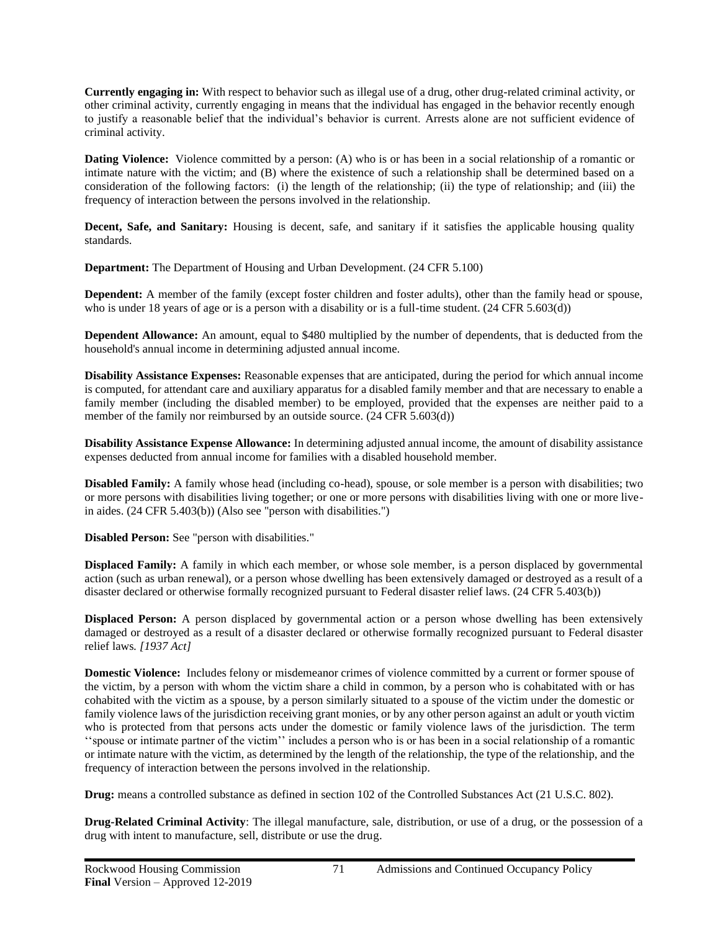**Currently engaging in:** With respect to behavior such as illegal use of a drug, other drug-related criminal activity, or other criminal activity, currently engaging in means that the individual has engaged in the behavior recently enough to justify a reasonable belief that the individual's behavior is current. Arrests alone are not sufficient evidence of criminal activity.

**Dating Violence:** Violence committed by a person: (A) who is or has been in a social relationship of a romantic or intimate nature with the victim; and (B) where the existence of such a relationship shall be determined based on a consideration of the following factors: (i) the length of the relationship; (ii) the type of relationship; and (iii) the frequency of interaction between the persons involved in the relationship.

**Decent, Safe, and Sanitary:** Housing is decent, safe, and sanitary if it satisfies the applicable housing quality standards.

**Department:** The Department of Housing and Urban Development. (24 CFR 5.100)

**Dependent:** A member of the family (except foster children and foster adults), other than the family head or spouse, who is under 18 years of age or is a person with a disability or is a full-time student. (24 CFR 5.603(d))

**Dependent Allowance:** An amount, equal to \$480 multiplied by the number of dependents, that is deducted from the household's annual income in determining adjusted annual income.

**Disability Assistance Expenses:** Reasonable expenses that are anticipated, during the period for which annual income is computed, for attendant care and auxiliary apparatus for a disabled family member and that are necessary to enable a family member (including the disabled member) to be employed, provided that the expenses are neither paid to a member of the family nor reimbursed by an outside source.  $(24 \text{ CFR } 5.603(d))$ 

**Disability Assistance Expense Allowance:** In determining adjusted annual income, the amount of disability assistance expenses deducted from annual income for families with a disabled household member.

**Disabled Family:** A family whose head (including co-head), spouse, or sole member is a person with disabilities; two or more persons with disabilities living together; or one or more persons with disabilities living with one or more livein aides. (24 CFR 5.403(b)) (Also see "person with disabilities.")

**Disabled Person:** See "person with disabilities."

**Displaced Family:** A family in which each member, or whose sole member, is a person displaced by governmental action (such as urban renewal), or a person whose dwelling has been extensively damaged or destroyed as a result of a disaster declared or otherwise formally recognized pursuant to Federal disaster relief laws. (24 CFR 5.403(b))

**Displaced Person:** A person displaced by governmental action or a person whose dwelling has been extensively damaged or destroyed as a result of a disaster declared or otherwise formally recognized pursuant to Federal disaster relief laws*. [1937 Act]*

**Domestic Violence:** Includes felony or misdemeanor crimes of violence committed by a current or former spouse of the victim, by a person with whom the victim share a child in common, by a person who is cohabitated with or has cohabited with the victim as a spouse, by a person similarly situated to a spouse of the victim under the domestic or family violence laws of the jurisdiction receiving grant monies, or by any other person against an adult or youth victim who is protected from that persons acts under the domestic or family violence laws of the jurisdiction. The term ''spouse or intimate partner of the victim'' includes a person who is or has been in a social relationship of a romantic or intimate nature with the victim, as determined by the length of the relationship, the type of the relationship, and the frequency of interaction between the persons involved in the relationship.

**Drug:** means a controlled substance as defined in section 102 of the Controlled Substances Act (21 U.S.C. 802).

**Drug-Related Criminal Activity**: The illegal manufacture, sale, distribution, or use of a drug, or the possession of a drug with intent to manufacture, sell, distribute or use the drug.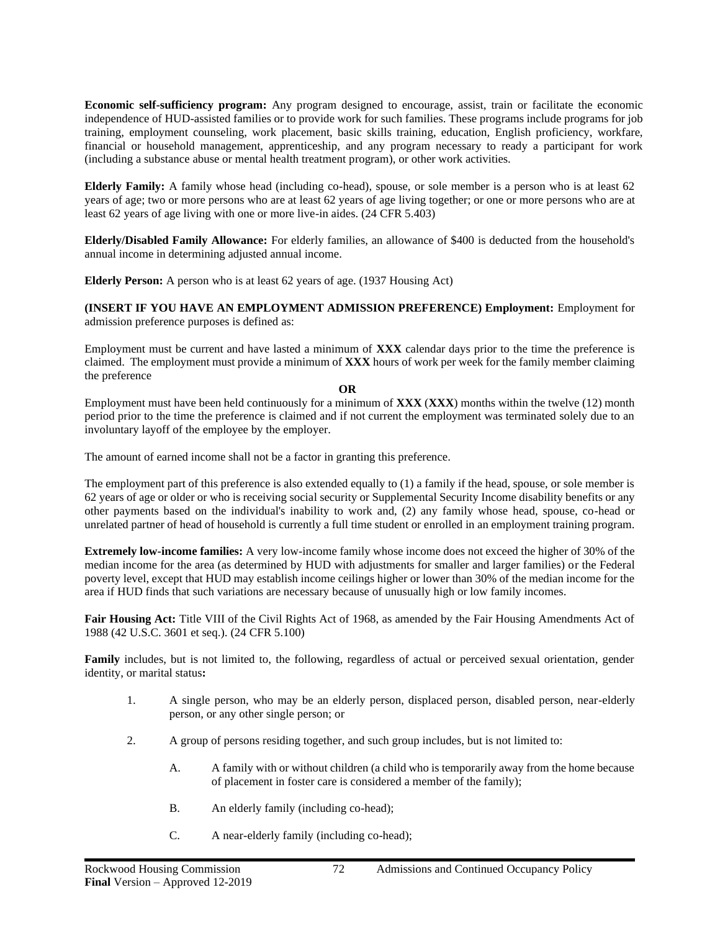**Economic self-sufficiency program:** Any program designed to encourage, assist, train or facilitate the economic independence of HUD-assisted families or to provide work for such families. These programs include programs for job training, employment counseling, work placement, basic skills training, education, English proficiency, workfare, financial or household management, apprenticeship, and any program necessary to ready a participant for work (including a substance abuse or mental health treatment program), or other work activities.

**Elderly Family:** A family whose head (including co-head), spouse, or sole member is a person who is at least 62 years of age; two or more persons who are at least 62 years of age living together; or one or more persons who are at least 62 years of age living with one or more live-in aides. (24 CFR 5.403)

**Elderly/Disabled Family Allowance:** For elderly families, an allowance of \$400 is deducted from the household's annual income in determining adjusted annual income.

**Elderly Person:** A person who is at least 62 years of age. (1937 Housing Act)

**(INSERT IF YOU HAVE AN EMPLOYMENT ADMISSION PREFERENCE) Employment:** Employment for admission preference purposes is defined as:

Employment must be current and have lasted a minimum of **XXX** calendar days prior to the time the preference is claimed. The employment must provide a minimum of **XXX** hours of work per week for the family member claiming the preference

#### **OR**

Employment must have been held continuously for a minimum of **XXX** (**XXX**) months within the twelve (12) month period prior to the time the preference is claimed and if not current the employment was terminated solely due to an involuntary layoff of the employee by the employer.

The amount of earned income shall not be a factor in granting this preference.

The employment part of this preference is also extended equally to (1) a family if the head, spouse, or sole member is 62 years of age or older or who is receiving social security or Supplemental Security Income disability benefits or any other payments based on the individual's inability to work and, (2) any family whose head, spouse, co-head or unrelated partner of head of household is currently a full time student or enrolled in an employment training program.

**Extremely low-income families:** A very low-income family whose income does not exceed the higher of 30% of the median income for the area (as determined by HUD with adjustments for smaller and larger families) or the Federal poverty level, except that HUD may establish income ceilings higher or lower than 30% of the median income for the area if HUD finds that such variations are necessary because of unusually high or low family incomes.

**Fair Housing Act:** Title VIII of the Civil Rights Act of 1968, as amended by the Fair Housing Amendments Act of 1988 (42 U.S.C. 3601 et seq.)*.* (24 CFR 5.100)

**Family** includes, but is not limited to, the following, regardless of actual or perceived sexual orientation, gender identity, or marital status**:**

- 1. A single person, who may be an elderly person, displaced person, disabled person, near-elderly person, or any other single person; or
- 2. A group of persons residing together, and such group includes, but is not limited to:
	- A. A family with or without children (a child who is temporarily away from the home because of placement in foster care is considered a member of the family);
	- B. An elderly family (including co-head);
	- C. A near-elderly family (including co-head);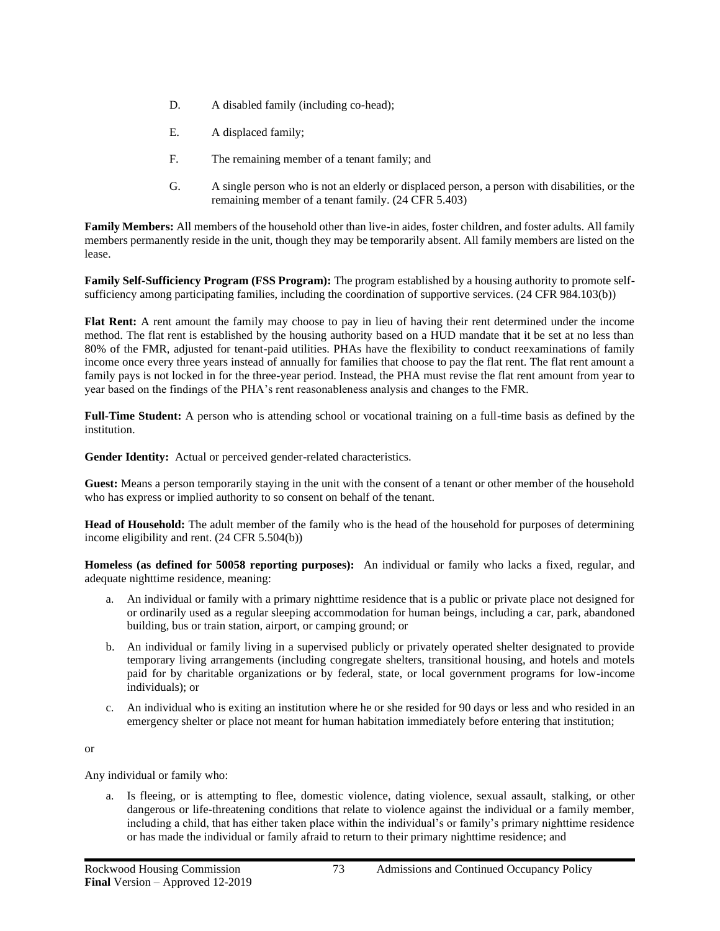- D. A disabled family (including co-head);
- E. A displaced family;
- F. The remaining member of a tenant family; and
- G. A single person who is not an elderly or displaced person, a person with disabilities, or the remaining member of a tenant family. (24 CFR 5.403)

**Family Members:** All members of the household other than live-in aides, foster children, and foster adults. All family members permanently reside in the unit, though they may be temporarily absent. All family members are listed on the lease.

**Family Self-Sufficiency Program (FSS Program):** The program established by a housing authority to promote selfsufficiency among participating families, including the coordination of supportive services. (24 CFR 984.103(b))

**Flat Rent:** A rent amount the family may choose to pay in lieu of having their rent determined under the income method. The flat rent is established by the housing authority based on a HUD mandate that it be set at no less than 80% of the FMR, adjusted for tenant-paid utilities. PHAs have the flexibility to conduct reexaminations of family income once every three years instead of annually for families that choose to pay the flat rent. The flat rent amount a family pays is not locked in for the three-year period. Instead, the PHA must revise the flat rent amount from year to year based on the findings of the PHA's rent reasonableness analysis and changes to the FMR.

**Full-Time Student:** A person who is attending school or vocational training on a full-time basis as defined by the institution.

**Gender Identity:** Actual or perceived gender-related characteristics.

**Guest:** Means a person temporarily staying in the unit with the consent of a tenant or other member of the household who has express or implied authority to so consent on behalf of the tenant.

**Head of Household:** The adult member of the family who is the head of the household for purposes of determining income eligibility and rent. (24 CFR 5.504(b))

**Homeless (as defined for 50058 reporting purposes):** An individual or family who lacks a fixed, regular, and adequate nighttime residence, meaning:

- a. An individual or family with a primary nighttime residence that is a public or private place not designed for or ordinarily used as a regular sleeping accommodation for human beings, including a car, park, abandoned building, bus or train station, airport, or camping ground; or
- b. An individual or family living in a supervised publicly or privately operated shelter designated to provide temporary living arrangements (including congregate shelters, transitional housing, and hotels and motels paid for by charitable organizations or by federal, state, or local government programs for low-income individuals); or
- c. An individual who is exiting an institution where he or she resided for 90 days or less and who resided in an emergency shelter or place not meant for human habitation immediately before entering that institution;

or

Any individual or family who:

a. Is fleeing, or is attempting to flee, domestic violence, dating violence, sexual assault, stalking, or other dangerous or life-threatening conditions that relate to violence against the individual or a family member, including a child, that has either taken place within the individual's or family's primary nighttime residence or has made the individual or family afraid to return to their primary nighttime residence; and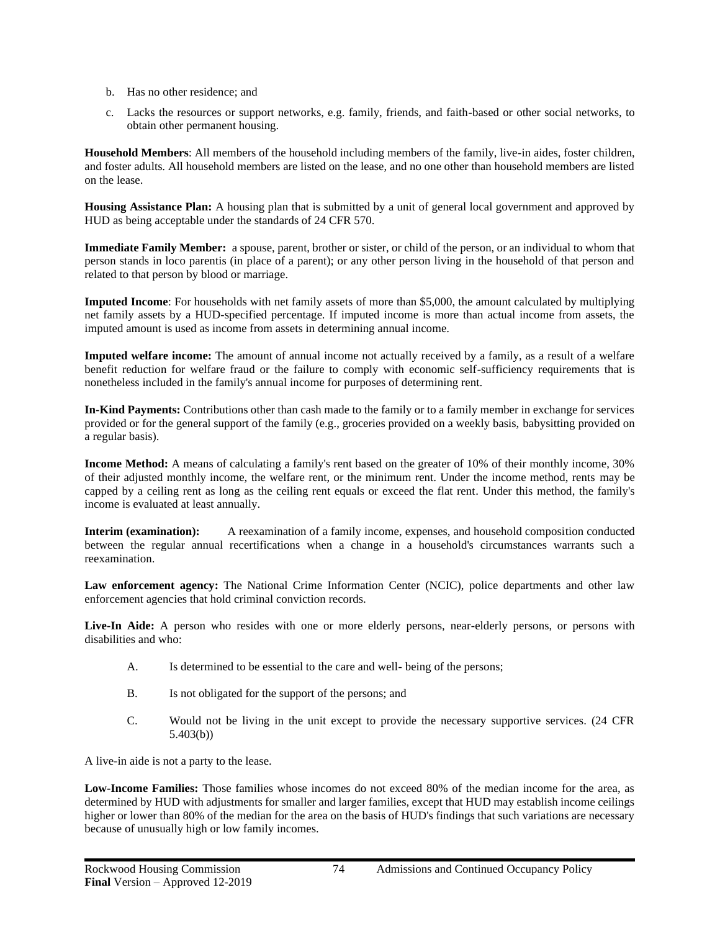- b. Has no other residence; and
- c. Lacks the resources or support networks, e.g. family, friends, and faith-based or other social networks, to obtain other permanent housing.

**Household Members**: All members of the household including members of the family, live-in aides, foster children, and foster adults. All household members are listed on the lease, and no one other than household members are listed on the lease.

**Housing Assistance Plan:** A housing plan that is submitted by a unit of general local government and approved by HUD as being acceptable under the standards of 24 CFR 570.

**Immediate Family Member:** a spouse, parent, brother or sister, or child of the person, or an individual to whom that person stands in loco parentis (in place of a parent); or any other person living in the household of that person and related to that person by blood or marriage.

**Imputed Income**: For households with net family assets of more than \$5,000, the amount calculated by multiplying net family assets by a HUD-specified percentage. If imputed income is more than actual income from assets, the imputed amount is used as income from assets in determining annual income.

**Imputed welfare income:** The amount of annual income not actually received by a family, as a result of a welfare benefit reduction for welfare fraud or the failure to comply with economic self-sufficiency requirements that is nonetheless included in the family's annual income for purposes of determining rent.

**In-Kind Payments:** Contributions other than cash made to the family or to a family member in exchange for services provided or for the general support of the family (e.g., groceries provided on a weekly basis, babysitting provided on a regular basis).

**Income Method:** A means of calculating a family's rent based on the greater of 10% of their monthly income, 30% of their adjusted monthly income, the welfare rent, or the minimum rent. Under the income method, rents may be capped by a ceiling rent as long as the ceiling rent equals or exceed the flat rent. Under this method, the family's income is evaluated at least annually.

**Interim (examination):** A reexamination of a family income, expenses, and household composition conducted between the regular annual recertifications when a change in a household's circumstances warrants such a reexamination.

**Law enforcement agency:** The National Crime Information Center (NCIC), police departments and other law enforcement agencies that hold criminal conviction records.

Live-In Aide: A person who resides with one or more elderly persons, near-elderly persons, or persons with disabilities and who:

- A. Is determined to be essential to the care and well- being of the persons;
- B. Is not obligated for the support of the persons; and
- C. Would not be living in the unit except to provide the necessary supportive services. (24 CFR 5.403(b))

A live-in aide is not a party to the lease.

**Low-Income Families:** Those families whose incomes do not exceed 80% of the median income for the area, as determined by HUD with adjustments for smaller and larger families, except that HUD may establish income ceilings higher or lower than 80% of the median for the area on the basis of HUD's findings that such variations are necessary because of unusually high or low family incomes.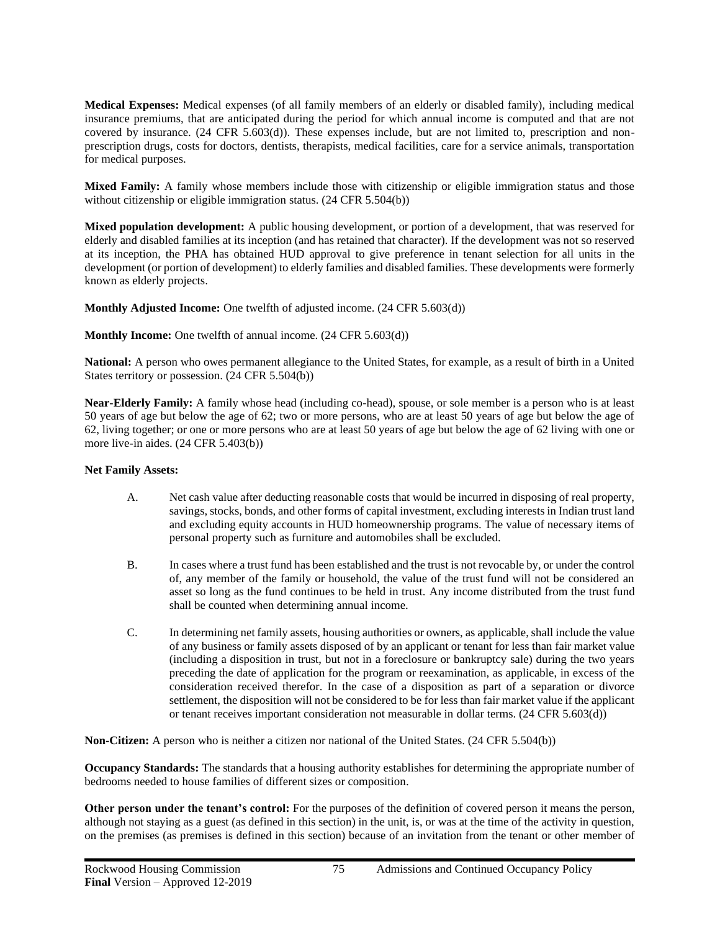**Medical Expenses:** Medical expenses (of all family members of an elderly or disabled family), including medical insurance premiums, that are anticipated during the period for which annual income is computed and that are not covered by insurance. (24 CFR 5.603(d)). These expenses include, but are not limited to, prescription and nonprescription drugs, costs for doctors, dentists, therapists, medical facilities, care for a service animals, transportation for medical purposes.

**Mixed Family:** A family whose members include those with citizenship or eligible immigration status and those without citizenship or eligible immigration status. (24 CFR 5.504(b))

**Mixed population development:** A public housing development, or portion of a development, that was reserved for elderly and disabled families at its inception (and has retained that character). If the development was not so reserved at its inception, the PHA has obtained HUD approval to give preference in tenant selection for all units in the development (or portion of development) to elderly families and disabled families. These developments were formerly known as elderly projects.

**Monthly Adjusted Income:** One twelfth of adjusted income. (24 CFR 5.603(d))

**Monthly Income:** One twelfth of annual income. (24 CFR 5.603(d))

**National:** A person who owes permanent allegiance to the United States, for example, as a result of birth in a United States territory or possession. (24 CFR 5.504(b))

**Near-Elderly Family:** A family whose head (including co-head), spouse, or sole member is a person who is at least 50 years of age but below the age of 62; two or more persons, who are at least 50 years of age but below the age of 62, living together; or one or more persons who are at least 50 years of age but below the age of 62 living with one or more live-in aides. (24 CFR 5.403(b))

#### **Net Family Assets:**

- A. Net cash value after deducting reasonable costs that would be incurred in disposing of real property, savings, stocks, bonds, and other forms of capital investment, excluding interests in Indian trust land and excluding equity accounts in HUD homeownership programs. The value of necessary items of personal property such as furniture and automobiles shall be excluded.
- B. In cases where a trust fund has been established and the trust is not revocable by, or under the control of, any member of the family or household, the value of the trust fund will not be considered an asset so long as the fund continues to be held in trust. Any income distributed from the trust fund shall be counted when determining annual income.
- C. In determining net family assets, housing authorities or owners, as applicable, shall include the value of any business or family assets disposed of by an applicant or tenant for less than fair market value (including a disposition in trust, but not in a foreclosure or bankruptcy sale) during the two years preceding the date of application for the program or reexamination, as applicable, in excess of the consideration received therefor. In the case of a disposition as part of a separation or divorce settlement, the disposition will not be considered to be for less than fair market value if the applicant or tenant receives important consideration not measurable in dollar terms. (24 CFR 5.603(d))

**Non-Citizen:** A person who is neither a citizen nor national of the United States. (24 CFR 5.504(b))

**Occupancy Standards:** The standards that a housing authority establishes for determining the appropriate number of bedrooms needed to house families of different sizes or composition*.*

**Other person under the tenant's control:** For the purposes of the definition of covered person it means the person, although not staying as a guest (as defined in this section) in the unit, is, or was at the time of the activity in question, on the premises (as premises is defined in this section) because of an invitation from the tenant or other member of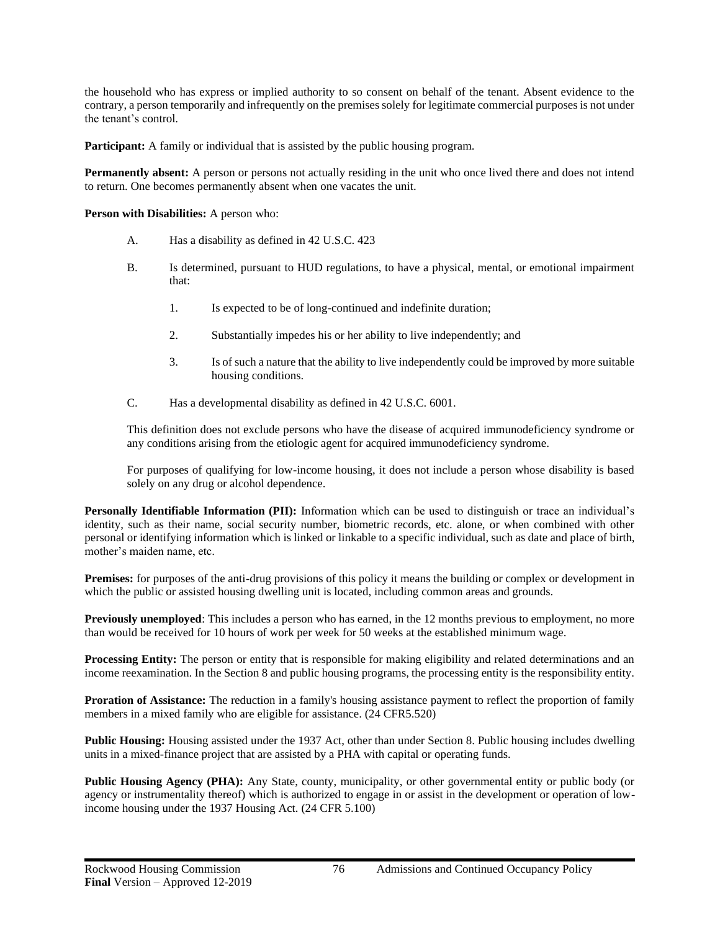the household who has express or implied authority to so consent on behalf of the tenant. Absent evidence to the contrary, a person temporarily and infrequently on the premises solely for legitimate commercial purposes is not under the tenant's control*.*

**Participant:** A family or individual that is assisted by the public housing program.

**Permanently absent:** A person or persons not actually residing in the unit who once lived there and does not intend to return. One becomes permanently absent when one vacates the unit.

**Person with Disabilities:** A person who:

- A. Has a disability as defined in 42 U.S.C. 423
- B. Is determined, pursuant to HUD regulations, to have a physical, mental, or emotional impairment that:
	- 1. Is expected to be of long-continued and indefinite duration;
	- 2. Substantially impedes his or her ability to live independently; and
	- 3. Is of such a nature that the ability to live independently could be improved by more suitable housing conditions.
- C. Has a developmental disability as defined in 42 U.S.C. 6001.

This definition does not exclude persons who have the disease of acquired immunodeficiency syndrome or any conditions arising from the etiologic agent for acquired immunodeficiency syndrome.

For purposes of qualifying for low-income housing, it does not include a person whose disability is based solely on any drug or alcohol dependence.

**Personally Identifiable Information (PII):** Information which can be used to distinguish or trace an individual's identity, such as their name, social security number, biometric records, etc. alone, or when combined with other personal or identifying information which is linked or linkable to a specific individual, such as date and place of birth, mother's maiden name, etc.

**Premises:** for purposes of the anti-drug provisions of this policy it means the building or complex or development in which the public or assisted housing dwelling unit is located, including common areas and grounds.

**Previously unemployed**: This includes a person who has earned, in the 12 months previous to employment, no more than would be received for 10 hours of work per week for 50 weeks at the established minimum wage.

**Processing Entity:** The person or entity that is responsible for making eligibility and related determinations and an income reexamination. In the Section 8 and public housing programs, the processing entity is the responsibility entity.

**Proration of Assistance:** The reduction in a family's housing assistance payment to reflect the proportion of family members in a mixed family who are eligible for assistance. (24 CFR5.520)

**Public Housing:** Housing assisted under the 1937 Act, other than under Section 8. Public housing includes dwelling units in a mixed-finance project that are assisted by a PHA with capital or operating funds.

**Public Housing Agency (PHA):** Any State, county, municipality, or other governmental entity or public body (or agency or instrumentality thereof) which is authorized to engage in or assist in the development or operation of lowincome housing under the 1937 Housing Act. (24 CFR 5.100)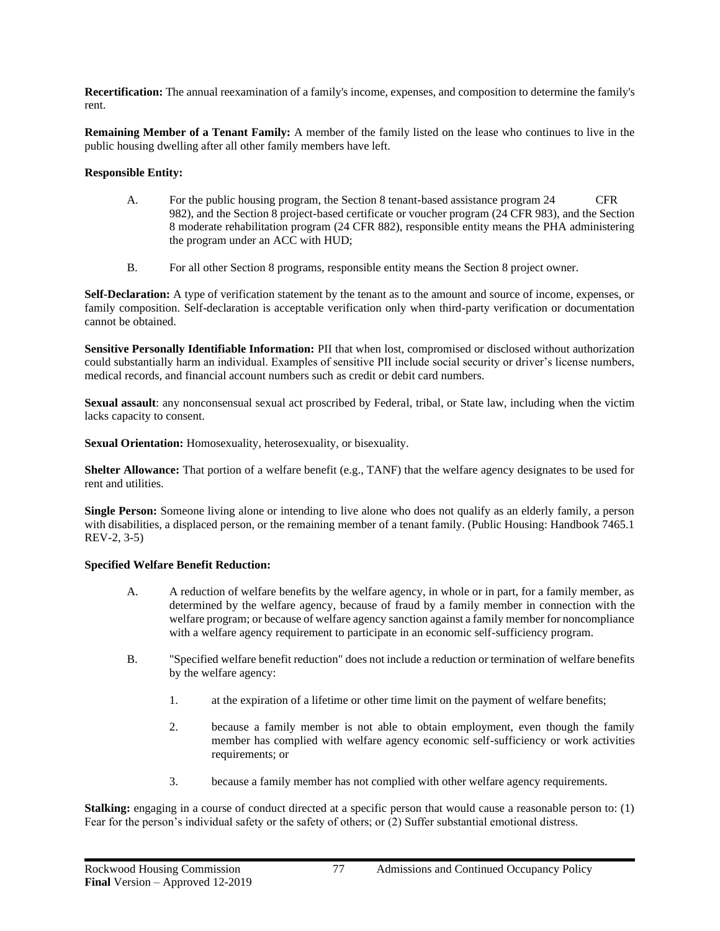**Recertification:** The annual reexamination of a family's income, expenses, and composition to determine the family's rent.

**Remaining Member of a Tenant Family:** A member of the family listed on the lease who continues to live in the public housing dwelling after all other family members have left.

### **Responsible Entity:**

- A. For the public housing program, the Section 8 tenant-based assistance program 24 CFR 982), and the Section 8 project-based certificate or voucher program (24 CFR 983), and the Section 8 moderate rehabilitation program (24 CFR 882), responsible entity means the PHA administering the program under an ACC with HUD;
- B. For all other Section 8 programs, responsible entity means the Section 8 project owner.

**Self-Declaration:** A type of verification statement by the tenant as to the amount and source of income, expenses, or family composition. Self-declaration is acceptable verification only when third-party verification or documentation cannot be obtained.

**Sensitive Personally Identifiable Information:** PII that when lost, compromised or disclosed without authorization could substantially harm an individual. Examples of sensitive PII include social security or driver's license numbers, medical records, and financial account numbers such as credit or debit card numbers.

**Sexual assault**: any nonconsensual sexual act proscribed by Federal, tribal, or State law, including when the victim lacks capacity to consent.

**Sexual Orientation:** Homosexuality, heterosexuality, or bisexuality.

**Shelter Allowance:** That portion of a welfare benefit (e.g., TANF) that the welfare agency designates to be used for rent and utilities.

**Single Person:** Someone living alone or intending to live alone who does not qualify as an elderly family, a person with disabilities, a displaced person, or the remaining member of a tenant family. (Public Housing: Handbook 7465.1) REV-2, 3-5)

#### **Specified Welfare Benefit Reduction:**

- A. A reduction of welfare benefits by the welfare agency, in whole or in part, for a family member, as determined by the welfare agency, because of fraud by a family member in connection with the welfare program; or because of welfare agency sanction against a family member for noncompliance with a welfare agency requirement to participate in an economic self-sufficiency program.
- B. "Specified welfare benefit reduction" does not include a reduction or termination of welfare benefits by the welfare agency:
	- 1. at the expiration of a lifetime or other time limit on the payment of welfare benefits;
	- 2. because a family member is not able to obtain employment, even though the family member has complied with welfare agency economic self-sufficiency or work activities requirements; or
	- 3. because a family member has not complied with other welfare agency requirements.

**Stalking:** engaging in a course of conduct directed at a specific person that would cause a reasonable person to: (1) Fear for the person's individual safety or the safety of others; or (2) Suffer substantial emotional distress.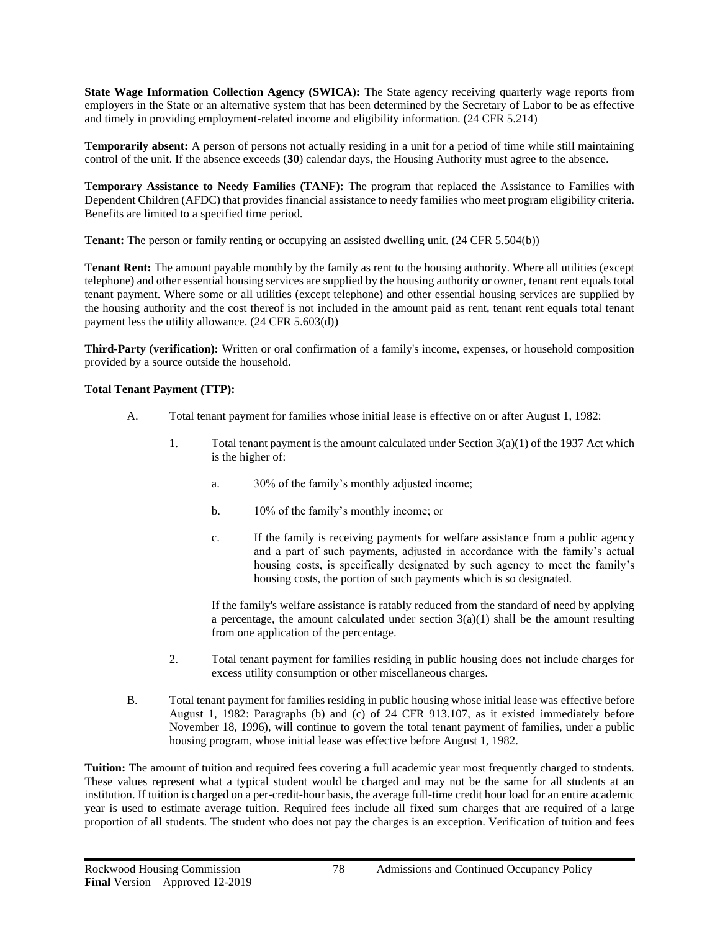**State Wage Information Collection Agency (SWICA):** The State agency receiving quarterly wage reports from employers in the State or an alternative system that has been determined by the Secretary of Labor to be as effective and timely in providing employment-related income and eligibility information. (24 CFR 5.214)

**Temporarily absent:** A person of persons not actually residing in a unit for a period of time while still maintaining control of the unit. If the absence exceeds (**30**) calendar days, the Housing Authority must agree to the absence.

**Temporary Assistance to Needy Families (TANF):** The program that replaced the Assistance to Families with Dependent Children (AFDC) that provides financial assistance to needy families who meet program eligibility criteria. Benefits are limited to a specified time period.

**Tenant:** The person or family renting or occupying an assisted dwelling unit. (24 CFR 5.504(b))

**Tenant Rent:** The amount payable monthly by the family as rent to the housing authority. Where all utilities (except telephone) and other essential housing services are supplied by the housing authority or owner, tenant rent equals total tenant payment. Where some or all utilities (except telephone) and other essential housing services are supplied by the housing authority and the cost thereof is not included in the amount paid as rent, tenant rent equals total tenant payment less the utility allowance. (24 CFR 5.603(d))

**Third-Party (verification):** Written or oral confirmation of a family's income, expenses, or household composition provided by a source outside the household.

### **Total Tenant Payment (TTP):**

- A. Total tenant payment for families whose initial lease is effective on or after August 1, 1982:
	- 1. Total tenant payment is the amount calculated under Section  $3(a)(1)$  of the 1937 Act which is the higher of:
		- a. 30% of the family's monthly adjusted income;
		- b. 10% of the family's monthly income; or
		- c. If the family is receiving payments for welfare assistance from a public agency and a part of such payments, adjusted in accordance with the family's actual housing costs, is specifically designated by such agency to meet the family's housing costs, the portion of such payments which is so designated.

If the family's welfare assistance is ratably reduced from the standard of need by applying a percentage, the amount calculated under section  $3(a)(1)$  shall be the amount resulting from one application of the percentage.

- 2. Total tenant payment for families residing in public housing does not include charges for excess utility consumption or other miscellaneous charges.
- B. Total tenant payment for families residing in public housing whose initial lease was effective before August 1, 1982: Paragraphs (b) and (c) of 24 CFR 913.107, as it existed immediately before November 18, 1996), will continue to govern the total tenant payment of families, under a public housing program, whose initial lease was effective before August 1, 1982.

**Tuition:** The amount of tuition and required fees covering a full academic year most frequently charged to students. These values represent what a typical student would be charged and may not be the same for all students at an institution. If tuition is charged on a per-credit-hour basis, the average full-time credit hour load for an entire academic year is used to estimate average tuition. Required fees include all fixed sum charges that are required of a large proportion of all students. The student who does not pay the charges is an exception. Verification of tuition and fees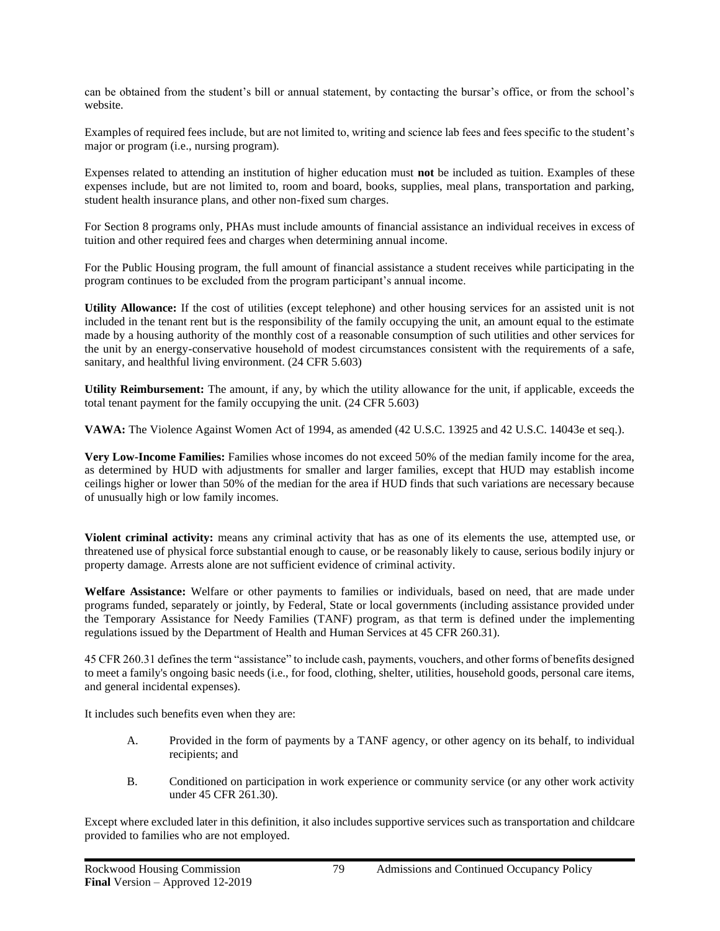can be obtained from the student's bill or annual statement, by contacting the bursar's office, or from the school's website.

Examples of required fees include, but are not limited to, writing and science lab fees and fees specific to the student's major or program (i.e., nursing program).

Expenses related to attending an institution of higher education must **not** be included as tuition. Examples of these expenses include, but are not limited to, room and board, books, supplies, meal plans, transportation and parking, student health insurance plans, and other non-fixed sum charges.

For Section 8 programs only, PHAs must include amounts of financial assistance an individual receives in excess of tuition and other required fees and charges when determining annual income.

For the Public Housing program, the full amount of financial assistance a student receives while participating in the program continues to be excluded from the program participant's annual income.

**Utility Allowance:** If the cost of utilities (except telephone) and other housing services for an assisted unit is not included in the tenant rent but is the responsibility of the family occupying the unit, an amount equal to the estimate made by a housing authority of the monthly cost of a reasonable consumption of such utilities and other services for the unit by an energy-conservative household of modest circumstances consistent with the requirements of a safe, sanitary, and healthful living environment. (24 CFR 5.603)

**Utility Reimbursement:** The amount, if any, by which the utility allowance for the unit, if applicable, exceeds the total tenant payment for the family occupying the unit. (24 CFR 5.603)

**VAWA:** The Violence Against Women Act of 1994, as amended (42 U.S.C. 13925 and 42 U.S.C. 14043e et seq.).

**Very Low-Income Families:** Families whose incomes do not exceed 50% of the median family income for the area, as determined by HUD with adjustments for smaller and larger families, except that HUD may establish income ceilings higher or lower than 50% of the median for the area if HUD finds that such variations are necessary because of unusually high or low family incomes.

**Violent criminal activity:** means any criminal activity that has as one of its elements the use, attempted use, or threatened use of physical force substantial enough to cause, or be reasonably likely to cause, serious bodily injury or property damage. Arrests alone are not sufficient evidence of criminal activity.

**Welfare Assistance:** Welfare or other payments to families or individuals, based on need, that are made under programs funded, separately or jointly, by Federal, State or local governments (including assistance provided under the Temporary Assistance for Needy Families (TANF) program, as that term is defined under the implementing regulations issued by the Department of Health and Human Services at 45 CFR 260.31).

45 CFR 260.31 defines the term "assistance" to include cash, payments, vouchers, and other forms of benefits designed to meet a family's ongoing basic needs (i.e., for food, clothing, shelter, utilities, household goods, personal care items, and general incidental expenses).

It includes such benefits even when they are:

- A. Provided in the form of payments by a TANF agency, or other agency on its behalf, to individual recipients; and
- B. Conditioned on participation in work experience or community service (or any other work activity under 45 CFR 261.30).

Except where excluded later in this definition, it also includes supportive services such as transportation and childcare provided to families who are not employed.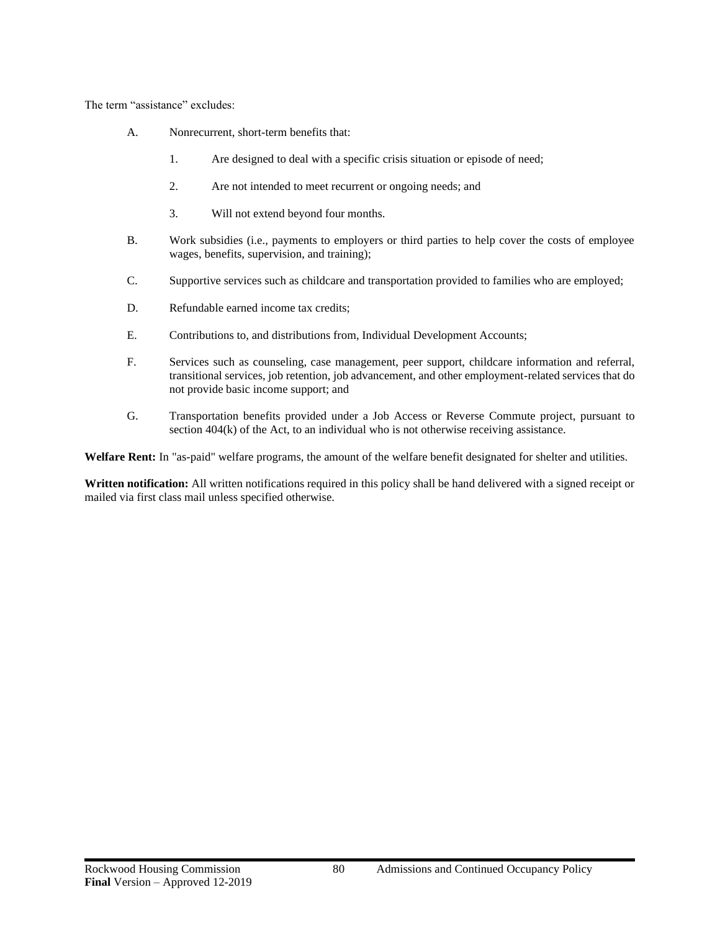The term "assistance" excludes:

- A. Nonrecurrent, short-term benefits that:
	- 1. Are designed to deal with a specific crisis situation or episode of need;
	- 2. Are not intended to meet recurrent or ongoing needs; and
	- 3. Will not extend beyond four months.
- B. Work subsidies (i.e., payments to employers or third parties to help cover the costs of employee wages, benefits, supervision, and training);
- C. Supportive services such as childcare and transportation provided to families who are employed;
- D. Refundable earned income tax credits;
- E. Contributions to, and distributions from, Individual Development Accounts;
- F. Services such as counseling, case management, peer support, childcare information and referral, transitional services, job retention, job advancement, and other employment-related services that do not provide basic income support; and
- G. Transportation benefits provided under a Job Access or Reverse Commute project, pursuant to section 404(k) of the Act, to an individual who is not otherwise receiving assistance.

**Welfare Rent:** In "as-paid" welfare programs, the amount of the welfare benefit designated for shelter and utilities.

**Written notification:** All written notifications required in this policy shall be hand delivered with a signed receipt or mailed via first class mail unless specified otherwise.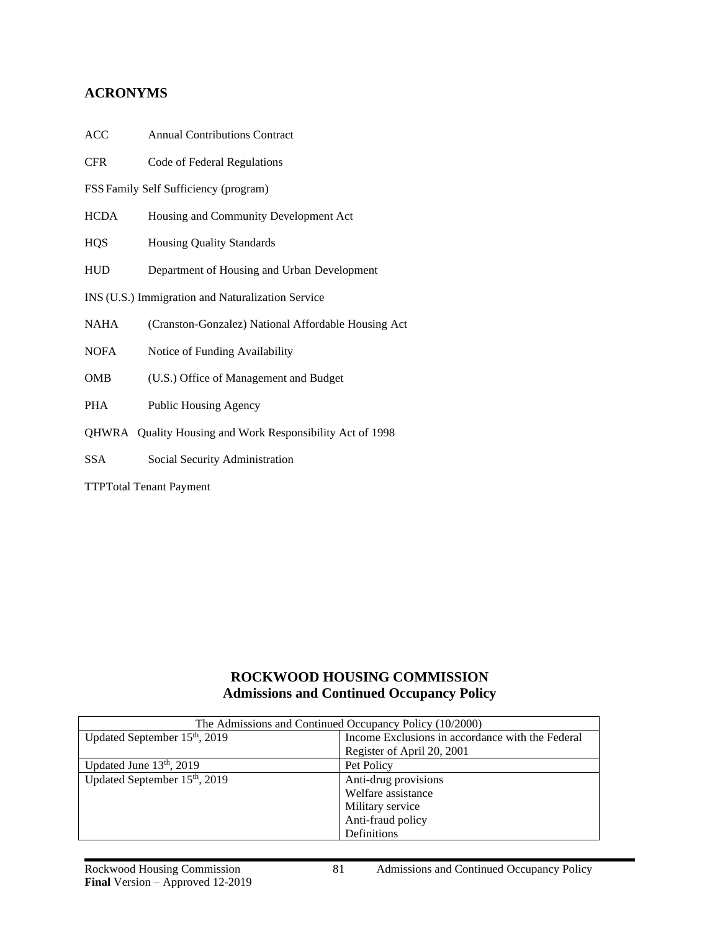### **ACRONYMS**

| ACC<br><b>Annual Contributions Contract</b> |  |
|---------------------------------------------|--|
|---------------------------------------------|--|

CFR Code of Federal Regulations

FSS Family Self Sufficiency (program)

- HCDA Housing and Community Development Act
- HQS Housing Quality Standards
- HUD Department of Housing and Urban Development
- INS (U.S.) Immigration and Naturalization Service
- NAHA (Cranston-Gonzalez) National Affordable Housing Act

NOFA Notice of Funding Availability

- OMB (U.S.) Office of Management and Budget
- PHA Public Housing Agency
- QHWRA Quality Housing and Work Responsibility Act of 1998
- SSA Social Security Administration

TTPTotal Tenant Payment

# **ROCKWOOD HOUSING COMMISSION Admissions and Continued Occupancy Policy**

| The Admissions and Continued Occupancy Policy (10/2000) |                                                  |  |
|---------------------------------------------------------|--------------------------------------------------|--|
| Updated September $15th$ , 2019                         | Income Exclusions in accordance with the Federal |  |
|                                                         | Register of April 20, 2001                       |  |
| Updated June $13th$ , 2019                              | Pet Policy                                       |  |
| Updated September 15 <sup>th</sup> , 2019               | Anti-drug provisions                             |  |
|                                                         | Welfare assistance                               |  |
|                                                         | Military service                                 |  |
|                                                         | Anti-fraud policy                                |  |
|                                                         | Definitions                                      |  |